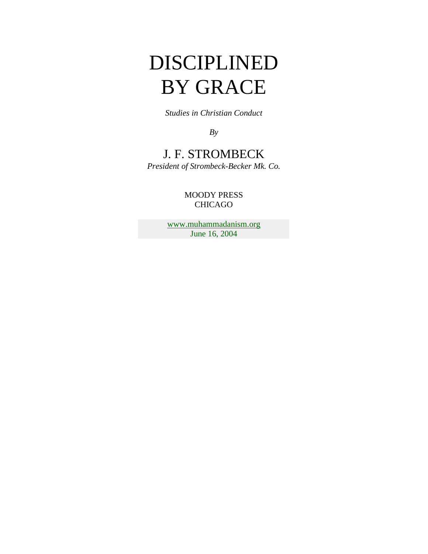*Studies in Christian Conduct* 

*By* 

### J. F. STROMBECK *President of Strombeck-Becker Mk. Co.*

MOODY PRESS CHICAGO

<www.muhammadanism.org> June 16, 2004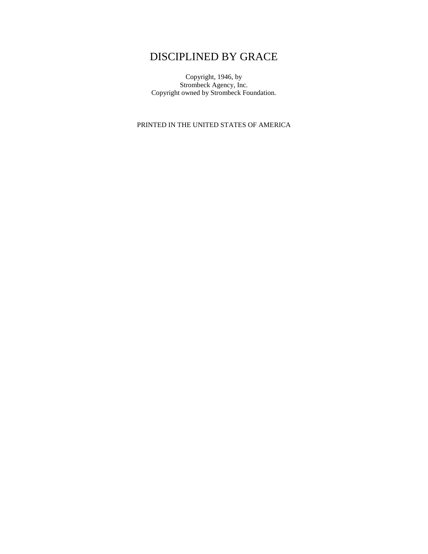Copyright, 1946, by Strombeck Agency, Inc. Copyright owned by Strombeck Foundation.

PRINTED IN THE UNITED STATES OF AMERICA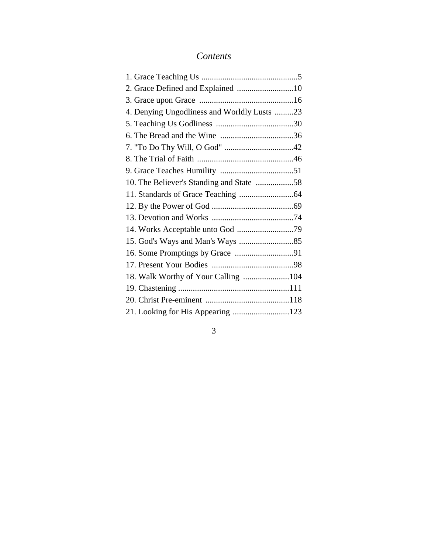# *Contents*

| 2. Grace Defined and Explained 10           |  |
|---------------------------------------------|--|
|                                             |  |
| 4. Denying Ungodliness and Worldly Lusts 23 |  |
|                                             |  |
|                                             |  |
|                                             |  |
|                                             |  |
|                                             |  |
|                                             |  |
|                                             |  |
|                                             |  |
|                                             |  |
|                                             |  |
|                                             |  |
|                                             |  |
|                                             |  |
| 18. Walk Worthy of Your Calling 104         |  |
|                                             |  |
|                                             |  |
| 21. Looking for His Appearing 123           |  |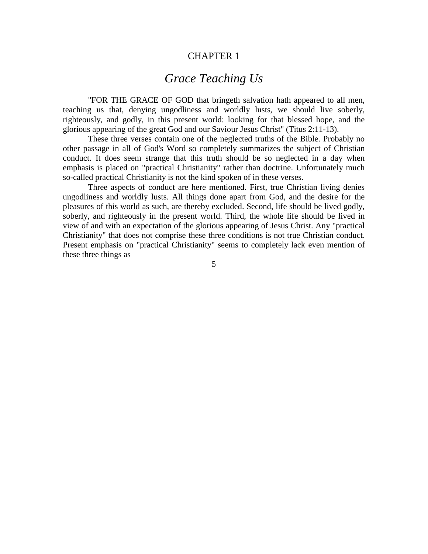#### CHAPTER 1

# *Grace Teaching Us*

"FOR THE GRACE OF GOD that bringeth salvation hath appeared to all men, teaching us that, denying ungodliness and worldly lusts, we should live soberly, righteously, and godly, in this present world: looking for that blessed hope, and the glorious appearing of the great God and our Saviour Jesus Christ" (Titus 2:11-13).

These three verses contain one of the neglected truths of the Bible. Probably no other passage in all of God's Word so completely summarizes the subject of Christian conduct. It does seem strange that this truth should be so neglected in a day when emphasis is placed on "practical Christianity" rather than doctrine. Unfortunately much so-called practical Christianity is not the kind spoken of in these verses.

Three aspects of conduct are here mentioned. First, true Christian living denies ungodliness and worldly lusts. All things done apart from God, and the desire for the pleasures of this world as such, are thereby excluded. Second, life should be lived godly, soberly, and righteously in the present world. Third, the whole life should be lived in view of and with an expectation of the glorious appearing of Jesus Christ. Any "practical Christianity" that does not comprise these three conditions is not true Christian conduct. Present emphasis on "practical Christianity" seems to completely lack even mention of these three things as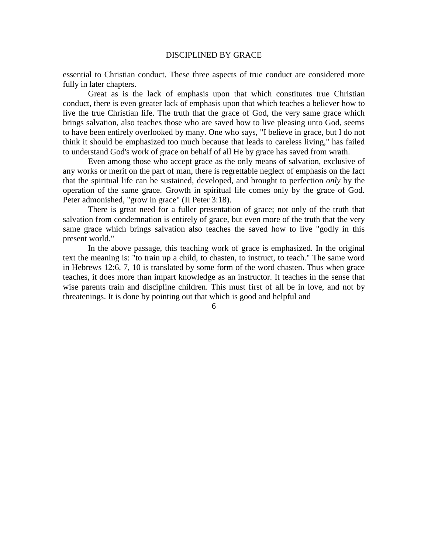essential to Christian conduct. These three aspects of true conduct are considered more fully in later chapters.

Great as is the lack of emphasis upon that which constitutes true Christian conduct, there is even greater lack of emphasis upon that which teaches a believer how to live the true Christian life. The truth that the grace of God, the very same grace which brings salvation, also teaches those who are saved how to live pleasing unto God, seems to have been entirely overlooked by many. One who says, "I believe in grace, but I do not think it should be emphasized too much because that leads to careless living," has failed to understand God's work of grace on behalf of all He by grace has saved from wrath.

Even among those who accept grace as the only means of salvation, exclusive of any works or merit on the part of man, there is regrettable neglect of emphasis on the fact that the spiritual life can be sustained, developed, and brought to perfection *only* by the operation of the same grace. Growth in spiritual life comes only by the grace of God. Peter admonished, "grow in grace" (II Peter 3:18).

There is great need for a fuller presentation of grace; not only of the truth that salvation from condemnation is entirely of grace, but even more of the truth that the very same grace which brings salvation also teaches the saved how to live "godly in this present world."

In the above passage, this teaching work of grace is emphasized. In the original text the meaning is: "to train up a child, to chasten, to instruct, to teach." The same word in Hebrews 12:6, 7, 10 is translated by some form of the word chasten. Thus when grace teaches, it does more than impart knowledge as an instructor. It teaches in the sense that wise parents train and discipline children. This must first of all be in love, and not by threatenings. It is done by pointing out that which is good and helpful and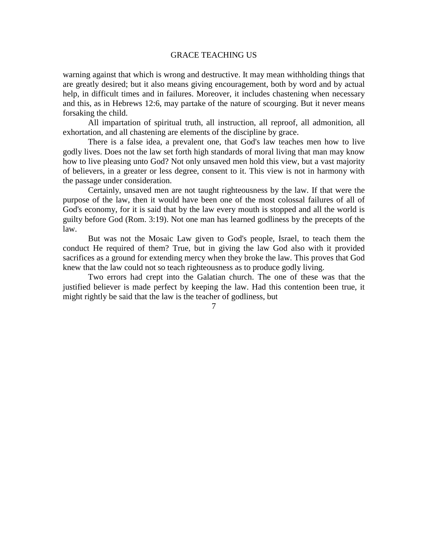#### GRACE TEACHING US

warning against that which is wrong and destructive. It may mean withholding things that are greatly desired; but it also means giving encouragement, both by word and by actual help, in difficult times and in failures. Moreover, it includes chastening when necessary and this, as in Hebrews 12:6, may partake of the nature of scourging. But it never means forsaking the child.

All impartation of spiritual truth, all instruction, all reproof, all admonition, all exhortation, and all chastening are elements of the discipline by grace.

There is a false idea, a prevalent one, that God's law teaches men how to live godly lives. Does not the law set forth high standards of moral living that man may know how to live pleasing unto God? Not only unsaved men hold this view, but a vast majority of believers, in a greater or less degree, consent to it. This view is not in harmony with the passage under consideration.

Certainly, unsaved men are not taught righteousness by the law. If that were the purpose of the law, then it would have been one of the most colossal failures of all of God's economy, for it is said that by the law every mouth is stopped and all the world is guilty before God (Rom. 3:19). Not one man has learned godliness by the precepts of the law.

But was not the Mosaic Law given to God's people, Israel, to teach them the conduct He required of them? True, but in giving the law God also with it provided sacrifices as a ground for extending mercy when they broke the law. This proves that God knew that the law could not so teach righteousness as to produce godly living.

Two errors had crept into the Galatian church. The one of these was that the justified believer is made perfect by keeping the law. Had this contention been true, it might rightly be said that the law is the teacher of godliness, but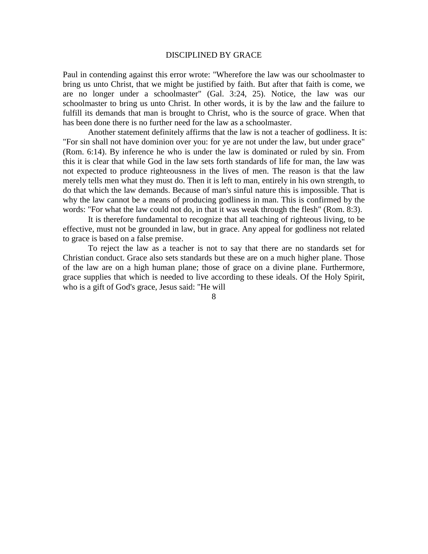Paul in contending against this error wrote: "Wherefore the law was our schoolmaster to bring us unto Christ, that we might be justified by faith. But after that faith is come, we are no longer under a schoolmaster" (Gal. 3:24, 25). Notice, the law was our schoolmaster to bring us unto Christ. In other words, it is by the law and the failure to fulfill its demands that man is brought to Christ, who is the source of grace. When that has been done there is no further need for the law as a schoolmaster.

Another statement definitely affirms that the law is not a teacher of godliness. It is: "For sin shall not have dominion over you: for ye are not under the law, but under grace" (Rom. 6:14). By inference he who is under the law is dominated or ruled by sin. From this it is clear that while God in the law sets forth standards of life for man, the law was not expected to produce righteousness in the lives of men. The reason is that the law merely tells men what they must do. Then it is left to man, entirely in his own strength, to do that which the law demands. Because of man's sinful nature this is impossible. That is why the law cannot be a means of producing godliness in man. This is confirmed by the words: "For what the law could not do, in that it was weak through the flesh" (Rom. 8:3).

It is therefore fundamental to recognize that all teaching of righteous living, to be effective, must not be grounded in law, but in grace. Any appeal for godliness not related to grace is based on a false premise.

To reject the law as a teacher is not to say that there are no standards set for Christian conduct. Grace also sets standards but these are on a much higher plane. Those of the law are on a high human plane; those of grace on a divine plane. Furthermore, grace supplies that which is needed to live according to these ideals. Of the Holy Spirit, who is a gift of God's grace, Jesus said: "He will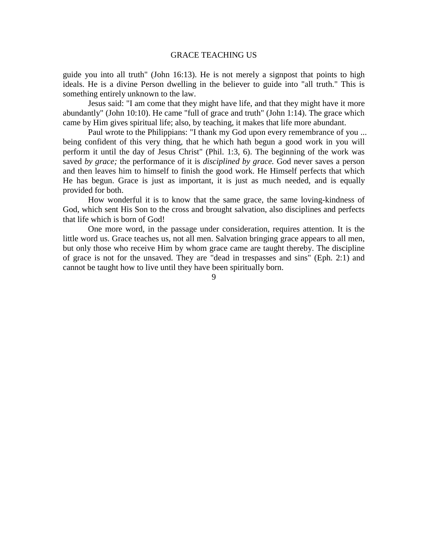#### GRACE TEACHING US

guide you into all truth" (John 16:13). He is not merely a signpost that points to high ideals. He is a divine Person dwelling in the believer to guide into "all truth." This is something entirely unknown to the law.

Jesus said: "I am come that they might have life, and that they might have it more abundantly" (John 10:10). He came "full of grace and truth" (John 1:14). The grace which came by Him gives spiritual life; also, by teaching, it makes that life more abundant.

Paul wrote to the Philippians: "I thank my God upon every remembrance of you ... being confident of this very thing, that he which hath begun a good work in you will perform it until the day of Jesus Christ" (Phil. 1:3, 6). The beginning of the work was saved *by grace;* the performance of it is *disciplined by grace.* God never saves a person and then leaves him to himself to finish the good work. He Himself perfects that which He has begun. Grace is just as important, it is just as much needed, and is equally provided for both.

How wonderful it is to know that the same grace, the same loving-kindness of God, which sent His Son to the cross and brought salvation, also disciplines and perfects that life which is born of God!

One more word, in the passage under consideration, requires attention. It is the little word us. Grace teaches us, not all men. Salvation bringing grace appears to all men, but only those who receive Him by whom grace came are taught thereby. The discipline of grace is not for the unsaved. They are "dead in trespasses and sins" (Eph. 2:1) and cannot be taught how to live until they have been spiritually born.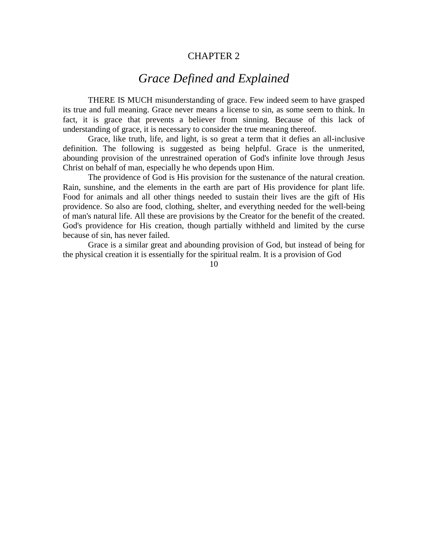#### CHAPTER 2

## *Grace Defined and Explained*

THERE IS MUCH misunderstanding of grace. Few indeed seem to have grasped its true and full meaning. Grace never means a license to sin, as some seem to think. In fact, it is grace that prevents a believer from sinning. Because of this lack of understanding of grace, it is necessary to consider the true meaning thereof.

Grace, like truth, life, and light, is so great a term that it defies an all-inclusive definition. The following is suggested as being helpful. Grace is the unmerited, abounding provision of the unrestrained operation of God's infinite love through Jesus Christ on behalf of man, especially he who depends upon Him.

The providence of God is His provision for the sustenance of the natural creation. Rain, sunshine, and the elements in the earth are part of His providence for plant life. Food for animals and all other things needed to sustain their lives are the gift of His providence. So also are food, clothing, shelter, and everything needed for the well-being of man's natural life. All these are provisions by the Creator for the benefit of the created. God's providence for His creation, though partially withheld and limited by the curse because of sin, has never failed.

Grace is a similar great and abounding provision of God, but instead of being for the physical creation it is essentially for the spiritual realm. It is a provision of God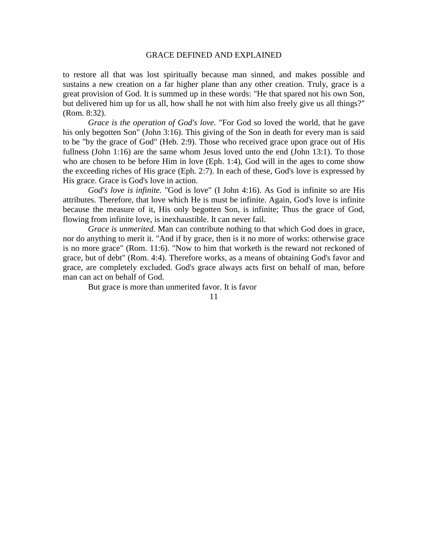#### GRACE DEFINED AND EXPLAINED

to restore all that was lost spiritually because man sinned, and makes possible and sustains a new creation on a far higher plane than any other creation. Truly, grace is a great provision of God. It is summed up in these words: "He that spared not his own Son, but delivered him up for us all, how shall he not with him also freely give us all things?" (Rom. 8:32).

*Grace is the operation of God's love.* "For God so loved the world, that he gave his only begotten Son" (John 3:16). This giving of the Son in death for every man is said to be "by the grace of God" (Heb. 2:9). Those who received grace upon grace out of His fullness (John 1:16) are the same whom Jesus loved unto the end (John 13:1). To those who are chosen to be before Him in love (Eph. 1:4), God will in the ages to come show the exceeding riches of His grace (Eph. 2:7). In each of these, God's love is expressed by His grace. Grace is God's love in action.

*God's love is infinite.* "God is love" (I John 4:16). As God is infinite so are His attributes. Therefore, that love which He is must be infinite. Again, God's love is infinite because the measure of it, His only begotten Son, is infinite; Thus the grace of God, flowing from infinite love, is inexhaustible. It can never fail.

*Grace is unmerited.* Man can contribute nothing to that which God does in grace, nor do anything to merit it. "And if by grace, then is it no more of works: otherwise grace is no more grace" (Rom. 11:6). "Now to him that worketh is the reward not reckoned of grace, but of debt" (Rom. 4:4). Therefore works, as a means of obtaining God's favor and grace, are completely excluded. God's grace always acts first on behalf of man, before man can act on behalf of God.

But grace is more than unmerited favor. It is favor

<sup>11</sup>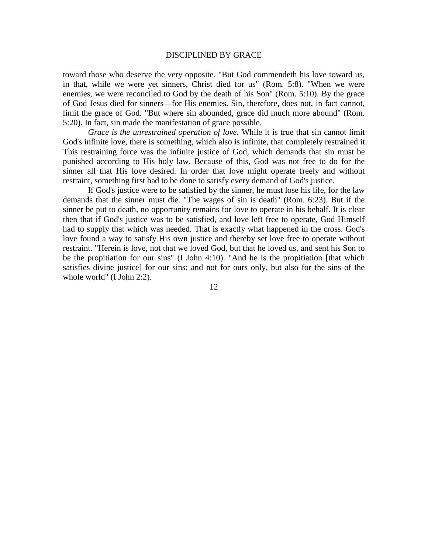toward those who deserve the very opposite. "But God commendeth his love toward us, in that, while we were yet sinners, Christ died for us" (Rom. 5:8). "When we were enemies, we were reconciled to God by the death of his Son" (Rom. 5:10). By the grace of God Jesus died for sinners—for His enemies. Sin, therefore, does not, in fact cannot, limit the grace of God. "But where sin abounded, grace did much more abound" (Rom. 5:20). In fact, sin made the manifestation of grace possible.

*Grace is the unrestrained operation of love.* While it is true that sin cannot limit God's infinite love, there is something, which also is infinite, that completely restrained it. This restraining force was the infinite justice of God, which demands that sin must be punished according to His holy law. Because of this, God was not free to do for the sinner all that His love desired. In order that love might operate freely and without restraint, something first had to be done to satisfy every demand of God's justice.

If God's justice were to be satisfied by the sinner, he must lose his life, for the law demands that the sinner must die. "The wages of sin is death" (Rom. 6:23). But if the sinner be put to death, no opportunity remains for love to operate in his behalf. It is clear then that if God's justice was to be satisfied, and love left free to operate, God Himself had to supply that which was needed. That is exactly what happened in the cross. God's love found a way to satisfy His own justice and thereby set love free to operate without restraint. "Herein is love, not that we loved God, but that he loved us, and sent his Son to be the propitiation for our sins" (I John 4:10). "And he is the propitiation [that which satisfies divine justice] for our sins: and not for ours only, but also for the sins of the whole world" (I John 2:2).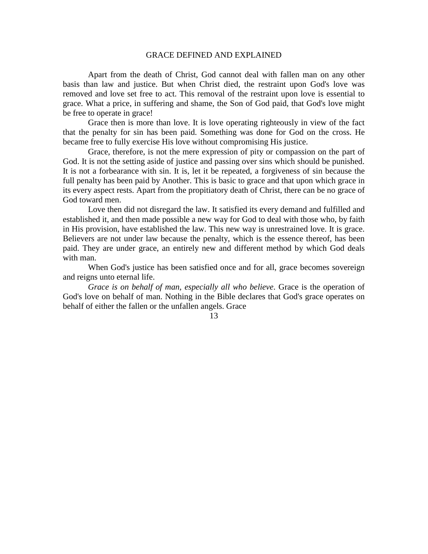#### GRACE DEFINED AND EXPLAINED

Apart from the death of Christ, God cannot deal with fallen man on any other basis than law and justice. But when Christ died, the restraint upon God's love was removed and love set free to act. This removal of the restraint upon love is essential to grace. What a price, in suffering and shame, the Son of God paid, that God's love might be free to operate in grace!

Grace then is more than love. It is love operating righteously in view of the fact that the penalty for sin has been paid. Something was done for God on the cross. He became free to fully exercise His love without compromising His justice.

Grace, therefore, is not the mere expression of pity or compassion on the part of God. It is not the setting aside of justice and passing over sins which should be punished. It is not a forbearance with sin. It is, let it be repeated, a forgiveness of sin because the full penalty has been paid by Another. This is basic to grace and that upon which grace in its every aspect rests. Apart from the propitiatory death of Christ, there can be no grace of God toward men.

Love then did not disregard the law. It satisfied its every demand and fulfilled and established it, and then made possible a new way for God to deal with those who, by faith in His provision, have established the law. This new way is unrestrained love. It is grace. Believers are not under law because the penalty, which is the essence thereof, has been paid. They are under grace, an entirely new and different method by which God deals with man.

When God's justice has been satisfied once and for all, grace becomes sovereign and reigns unto eternal life.

*Grace is on behalf of man, especially all who believe*. Grace is the operation of God's love on behalf of man. Nothing in the Bible declares that God's grace operates on behalf of either the fallen or the unfallen angels. Grace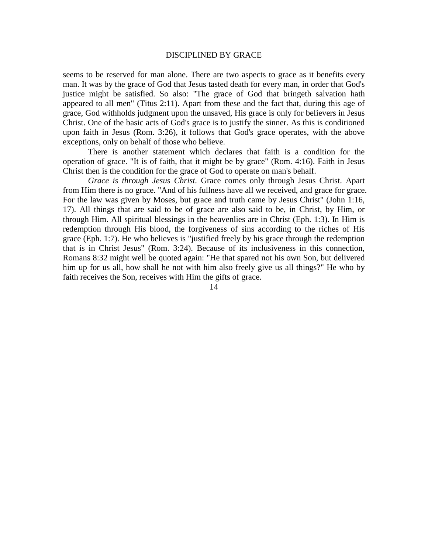seems to be reserved for man alone. There are two aspects to grace as it benefits every man. It was by the grace of God that Jesus tasted death for every man, in order that God's justice might be satisfied. So also: "The grace of God that bringeth salvation hath appeared to all men" (Titus 2:11). Apart from these and the fact that, during this age of grace, God withholds judgment upon the unsaved, His grace is only for believers in Jesus Christ. One of the basic acts of God's grace is to justify the sinner. As this is conditioned upon faith in Jesus (Rom. 3:26), it follows that God's grace operates, with the above exceptions, only on behalf of those who believe.

There is another statement which declares that faith is a condition for the operation of grace. "It is of faith, that it might be by grace" (Rom. 4:16). Faith in Jesus Christ then is the condition for the grace of God to operate on man's behalf.

*Grace is through Jesus Christ.* Grace comes only through Jesus Christ. Apart from Him there is no grace. "And of his fullness have all we received, and grace for grace. For the law was given by Moses, but grace and truth came by Jesus Christ" (John 1:16, 17). All things that are said to be of grace are also said to be, in Christ, by Him, or through Him. All spiritual blessings in the heavenlies are in Christ (Eph. 1:3). In Him is redemption through His blood, the forgiveness of sins according to the riches of His grace (Eph. 1:7). He who believes is "justified freely by his grace through the redemption that is in Christ Jesus" (Rom. 3:24). Because of its inclusiveness in this connection, Romans 8:32 might well be quoted again: "He that spared not his own Son, but delivered him up for us all, how shall he not with him also freely give us all things?" He who by faith receives the Son, receives with Him the gifts of grace.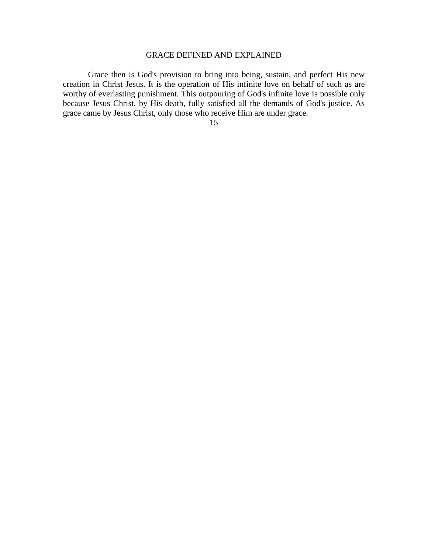#### GRACE DEFINED AND EXPLAINED

Grace then is God's provision to bring into being, sustain, and perfect His new creation in Christ Jesus. It is the operation of His infinite love on behalf of such as are worthy of everlasting punishment. This outpouring of God's infinite love is possible only because Jesus Christ, by His death, fully satisfied all the demands of God's justice. As grace came by Jesus Christ, only those who receive Him are under grace.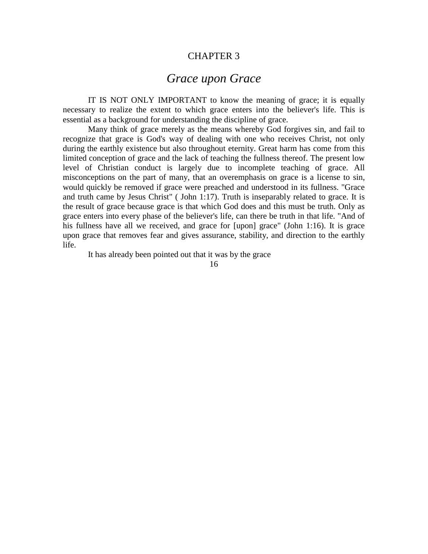#### CHAPTER 3

# *Grace upon Grace*

IT IS NOT ONLY IMPORTANT to know the meaning of grace; it is equally necessary to realize the extent to which grace enters into the believer's life. This is essential as a background for understanding the discipline of grace.

Many think of grace merely as the means whereby God forgives sin, and fail to recognize that grace is God's way of dealing with one who receives Christ, not only during the earthly existence but also throughout eternity. Great harm has come from this limited conception of grace and the lack of teaching the fullness thereof. The present low level of Christian conduct is largely due to incomplete teaching of grace. All misconceptions on the part of many, that an overemphasis on grace is a license to sin, would quickly be removed if grace were preached and understood in its fullness. "Grace and truth came by Jesus Christ" ( John 1:17). Truth is inseparably related to grace. It is the result of grace because grace is that which God does and this must be truth. Only as grace enters into every phase of the believer's life, can there be truth in that life. "And of his fullness have all we received, and grace for [upon] grace" (John 1:16). It is grace upon grace that removes fear and gives assurance, stability, and direction to the earthly life.

It has already been pointed out that it was by the grace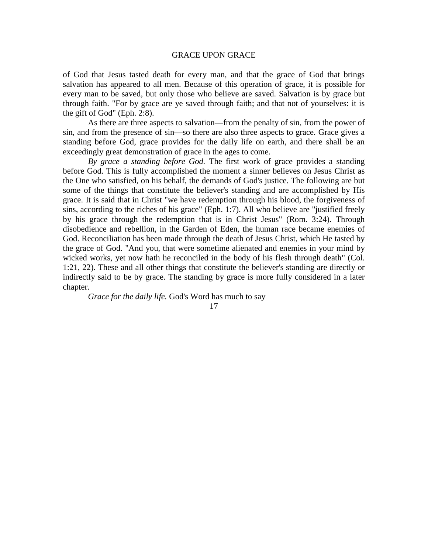#### GRACE UPON GRACE

of God that Jesus tasted death for every man, and that the grace of God that brings salvation has appeared to all men. Because of this operation of grace, it is possible for every man to be saved, but only those who believe are saved. Salvation is by grace but through faith. "For by grace are ye saved through faith; and that not of yourselves: it is the gift of God" (Eph. 2:8).

As there are three aspects to salvation—from the penalty of sin, from the power of sin, and from the presence of sin—so there are also three aspects to grace. Grace gives a standing before God, grace provides for the daily life on earth, and there shall be an exceedingly great demonstration of grace in the ages to come.

*By grace a standing before God.* The first work of grace provides a standing before God. This is fully accomplished the moment a sinner believes on Jesus Christ as the One who satisfied, on his behalf, the demands of God's justice. The following are but some of the things that constitute the believer's standing and are accomplished by His grace. It is said that in Christ "we have redemption through his blood, the forgiveness of sins, according to the riches of his grace" (Eph. 1:7). All who believe are "justified freely by his grace through the redemption that is in Christ Jesus" (Rom. 3:24). Through disobedience and rebellion, in the Garden of Eden, the human race became enemies of God. Reconciliation has been made through the death of Jesus Christ, which He tasted by the grace of God. "And you, that were sometime alienated and enemies in your mind by wicked works, yet now hath he reconciled in the body of his flesh through death" (Col. 1:21, 22). These and all other things that constitute the believer's standing are directly or indirectly said to be by grace. The standing by grace is more fully considered in a later chapter.

*Grace for the daily life.* God's Word has much to say

<sup>17</sup>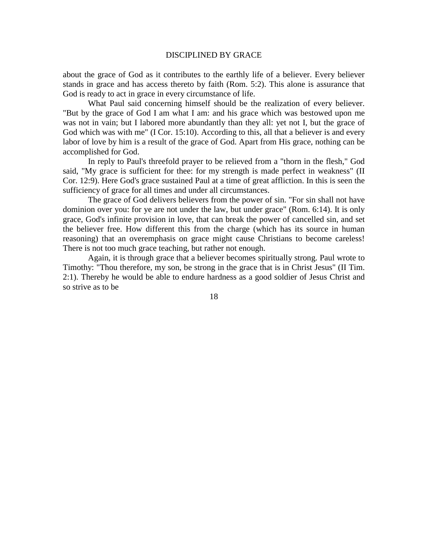about the grace of God as it contributes to the earthly life of a believer. Every believer stands in grace and has access thereto by faith (Rom. 5:2). This alone is assurance that God is ready to act in grace in every circumstance of life.

What Paul said concerning himself should be the realization of every believer. "But by the grace of God I am what I am: and his grace which was bestowed upon me was not in vain; but I labored more abundantly than they all: yet not I, but the grace of God which was with me" (I Cor. 15:10). According to this, all that a believer is and every labor of love by him is a result of the grace of God. Apart from His grace, nothing can be accomplished for God.

In reply to Paul's threefold prayer to be relieved from a "thorn in the flesh," God said, "My grace is sufficient for thee: for my strength is made perfect in weakness" (II Cor. 12:9). Here God's grace sustained Paul at a time of great affliction. In this is seen the sufficiency of grace for all times and under all circumstances.

The grace of God delivers believers from the power of sin. "For sin shall not have dominion over you: for ye are not under the law, but under grace" (Rom. 6:14). It is only grace, God's infinite provision in love, that can break the power of cancelled sin, and set the believer free. How different this from the charge (which has its source in human reasoning) that an overemphasis on grace might cause Christians to become careless! There is not too much grace teaching, but rather not enough.

Again, it is through grace that a believer becomes spiritually strong. Paul wrote to Timothy: "Thou therefore, my son, be strong in the grace that is in Christ Jesus" (II Tim. 2:1). Thereby he would be able to endure hardness as a good soldier of Jesus Christ and so strive as to be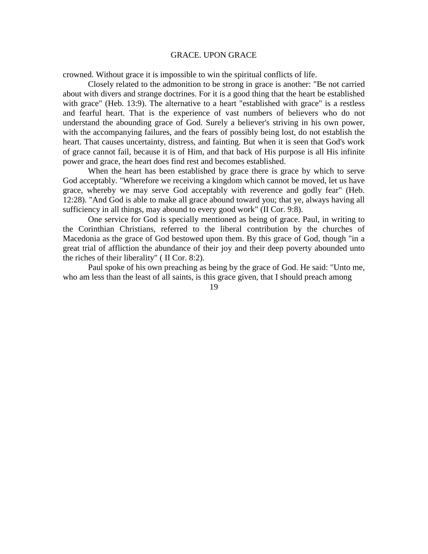#### GRACE. UPON GRACE

crowned. Without grace it is impossible to win the spiritual conflicts of life.

Closely related to the admonition to be strong in grace is another: "Be not carried about with divers and strange doctrines. For it is a good thing that the heart be established with grace" (Heb. 13:9). The alternative to a heart "established with grace" is a restless and fearful heart. That is the experience of vast numbers of believers who do not understand the abounding grace of God. Surely a believer's striving in his own power, with the accompanying failures, and the fears of possibly being lost, do not establish the heart. That causes uncertainty, distress, and fainting. But when it is seen that God's work of grace cannot fail, because it is of Him, and that back of His purpose is all His infinite power and grace, the heart does find rest and becomes established.

When the heart has been established by grace there is grace by which to serve God acceptably. "Wherefore we receiving a kingdom which cannot be moved, let us have grace, whereby we may serve God acceptably with reverence and godly fear" (Heb. 12:28). "And God is able to make all grace abound toward you; that ye, always having all sufficiency in all things, may abound to every good work" (II Cor. 9:8).

One service for God is specially mentioned as being of grace. Paul, in writing to the Corinthian Christians, referred to the liberal contribution by the churches of Macedonia as the grace of God bestowed upon them. By this grace of God, though "in a great trial of affliction the abundance of their joy and their deep poverty abounded unto the riches of their liberality" ( II Cor. 8:2).

Paul spoke of his own preaching as being by the grace of God. He said: "Unto me, who am less than the least of all saints, is this grace given, that I should preach among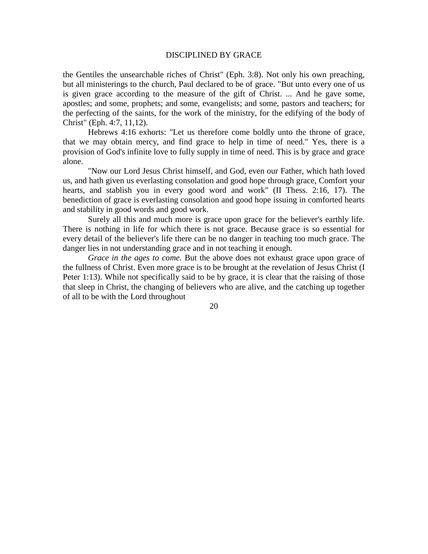the Gentiles the unsearchable riches of Christ" (Eph. 3:8). Not only his own preaching, but all ministerings to the church, Paul declared to be of grace. "But unto every one of us is given grace according to the measure of the gift of Christ. ... And he gave some, apostles; and some, prophets; and some, evangelists; and some, pastors and teachers; for the perfecting of the saints, for the work of the ministry, for the edifying of the body of Christ" (Eph. 4:7, 11,12).

Hebrews 4:16 exhorts: "Let us therefore come boldly unto the throne of grace, that we may obtain mercy, and find grace to help in time of need." Yes, there is a provision of God's infinite love to fully supply in time of need. This is by grace and grace alone.

"Now our Lord Jesus Christ himself, and God, even our Father, which hath loved us, and hath given us everlasting consolation and good hope through grace, Comfort your hearts, and stablish you in every good word and work" (II Thess. 2:16, 17). The benediction of grace is everlasting consolation and good hope issuing in comforted hearts and stability in good words and good work.

Surely all this and much more is grace upon grace for the believer's earthly life. There is nothing in life for which there is not grace. Because grace is so essential for every detail of the believer's life there can be no danger in teaching too much grace. The danger lies in not understanding grace and in not teaching it enough.

*Grace in the ages to come.* But the above does not exhaust grace upon grace of the fullness of Christ. Even more grace is to be brought at the revelation of Jesus Christ (I Peter 1:13). While not specifically said to be by grace, it is clear that the raising of those that sleep in Christ, the changing of believers who are alive, and the catching up together of all to be with the Lord throughout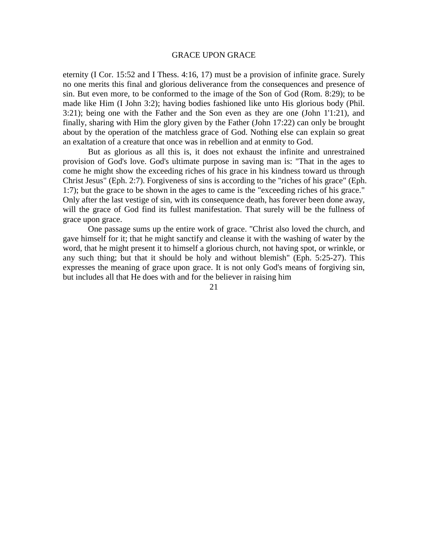#### GRACE UPON GRACE

eternity (I Cor. 15:52 and I Thess. 4:16, 17) must be a provision of infinite grace. Surely no one merits this final and glorious deliverance from the consequences and presence of sin. But even more, to be conformed to the image of the Son of God (Rom. 8:29); to be made like Him (I John 3:2); having bodies fashioned like unto His glorious body (Phil. 3:21); being one with the Father and the Son even as they are one (John 1'1:21), and finally, sharing with Him the glory given by the Father (John 17:22) can only be brought about by the operation of the matchless grace of God. Nothing else can explain so great an exaltation of a creature that once was in rebellion and at enmity to God.

But as glorious as all this is, it does not exhaust the infinite and unrestrained provision of God's love. God's ultimate purpose in saving man is: "That in the ages to come he might show the exceeding riches of his grace in his kindness toward us through Christ Jesus" (Eph. 2:7). Forgiveness of sins is according to the "riches of his grace" (Eph. 1:7); but the grace to be shown in the ages to came is the "exceeding riches of his grace." Only after the last vestige of sin, with its consequence death, has forever been done away, will the grace of God find its fullest manifestation. That surely will be the fullness of grace upon grace.

One passage sums up the entire work of grace. "Christ also loved the church, and gave himself for it; that he might sanctify and cleanse it with the washing of water by the word, that he might present it to himself a glorious church, not having spot, or wrinkle, or any such thing; but that it should be holy and without blemish" (Eph. 5:25-27). This expresses the meaning of grace upon grace. It is not only God's means of forgiving sin, but includes all that He does with and for the believer in raising him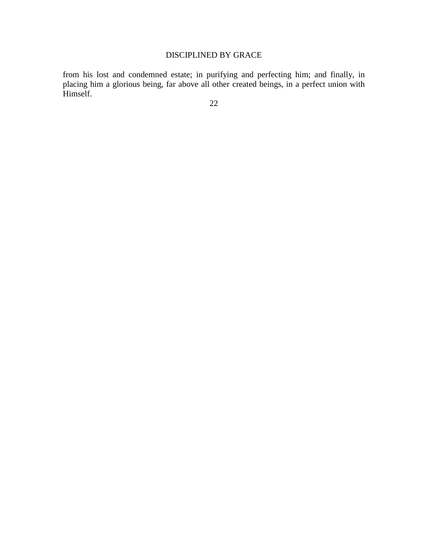from his lost and condemned estate; in purifying and perfecting him; and finally, in placing him a glorious being, far above all other created beings, in a perfect union with Himself.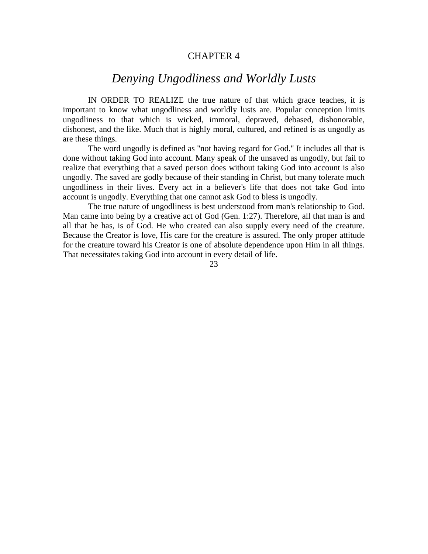#### CHAPTER 4

## *Denying Ungodliness and Worldly Lusts*

IN ORDER TO REALIZE the true nature of that which grace teaches, it is important to know what ungodliness and worldly lusts are. Popular conception limits ungodliness to that which is wicked, immoral, depraved, debased, dishonorable, dishonest, and the like. Much that is highly moral, cultured, and refined is as ungodly as are these things.

The word ungodly is defined as "not having regard for God." It includes all that is done without taking God into account. Many speak of the unsaved as ungodly, but fail to realize that everything that a saved person does without taking God into account is also ungodly. The saved are godly because of their standing in Christ, but many tolerate much ungodliness in their lives. Every act in a believer's life that does not take God into account is ungodly. Everything that one cannot ask God to bless is ungodly.

The true nature of ungodliness is best understood from man's relationship to God. Man came into being by a creative act of God (Gen. 1:27). Therefore, all that man is and all that he has, is of God. He who created can also supply every need of the creature. Because the Creator is love, His care for the creature is assured. The only proper attitude for the creature toward his Creator is one of absolute dependence upon Him in all things. That necessitates taking God into account in every detail of life.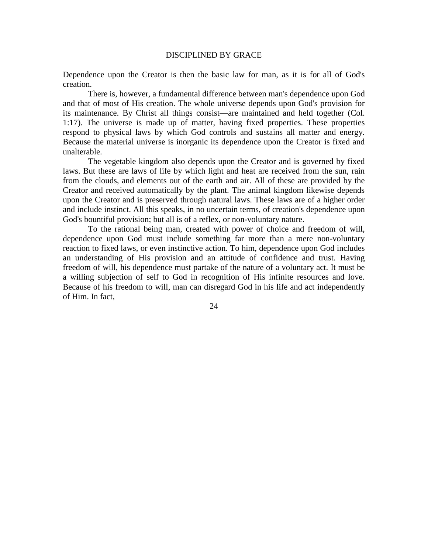Dependence upon the Creator is then the basic law for man, as it is for all of God's creation.

There is, however, a fundamental difference between man's dependence upon God and that of most of His creation. The whole universe depends upon God's provision for its maintenance. By Christ all things consist—are maintained and held together (Col. 1:17). The universe is made up of matter, having fixed properties. These properties respond to physical laws by which God controls and sustains all matter and energy. Because the material universe is inorganic its dependence upon the Creator is fixed and unalterable.

The vegetable kingdom also depends upon the Creator and is governed by fixed laws. But these are laws of life by which light and heat are received from the sun, rain from the clouds, and elements out of the earth and air. All of these are provided by the Creator and received automatically by the plant. The animal kingdom likewise depends upon the Creator and is preserved through natural laws. These laws are of a higher order and include instinct. All this speaks, in no uncertain terms, of creation's dependence upon God's bountiful provision; but all is of a reflex, or non-voluntary nature.

To the rational being man, created with power of choice and freedom of will, dependence upon God must include something far more than a mere non-voluntary reaction to fixed laws, or even instinctive action. To him, dependence upon God includes an understanding of His provision and an attitude of confidence and trust. Having freedom of will, his dependence must partake of the nature of a voluntary act. It must be a willing subjection of self to God in recognition of His infinite resources and love. Because of his freedom to will, man can disregard God in his life and act independently of Him. In fact,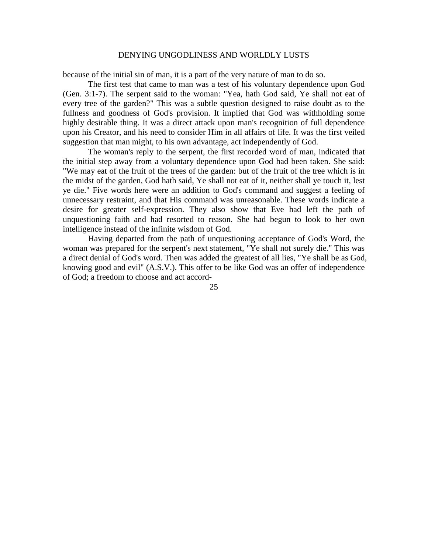#### DENYING UNGODLINESS AND WORLDLY LUSTS

because of the initial sin of man, it is a part of the very nature of man to do so.

The first test that came to man was a test of his voluntary dependence upon God (Gen. 3:1-7). The serpent said to the woman: "Yea, hath God said, Ye shall not eat of every tree of the garden?" This was a subtle question designed to raise doubt as to the fullness and goodness of God's provision. It implied that God was withholding some highly desirable thing. It was a direct attack upon man's recognition of full dependence upon his Creator, and his need to consider Him in all affairs of life. It was the first veiled suggestion that man might, to his own advantage, act independently of God.

The woman's reply to the serpent, the first recorded word of man, indicated that the initial step away from a voluntary dependence upon God had been taken. She said: "We may eat of the fruit of the trees of the garden: but of the fruit of the tree which is in the midst of the garden, God hath said, Ye shall not eat of it, neither shall ye touch it, lest ye die." Five words here were an addition to God's command and suggest a feeling of unnecessary restraint, and that His command was unreasonable. These words indicate a desire for greater self-expression. They also show that Eve had left the path of unquestioning faith and had resorted to reason. She had begun to look to her own intelligence instead of the infinite wisdom of God.

Having departed from the path of unquestioning acceptance of God's Word, the woman was prepared for the serpent's next statement, "Ye shall not surely die." This was a direct denial of God's word. Then was added the greatest of all lies, "Ye shall be as God, knowing good and evil" (A.S.V.). This offer to be like God was an offer of independence of God; a freedom to choose and act accord-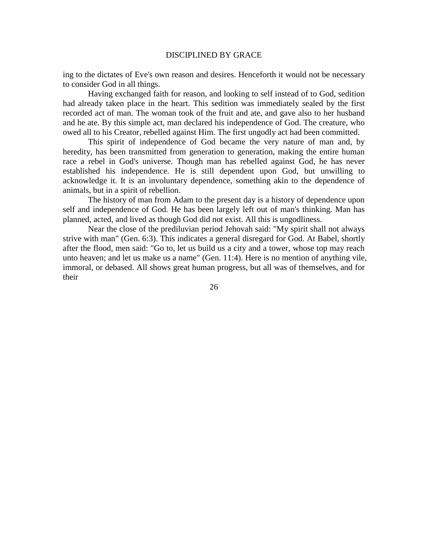ing to the dictates of Eve's own reason and desires. Henceforth it would not be necessary to consider God in all things.

Having exchanged faith for reason, and looking to self instead of to God, sedition had already taken place in the heart. This sedition was immediately sealed by the first recorded act of man. The woman took of the fruit and ate, and gave also to her husband and he ate. By this simple act, man declared his independence of God. The creature, who owed all to his Creator, rebelled against Him. The first ungodly act had been committed.

This spirit of independence of God became the very nature of man and, by heredity, has been transmitted from generation to generation, making the entire human race a rebel in God's universe. Though man has rebelled against God, he has never established his independence. He is still dependent upon God, but unwilling to acknowledge it. It is an involuntary dependence, something akin to the dependence of animals, but in a spirit of rebellion.

The history of man from Adam to the present day is a history of dependence upon self and independence of God. He has been largely left out of man's thinking. Man has planned, acted, and lived as though God did not exist. All this is ungodliness.

Near the close of the prediluvian period Jehovah said: "My spirit shall not always strive with man" (Gen. 6:3). This indicates a general disregard for God. At Babel, shortly after the flood, men said: "Go to, let us build us a city and a tower, whose top may reach unto heaven; and let us make us a name" (Gen. 11:4). Here is no mention of anything vile, immoral, or debased. All shows great human progress, but all was of themselves, and for their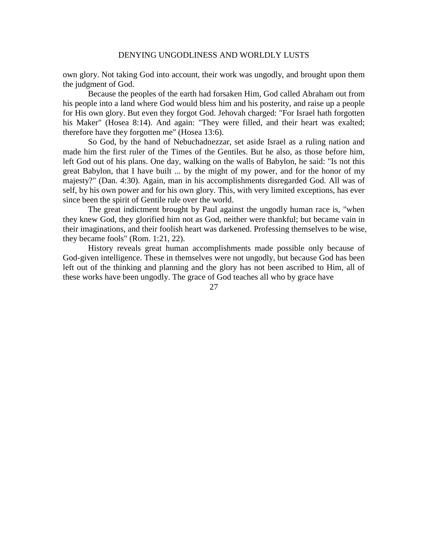#### DENYING UNGODLINESS AND WORLDLY LUSTS

own glory. Not taking God into account, their work was ungodly, and brought upon them the judgment of God.

Because the peoples of the earth had forsaken Him, God called Abraham out from his people into a land where God would bless him and his posterity, and raise up a people for His own glory. But even they forgot God. Jehovah charged: "For Israel hath forgotten his Maker" (Hosea 8:14). And again: "They were filled, and their heart was exalted; therefore have they forgotten me" (Hosea 13:6).

So God, by the hand of Nebuchadnezzar, set aside Israel as a ruling nation and made him the first ruler of the Times of the Gentiles. But he also, as those before him, left God out of his plans. One day, walking on the walls of Babylon, he said: "Is not this great Babylon, that I have built ... by the might of my power, and for the honor of my majesty?" (Dan. 4:30). Again, man in his accomplishments disregarded God. All was of self, by his own power and for his own glory. This, with very limited exceptions, has ever since been the spirit of Gentile rule over the world.

The great indictment brought by Paul against the ungodly human race is, "when they knew God, they glorified him not as God, neither were thankful; but became vain in their imaginations, and their foolish heart was darkened. Professing themselves to be wise, they became fools" (Rom. 1:21, 22).

History reveals great human accomplishments made possible only because of God-given intelligence. These in themselves were not ungodly, but because God has been left out of the thinking and planning and the glory has not been ascribed to Him, all of these works have been ungodly. The grace of God teaches all who by grace have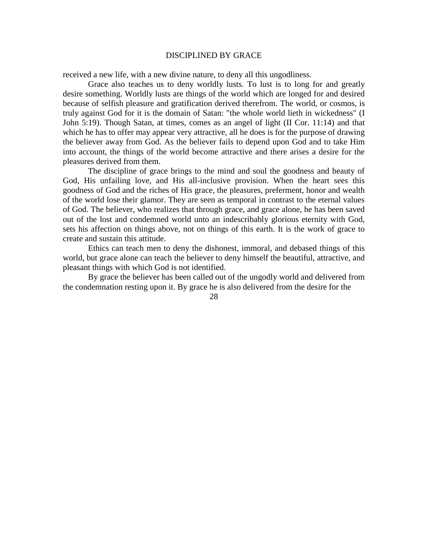received a new life, with a new divine nature, to deny all this ungodliness.

Grace also teaches us to deny worldly lusts. To lust is to long for and greatly desire something. Worldly lusts are things of the world which are longed for and desired because of selfish pleasure and gratification derived therefrom. The world, or cosmos, is truly against God for it is the domain of Satan: "the whole world lieth in wickedness" (I John 5:19). Though Satan, at times, comes as an angel of light (II Cor. 11:14) and that which he has to offer may appear very attractive, all he does is for the purpose of drawing the believer away from God. As the believer fails to depend upon God and to take Him into account, the things of the world become attractive and there arises a desire for the pleasures derived from them.

The discipline of grace brings to the mind and soul the goodness and beauty of God, His unfailing love, and His all-inclusive provision. When the heart sees this goodness of God and the riches of His grace, the pleasures, preferment, honor and wealth of the world lose their glamor. They are seen as temporal in contrast to the eternal values of God. The believer, who realizes that through grace, and grace alone, he has been saved out of the lost and condemned world unto an indescribably glorious eternity with God, sets his affection on things above, not on things of this earth. It is the work of grace to create and sustain this attitude.

Ethics can teach men to deny the dishonest, immoral, and debased things of this world, but grace alone can teach the believer to deny himself the beautiful, attractive, and pleasant things with which God is not identified.

By grace the believer has been called out of the ungodly world and delivered from the condemnation resting upon it. By grace he is also delivered from the desire for the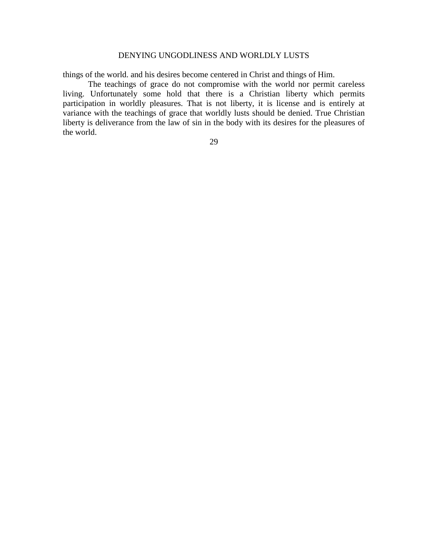#### DENYING UNGODLINESS AND WORLDLY LUSTS

things of the world. and his desires become centered in Christ and things of Him.

The teachings of grace do not compromise with the world nor permit careless living. Unfortunately some hold that there is a Christian liberty which permits participation in worldly pleasures. That is not liberty, it is license and is entirely at variance with the teachings of grace that worldly lusts should be denied. True Christian liberty is deliverance from the law of sin in the body with its desires for the pleasures of the world.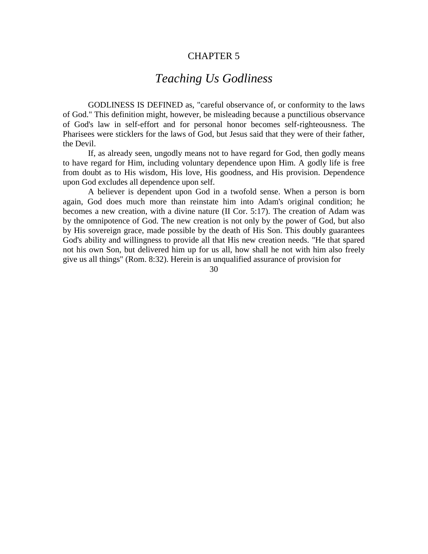#### CHAPTER 5

## *Teaching Us Godliness*

GODLINESS IS DEFINED as, "careful observance of, or conformity to the laws of God." This definition might, however, be misleading because a punctilious observance of God's law in self-effort and for personal honor becomes self-righteousness. The Pharisees were sticklers for the laws of God, but Jesus said that they were of their father, the Devil.

If, as already seen, ungodly means not to have regard for God, then godly means to have regard for Him, including voluntary dependence upon Him. A godly life is free from doubt as to His wisdom, His love, His goodness, and His provision. Dependence upon God excludes all dependence upon self.

A believer is dependent upon God in a twofold sense. When a person is born again, God does much more than reinstate him into Adam's original condition; he becomes a new creation, with a divine nature (II Cor. 5:17). The creation of Adam was by the omnipotence of God. The new creation is not only by the power of God, but also by His sovereign grace, made possible by the death of His Son. This doubly guarantees God's ability and willingness to provide all that His new creation needs. "He that spared not his own Son, but delivered him up for us all, how shall he not with him also freely give us all things" (Rom. 8:32). Herein is an unqualified assurance of provision for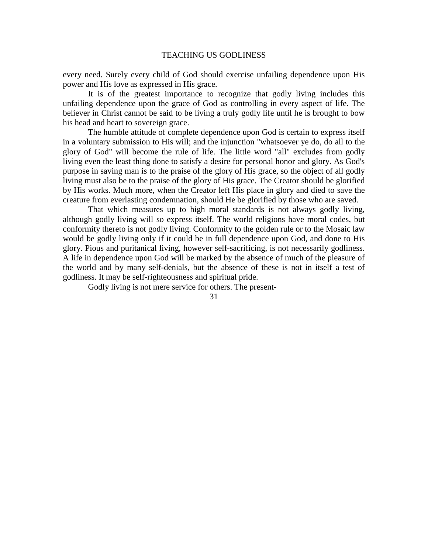#### TEACHING US GODLINESS

every need. Surely every child of God should exercise unfailing dependence upon His power and His love as expressed in His grace.

It is of the greatest importance to recognize that godly living includes this unfailing dependence upon the grace of God as controlling in every aspect of life. The believer in Christ cannot be said to be living a truly godly life until he is brought to bow his head and heart to sovereign grace.

The humble attitude of complete dependence upon God is certain to express itself in a voluntary submission to His will; and the injunction "whatsoever ye do, do all to the glory of God" will become the rule of life. The little word "all" excludes from godly living even the least thing done to satisfy a desire for personal honor and glory. As God's purpose in saving man is to the praise of the glory of His grace, so the object of all godly living must also be to the praise of the glory of His grace. The Creator should be glorified by His works. Much more, when the Creator left His place in glory and died to save the creature from everlasting condemnation, should He be glorified by those who are saved.

That which measures up to high moral standards is not always godly living, although godly living will so express itself. The world religions have moral codes, but conformity thereto is not godly living. Conformity to the golden rule or to the Mosaic law would be godly living only if it could be in full dependence upon God, and done to His glory. Pious and puritanical living, however self-sacrificing, is not necessarily godliness. A life in dependence upon God will be marked by the absence of much of the pleasure of the world and by many self-denials, but the absence of these is not in itself a test of godliness. It may be self-righteousness and spiritual pride.

Godly living is not mere service for others. The present-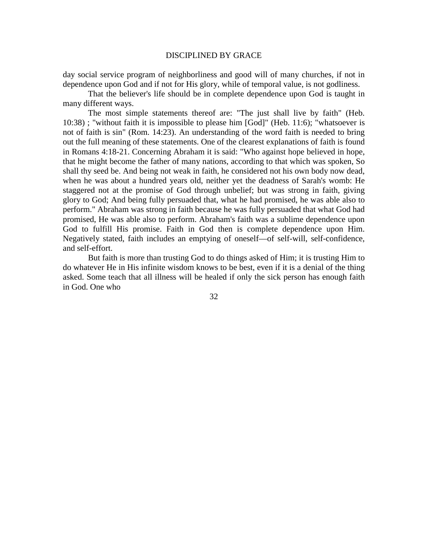day social service program of neighborliness and good will of many churches, if not in dependence upon God and if not for His glory, while of temporal value, is not godliness.

That the believer's life should be in complete dependence upon God is taught in many different ways.

The most simple statements thereof are: "The just shall live by faith" (Heb. 10:38) ; "without faith it is impossible to please him [God]" (Heb. 11:6); "whatsoever is not of faith is sin" (Rom. 14:23). An understanding of the word faith is needed to bring out the full meaning of these statements. One of the clearest explanations of faith is found in Romans 4:18-21. Concerning Abraham it is said: "Who against hope believed in hope, that he might become the father of many nations, according to that which was spoken, So shall thy seed be. And being not weak in faith, he considered not his own body now dead, when he was about a hundred years old, neither yet the deadness of Sarah's womb: He staggered not at the promise of God through unbelief; but was strong in faith, giving glory to God; And being fully persuaded that, what he had promised, he was able also to perform." Abraham was strong in faith because he was fully persuaded that what God had promised, He was able also to perform. Abraham's faith was a sublime dependence upon God to fulfill His promise. Faith in God then is complete dependence upon Him. Negatively stated, faith includes an emptying of oneself—of self-will, self-confidence, and self-effort.

But faith is more than trusting God to do things asked of Him; it is trusting Him to do whatever He in His infinite wisdom knows to be best, even if it is a denial of the thing asked. Some teach that all illness will be healed if only the sick person has enough faith in God. One who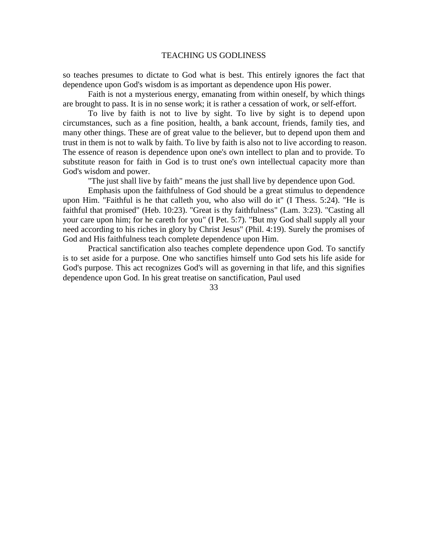#### TEACHING US GODLINESS

so teaches presumes to dictate to God what is best. This entirely ignores the fact that dependence upon God's wisdom is as important as dependence upon His power.

Faith is not a mysterious energy, emanating from within oneself, by which things are brought to pass. It is in no sense work; it is rather a cessation of work, or self-effort.

To live by faith is not to live by sight. To live by sight is to depend upon circumstances, such as a fine position, health, a bank account, friends, family ties, and many other things. These are of great value to the believer, but to depend upon them and trust in them is not to walk by faith. To live by faith is also not to live according to reason. The essence of reason is dependence upon one's own intellect to plan and to provide. To substitute reason for faith in God is to trust one's own intellectual capacity more than God's wisdom and power.

"The just shall live by faith" means the just shall live by dependence upon God.

Emphasis upon the faithfulness of God should be a great stimulus to dependence upon Him. "Faithful is he that calleth you, who also will do it" (I Thess. 5:24). "He is faithful that promised" (Heb. 10:23). "Great is thy faithfulness" (Lam. 3:23). "Casting all your care upon him; for he careth for you" (I Pet. 5:7). "But my God shall supply all your need according to his riches in glory by Christ Jesus" (Phil. 4:19). Surely the promises of God and His faithfulness teach complete dependence upon Him.

Practical sanctification also teaches complete dependence upon God. To sanctify is to set aside for a purpose. One who sanctifies himself unto God sets his life aside for God's purpose. This act recognizes God's will as governing in that life, and this signifies dependence upon God. In his great treatise on sanctification, Paul used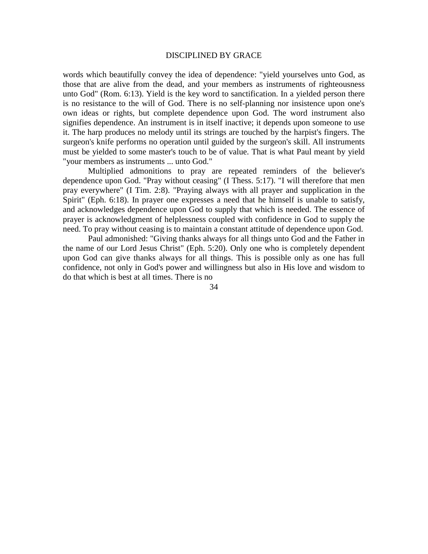words which beautifully convey the idea of dependence: "yield yourselves unto God, as those that are alive from the dead, and your members as instruments of righteousness unto God" (Rom. 6:13). Yield is the key word to sanctification. In a yielded person there is no resistance to the will of God. There is no self-planning nor insistence upon one's own ideas or rights, but complete dependence upon God. The word instrument also signifies dependence. An instrument is in itself inactive; it depends upon someone to use it. The harp produces no melody until its strings are touched by the harpist's fingers. The surgeon's knife performs no operation until guided by the surgeon's skill. All instruments must be yielded to some master's touch to be of value. That is what Paul meant by yield "your members as instruments ... unto God."

Multiplied admonitions to pray are repeated reminders of the believer's dependence upon God. "Pray without ceasing" (I Thess. 5:17). "I will therefore that men pray everywhere" (I Tim. 2:8). "Praying always with all prayer and supplication in the Spirit" (Eph. 6:18). In prayer one expresses a need that he himself is unable to satisfy, and acknowledges dependence upon God to supply that which is needed. The essence of prayer is acknowledgment of helplessness coupled with confidence in God to supply the need. To pray without ceasing is to maintain a constant attitude of dependence upon God.

Paul admonished: "Giving thanks always for all things unto God and the Father in the name of our Lord Jesus Christ" (Eph. 5:20). Only one who is completely dependent upon God can give thanks always for all things. This is possible only as one has full confidence, not only in God's power and willingness but also in His love and wisdom to do that which is best at all times. There is no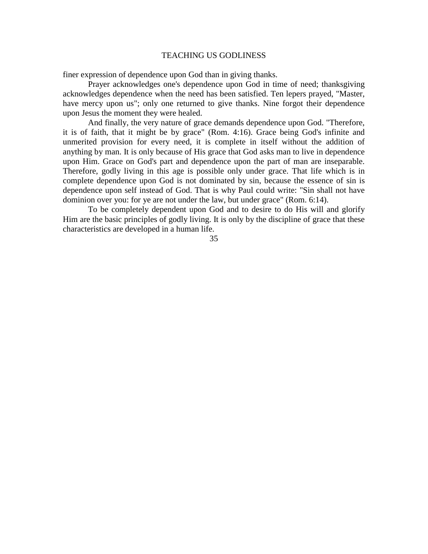#### TEACHING US GODLINESS

finer expression of dependence upon God than in giving thanks.

Prayer acknowledges one's dependence upon God in time of need; thanksgiving acknowledges dependence when the need has been satisfied. Ten lepers prayed, "Master, have mercy upon us"; only one returned to give thanks. Nine forgot their dependence upon Jesus the moment they were healed.

And finally, the very nature of grace demands dependence upon God. "Therefore, it is of faith, that it might be by grace" (Rom. 4:16). Grace being God's infinite and unmerited provision for every need, it is complete in itself without the addition of anything by man. It is only because of His grace that God asks man to live in dependence upon Him. Grace on God's part and dependence upon the part of man are inseparable. Therefore, godly living in this age is possible only under grace. That life which is in complete dependence upon God is not dominated by sin, because the essence of sin is dependence upon self instead of God. That is why Paul could write: "Sin shall not have dominion over you: for ye are not under the law, but under grace" (Rom. 6:14).

To be completely dependent upon God and to desire to do His will and glorify Him are the basic principles of godly living. It is only by the discipline of grace that these characteristics are developed in a human life.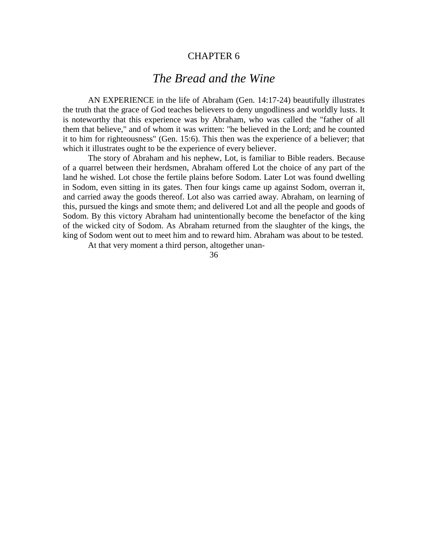#### CHAPTER 6

# *The Bread and the Wine*

AN EXPERIENCE in the life of Abraham (Gen. 14:17-24) beautifully illustrates the truth that the grace of God teaches believers to deny ungodliness and worldly lusts. It is noteworthy that this experience was by Abraham, who was called the "father of all them that believe," and of whom it was written: "he believed in the Lord; and he counted it to him for righteousness" (Gen. 15:6). This then was the experience of a believer; that which it illustrates ought to be the experience of every believer.

The story of Abraham and his nephew, Lot, is familiar to Bible readers. Because of a quarrel between their herdsmen, Abraham offered Lot the choice of any part of the land he wished. Lot chose the fertile plains before Sodom. Later Lot was found dwelling in Sodom, even sitting in its gates. Then four kings came up against Sodom, overran it, and carried away the goods thereof. Lot also was carried away. Abraham, on learning of this, pursued the kings and smote them; and delivered Lot and all the people and goods of Sodom. By this victory Abraham had unintentionally become the benefactor of the king of the wicked city of Sodom. As Abraham returned from the slaughter of the kings, the king of Sodom went out to meet him and to reward him. Abraham was about to be tested.

At that very moment a third person, altogether unan-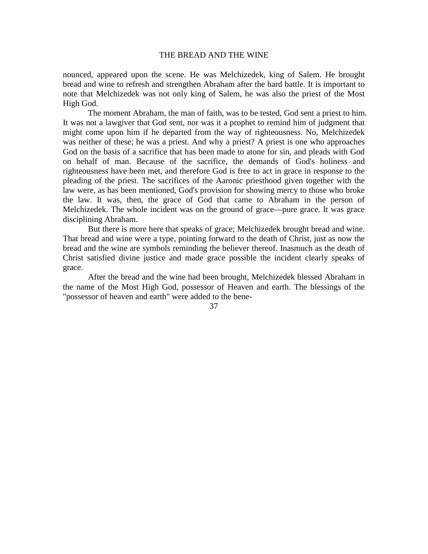#### THE BREAD AND THE WINE

nounced, appeared upon the scene. He was Melchizedek, king of Salem. He brought bread and wine to refresh and strengthen Abraham after the hard battle. It is important to note that Melchizedek was not only king of Salem, he was also the priest of the Most High God.

The moment Abraham, the man of faith, was to be tested, God sent a priest to him. It was not a lawgiver that God sent, nor was it a prophet to remind him of judgment that might come upon him if he departed from the way of righteousness. No, Melchizedek was neither of these; he was a priest. And why a priest? A priest is one who approaches God on the basis of a sacrifice that has been made to atone for sin, and pleads with God on behalf of man. Because of the sacrifice, the demands of God's holiness and righteousness have been met, and therefore God is free to act in grace in response to the pleading of the priest. The sacrifices of the Aaronic priesthood given together with the law were, as has been mentioned, God's provision for showing mercy to those who broke the law. It was, then, the grace of God that came to Abraham in the person of Melchizedek. The whole incident was on the ground of grace—pure grace. It was grace disciplining Abraham.

But there is more here that speaks of grace; Melchizedek brought bread and wine. That bread and wine were a type, pointing forward to the death of Christ, just as now the bread and the wine are symbols reminding the believer thereof. Inasmuch as the death of Christ satisfied divine justice and made grace possible the incident clearly speaks of grace.

After the bread and the wine had been brought, Melchizedek blessed Abraham in the name of the Most High God, possessor of Heaven and earth. The blessings of the "possessor of heaven and earth" were added to the bene-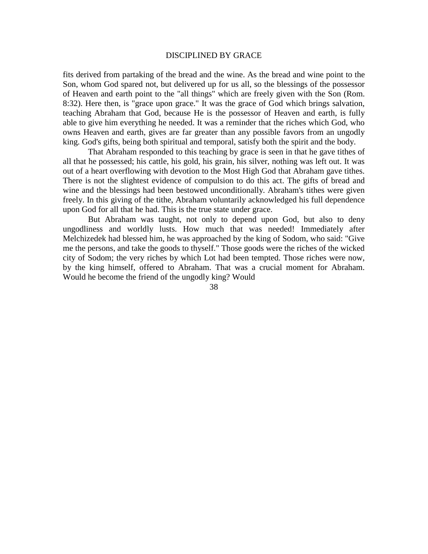fits derived from partaking of the bread and the wine. As the bread and wine point to the Son, whom God spared not, but delivered up for us all, so the blessings of the possessor of Heaven and earth point to the "all things" which are freely given with the Son (Rom. 8:32). Here then, is "grace upon grace." It was the grace of God which brings salvation, teaching Abraham that God, because He is the possessor of Heaven and earth, is fully able to give him everything he needed. It was a reminder that the riches which God, who owns Heaven and earth, gives are far greater than any possible favors from an ungodly king. God's gifts, being both spiritual and temporal, satisfy both the spirit and the body.

That Abraham responded to this teaching by grace is seen in that he gave tithes of all that he possessed; his cattle, his gold, his grain, his silver, nothing was left out. It was out of a heart overflowing with devotion to the Most High God that Abraham gave tithes. There is not the slightest evidence of compulsion to do this act. The gifts of bread and wine and the blessings had been bestowed unconditionally. Abraham's tithes were given freely. In this giving of the tithe, Abraham voluntarily acknowledged his full dependence upon God for all that he had. This is the true state under grace.

But Abraham was taught, not only to depend upon God, but also to deny ungodliness and worldly lusts. How much that was needed! Immediately after Melchizedek had blessed him, he was approached by the king of Sodom, who said: "Give me the persons, and take the goods to thyself." Those goods were the riches of the wicked city of Sodom; the very riches by which Lot had been tempted. Those riches were now, by the king himself, offered to Abraham. That was a crucial moment for Abraham. Would he become the friend of the ungodly king? Would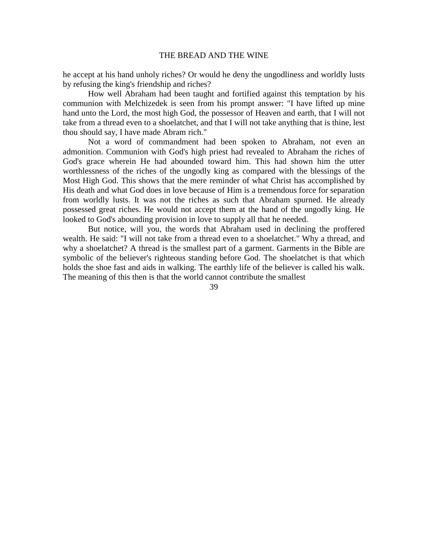## THE BREAD AND THE WINE

he accept at his hand unholy riches? Or would he deny the ungodliness and worldly lusts by refusing the king's friendship and riches?

How well Abraham had been taught and fortified against this temptation by his communion with Melchizedek is seen from his prompt answer: "I have lifted up mine hand unto the Lord, the most high God, the possessor of Heaven and earth, that I will not take from a thread even to a shoelatchet, and that I will not take anything that is thine, lest thou should say, I have made Abram rich."

Not a word of commandment had been spoken to Abraham, not even an admonition. Communion with God's high priest had revealed to Abraham the riches of God's grace wherein He had abounded toward him. This had shown him the utter worthlessness of the riches of the ungodly king as compared with the blessings of the Most High God. This shows that the mere reminder of what Christ has accomplished by His death and what God does in love because of Him is a tremendous force for separation from worldly lusts. It was not the riches as such that Abraham spurned. He already possessed great riches. He would not accept them at the hand of the ungodly king. He looked to God's abounding provision in love to supply all that he needed.

But notice, will you, the words that Abraham used in declining the proffered wealth. He said: "I will not take from a thread even to a shoelatchet." Why a thread, and why a shoelatchet? A thread is the smallest part of a garment. Garments in the Bible are symbolic of the believer's righteous standing before God. The shoelatchet is that which holds the shoe fast and aids in walking. The earthly life of the believer is called his walk. The meaning of this then is that the world cannot contribute the smallest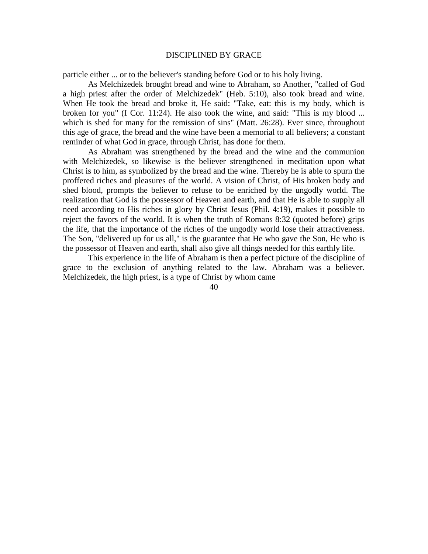particle either ... or to the believer's standing before God or to his holy living.

As Melchizedek brought bread and wine to Abraham, so Another, "called of God a high priest after the order of Melchizedek" (Heb. 5:10), also took bread and wine. When He took the bread and broke it, He said: "Take, eat: this is my body, which is broken for you" (I Cor. 11:24). He also took the wine, and said: "This is my blood ... which is shed for many for the remission of sins" (Matt. 26:28). Ever since, throughout this age of grace, the bread and the wine have been a memorial to all believers; a constant reminder of what God in grace, through Christ, has done for them.

As Abraham was strengthened by the bread and the wine and the communion with Melchizedek, so likewise is the believer strengthened in meditation upon what Christ is to him, as symbolized by the bread and the wine. Thereby he is able to spurn the proffered riches and pleasures of the world. A vision of Christ, of His broken body and shed blood, prompts the believer to refuse to be enriched by the ungodly world. The realization that God is the possessor of Heaven and earth, and that He is able to supply all need according to His riches in glory by Christ Jesus (Phil. 4:19), makes it possible to reject the favors of the world. It is when the truth of Romans 8:32 (quoted before) grips the life, that the importance of the riches of the ungodly world lose their attractiveness. The Son, "delivered up for us all," is the guarantee that He who gave the Son, He who is the possessor of Heaven and earth, shall also give all things needed for this earthly life.

This experience in the life of Abraham is then a perfect picture of the discipline of grace to the exclusion of anything related to the law. Abraham was a believer. Melchizedek, the high priest, is a type of Christ by whom came

<sup>40</sup>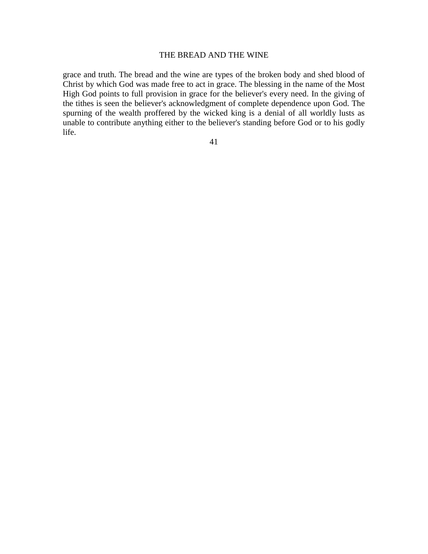## THE BREAD AND THE WINE

grace and truth. The bread and the wine are types of the broken body and shed blood of Christ by which God was made free to act in grace. The blessing in the name of the Most High God points to full provision in grace for the believer's every need. In the giving of the tithes is seen the believer's acknowledgment of complete dependence upon God. The spurning of the wealth proffered by the wicked king is a denial of all worldly lusts as unable to contribute anything either to the believer's standing before God or to his godly life.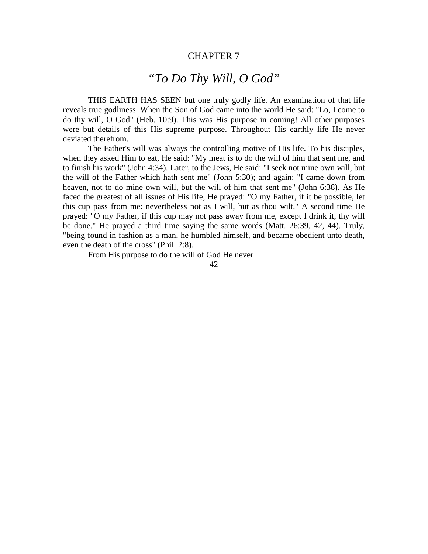## CHAPTER 7

## *"To Do Thy Will, O God"*

THIS EARTH HAS SEEN but one truly godly life. An examination of that life reveals true godliness. When the Son of God came into the world He said: "Lo, I come to do thy will, O God" (Heb. 10:9). This was His purpose in coming! All other purposes were but details of this His supreme purpose. Throughout His earthly life He never deviated therefrom.

The Father's will was always the controlling motive of His life. To his disciples, when they asked Him to eat, He said: "My meat is to do the will of him that sent me, and to finish his work" (John 4:34). Later, to the Jews, He said: "I seek not mine own will, but the will of the Father which hath sent me" (John 5:30); and again: "I came down from heaven, not to do mine own will, but the will of him that sent me" (John 6:38). As He faced the greatest of all issues of His life, He prayed: "O my Father, if it be possible, let this cup pass from me: nevertheless not as I will, but as thou wilt." A second time He prayed: "O my Father, if this cup may not pass away from me, except I drink it, thy will be done." He prayed a third time saying the same words (Matt. 26:39, 42, 44). Truly, "being found in fashion as a man, he humbled himself, and became obedient unto death, even the death of the cross" (Phil. 2:8).

From His purpose to do the will of God He never

<sup>42</sup>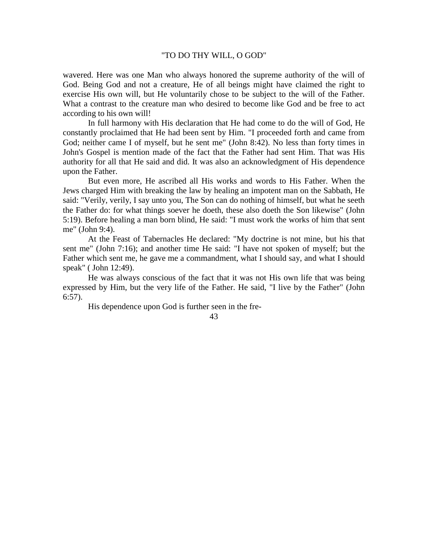## "TO DO THY WILL, O GOD"

wavered. Here was one Man who always honored the supreme authority of the will of God. Being God and not a creature, He of all beings might have claimed the right to exercise His own will, but He voluntarily chose to be subject to the will of the Father. What a contrast to the creature man who desired to become like God and be free to act according to his own will!

In full harmony with His declaration that He had come to do the will of God, He constantly proclaimed that He had been sent by Him. "I proceeded forth and came from God; neither came I of myself, but he sent me" (John 8:42). No less than forty times in John's Gospel is mention made of the fact that the Father had sent Him. That was His authority for all that He said and did. It was also an acknowledgment of His dependence upon the Father.

But even more, He ascribed all His works and words to His Father. When the Jews charged Him with breaking the law by healing an impotent man on the Sabbath, He said: "Verily, verily, I say unto you, The Son can do nothing of himself, but what he seeth the Father do: for what things soever he doeth, these also doeth the Son likewise" (John 5:19). Before healing a man born blind, He said: "I must work the works of him that sent me" (John 9:4).

At the Feast of Tabernacles He declared: "My doctrine is not mine, but his that sent me" (John 7:16); and another time He said: "I have not spoken of myself; but the Father which sent me, he gave me a commandment, what I should say, and what I should speak" ( John 12:49).

He was always conscious of the fact that it was not His own life that was being expressed by Him, but the very life of the Father. He said, "I live by the Father" (John 6:57).

His dependence upon God is further seen in the fre-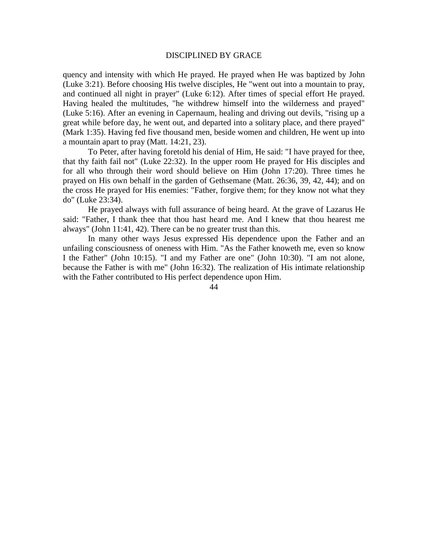quency and intensity with which He prayed. He prayed when He was baptized by John (Luke 3:21). Before choosing His twelve disciples, He "went out into a mountain to pray, and continued all night in prayer" (Luke 6:12). After times of special effort He prayed. Having healed the multitudes, "he withdrew himself into the wilderness and prayed" (Luke 5:16). After an evening in Capernaum, healing and driving out devils, "rising up a great while before day, he went out, and departed into a solitary place, and there prayed" (Mark 1:35). Having fed five thousand men, beside women and children, He went up into a mountain apart to pray (Matt. 14:21, 23).

To Peter, after having foretold his denial of Him, He said: "I have prayed for thee, that thy faith fail not" (Luke 22:32). In the upper room He prayed for His disciples and for all who through their word should believe on Him (John 17:20). Three times he prayed on His own behalf in the garden of Gethsemane (Matt. 26:36, 39, 42, 44); and on the cross He prayed for His enemies: "Father, forgive them; for they know not what they do" (Luke 23:34).

He prayed always with full assurance of being heard. At the grave of Lazarus He said: "Father, I thank thee that thou hast heard me. And I knew that thou hearest me always" (John 11:41, 42). There can be no greater trust than this.

In many other ways Jesus expressed His dependence upon the Father and an unfailing consciousness of oneness with Him. "As the Father knoweth me, even so know I the Father" (John 10:15). "I and my Father are one" (John 10:30). "I am not alone, because the Father is with me" (John 16:32). The realization of His intimate relationship with the Father contributed to His perfect dependence upon Him.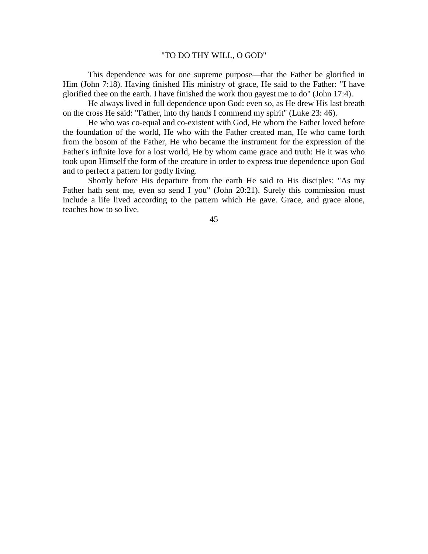## "TO DO THY WILL, O GOD"

This dependence was for one supreme purpose—that the Father be glorified in Him (John 7:18). Having finished His ministry of grace, He said to the Father: "I have glorified thee on the earth. I have finished the work thou gayest me to do" (John 17:4).

He always lived in full dependence upon God: even so, as He drew His last breath on the cross He said: "Father, into thy hands I commend my spirit" (Luke 23: 46).

He who was co-equal and co-existent with God, He whom the Father loved before the foundation of the world, He who with the Father created man, He who came forth from the bosom of the Father, He who became the instrument for the expression of the Father's infinite love for a lost world, He by whom came grace and truth: He it was who took upon Himself the form of the creature in order to express true dependence upon God and to perfect a pattern for godly living.

Shortly before His departure from the earth He said to His disciples: "As my Father hath sent me, even so send I you" (John 20:21). Surely this commission must include a life lived according to the pattern which He gave. Grace, and grace alone, teaches how to so live.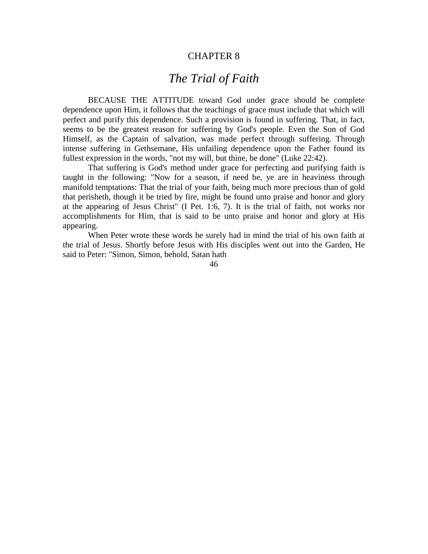## CHAPTER 8

# *The Trial of Faith*

BECAUSE THE ATTITUDE toward God under grace should be complete dependence upon Him, it follows that the teachings of grace must include that which will perfect and purify this dependence. Such a provision is found in suffering. That, in fact, seems to be the greatest reason for suffering by God's people. Even the Son of God Himself, as the Captain of salvation, was made perfect through suffering. Through intense suffering in Gethsemane, His unfailing dependence upon the Father found its fullest expression in the words, "not my will, but thine, be done" (Luke 22:42).

That suffering is God's method under grace for perfecting and purifying faith is taught in the following: "Now for a season, if need be, ye are in heaviness through manifold temptations: That the trial of your faith, being much more precious than of gold that perisheth, though it be tried by fire, might be found unto praise and honor and glory at the appearing of Jesus Christ" (I Pet. 1:6, 7). It is the trial of faith, not works nor accomplishments for Him, that is said to be unto praise and honor and glory at His appearing.

When Peter wrote these words he surely had in mind the trial of his own faith at the trial of Jesus. Shortly before Jesus with His disciples went out into the Garden, He said to Peter: "Simon, Simon, behold, Satan hath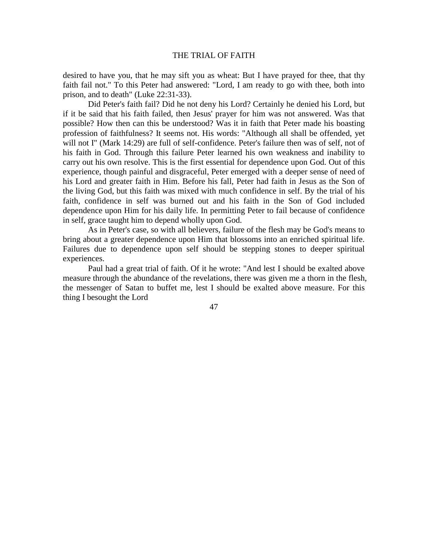## THE TRIAL OF FAITH

desired to have you, that he may sift you as wheat: But I have prayed for thee, that thy faith fail not." To this Peter had answered: "Lord, I am ready to go with thee, both into prison, and to death" (Luke 22:31-33).

Did Peter's faith fail? Did he not deny his Lord? Certainly he denied his Lord, but if it be said that his faith failed, then Jesus' prayer for him was not answered. Was that possible? How then can this be understood? Was it in faith that Peter made his boasting profession of faithfulness? It seems not. His words: "Although all shall be offended, yet will not I" (Mark 14:29) are full of self-confidence. Peter's failure then was of self, not of his faith in God. Through this failure Peter learned his own weakness and inability to carry out his own resolve. This is the first essential for dependence upon God. Out of this experience, though painful and disgraceful, Peter emerged with a deeper sense of need of his Lord and greater faith in Him. Before his fall, Peter had faith in Jesus as the Son of the living God, but this faith was mixed with much confidence in self. By the trial of his faith, confidence in self was burned out and his faith in the Son of God included dependence upon Him for his daily life. In permitting Peter to fail because of confidence in self, grace taught him to depend wholly upon God.

As in Peter's case, so with all believers, failure of the flesh may be God's means to bring about a greater dependence upon Him that blossoms into an enriched spiritual life. Failures due to dependence upon self should be stepping stones to deeper spiritual experiences.

Paul had a great trial of faith. Of it he wrote: "And lest I should be exalted above measure through the abundance of the revelations, there was given me a thorn in the flesh, the messenger of Satan to buffet me, lest I should be exalted above measure. For this thing I besought the Lord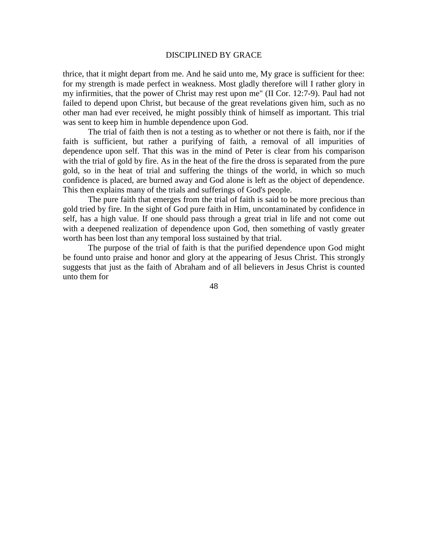thrice, that it might depart from me. And he said unto me, My grace is sufficient for thee: for my strength is made perfect in weakness. Most gladly therefore will I rather glory in my infirmities, that the power of Christ may rest upon me" (II Cor. 12:7-9). Paul had not failed to depend upon Christ, but because of the great revelations given him, such as no other man had ever received, he might possibly think of himself as important. This trial was sent to keep him in humble dependence upon God.

The trial of faith then is not a testing as to whether or not there is faith, nor if the faith is sufficient, but rather a purifying of faith, a removal of all impurities of dependence upon self. That this was in the mind of Peter is clear from his comparison with the trial of gold by fire. As in the heat of the fire the dross is separated from the pure gold, so in the heat of trial and suffering the things of the world, in which so much confidence is placed, are burned away and God alone is left as the object of dependence. This then explains many of the trials and sufferings of God's people.

The pure faith that emerges from the trial of faith is said to be more precious than gold tried by fire. In the sight of God pure faith in Him, uncontaminated by confidence in self, has a high value. If one should pass through a great trial in life and not come out with a deepened realization of dependence upon God, then something of vastly greater worth has been lost than any temporal loss sustained by that trial.

The purpose of the trial of faith is that the purified dependence upon God might be found unto praise and honor and glory at the appearing of Jesus Christ. This strongly suggests that just as the faith of Abraham and of all believers in Jesus Christ is counted unto them for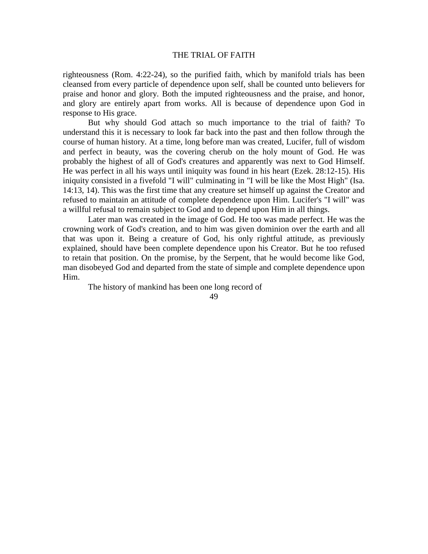## THE TRIAL OF FAITH

righteousness (Rom. 4:22-24), so the purified faith, which by manifold trials has been cleansed from every particle of dependence upon self, shall be counted unto believers for praise and honor and glory. Both the imputed righteousness and the praise, and honor, and glory are entirely apart from works. All is because of dependence upon God in response to His grace.

But why should God attach so much importance to the trial of faith? To understand this it is necessary to look far back into the past and then follow through the course of human history. At a time, long before man was created, Lucifer, full of wisdom and perfect in beauty, was the covering cherub on the holy mount of God. He was probably the highest of all of God's creatures and apparently was next to God Himself. He was perfect in all his ways until iniquity was found in his heart (Ezek. 28:12-15). His iniquity consisted in a fivefold "I will" culminating in "I will be like the Most High" (Isa. 14:13, 14). This was the first time that any creature set himself up against the Creator and refused to maintain an attitude of complete dependence upon Him. Lucifer's "I will" was a willful refusal to remain subject to God and to depend upon Him in all things.

Later man was created in the image of God. He too was made perfect. He was the crowning work of God's creation, and to him was given dominion over the earth and all that was upon it. Being a creature of God, his only rightful attitude, as previously explained, should have been complete dependence upon his Creator. But he too refused to retain that position. On the promise, by the Serpent, that he would become like God, man disobeyed God and departed from the state of simple and complete dependence upon Him.

The history of mankind has been one long record of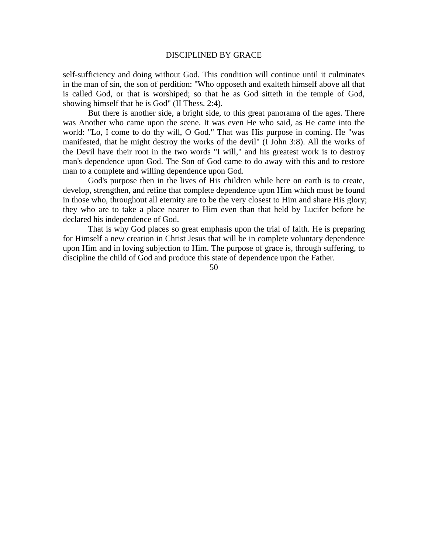self-sufficiency and doing without God. This condition will continue until it culminates in the man of sin, the son of perdition: "Who opposeth and exalteth himself above all that is called God, or that is worshiped; so that he as God sitteth in the temple of God, showing himself that he is God" (II Thess. 2:4).

But there is another side, a bright side, to this great panorama of the ages. There was Another who came upon the scene. It was even He who said, as He came into the world: "Lo, I come to do thy will, O God." That was His purpose in coming. He "was manifested, that he might destroy the works of the devil" (I John 3:8). All the works of the Devil have their root in the two words "I will," and his greatest work is to destroy man's dependence upon God. The Son of God came to do away with this and to restore man to a complete and willing dependence upon God.

God's purpose then in the lives of His children while here on earth is to create, develop, strengthen, and refine that complete dependence upon Him which must be found in those who, throughout all eternity are to be the very closest to Him and share His glory; they who are to take a place nearer to Him even than that held by Lucifer before he declared his independence of God.

That is why God places so great emphasis upon the trial of faith. He is preparing for Himself a new creation in Christ Jesus that will be in complete voluntary dependence upon Him and in loving subjection to Him. The purpose of grace is, through suffering, to discipline the child of God and produce this state of dependence upon the Father.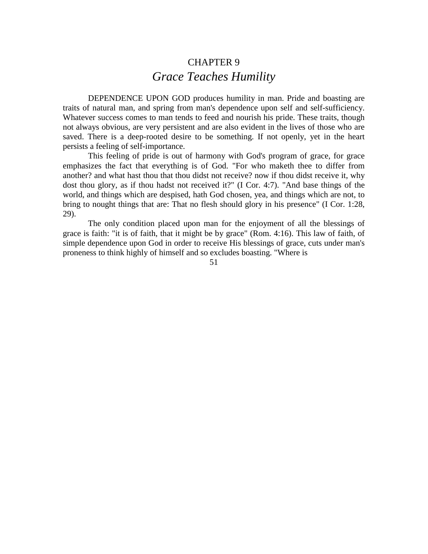# CHAPTER 9 *Grace Teaches Humility*

DEPENDENCE UPON GOD produces humility in man. Pride and boasting are traits of natural man, and spring from man's dependence upon self and self-sufficiency. Whatever success comes to man tends to feed and nourish his pride. These traits, though not always obvious, are very persistent and are also evident in the lives of those who are saved. There is a deep-rooted desire to be something. If not openly, yet in the heart persists a feeling of self-importance.

This feeling of pride is out of harmony with God's program of grace, for grace emphasizes the fact that everything is of God. "For who maketh thee to differ from another? and what hast thou that thou didst not receive? now if thou didst receive it, why dost thou glory, as if thou hadst not received it?" (I Cor. 4:7). "And base things of the world, and things which are despised, hath God chosen, yea, and things which are not, to bring to nought things that are: That no flesh should glory in his presence" (I Cor. 1:28, 29).

The only condition placed upon man for the enjoyment of all the blessings of grace is faith: "it is of faith, that it might be by grace" (Rom. 4:16). This law of faith, of simple dependence upon God in order to receive His blessings of grace, cuts under man's proneness to think highly of himself and so excludes boasting. "Where is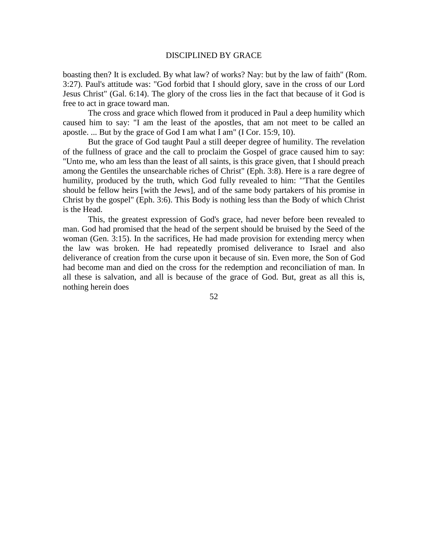boasting then? It is excluded. By what law? of works? Nay: but by the law of faith" (Rom. 3:27). Paul's attitude was: "God forbid that I should glory, save in the cross of our Lord Jesus Christ" (Gal. 6:14). The glory of the cross lies in the fact that because of it God is free to act in grace toward man.

The cross and grace which flowed from it produced in Paul a deep humility which caused him to say: "I am the least of the apostles, that am not meet to be called an apostle. ... But by the grace of God I am what I am" (I Cor. 15:9, 10).

But the grace of God taught Paul a still deeper degree of humility. The revelation of the fullness of grace and the call to proclaim the Gospel of grace caused him to say: "Unto me, who am less than the least of all saints, is this grace given, that I should preach among the Gentiles the unsearchable riches of Christ" (Eph. 3:8). Here is a rare degree of humility, produced by the truth, which God fully revealed to him: "'That the Gentiles should be fellow heirs [with the Jews], and of the same body partakers of his promise in Christ by the gospel" (Eph. 3:6). This Body is nothing less than the Body of which Christ is the Head.

This, the greatest expression of God's grace, had never before been revealed to man. God had promised that the head of the serpent should be bruised by the Seed of the woman (Gen. 3:15). In the sacrifices, He had made provision for extending mercy when the law was broken. He had repeatedly promised deliverance to Israel and also deliverance of creation from the curse upon it because of sin. Even more, the Son of God had become man and died on the cross for the redemption and reconciliation of man. In all these is salvation, and all is because of the grace of God. But, great as all this is, nothing herein does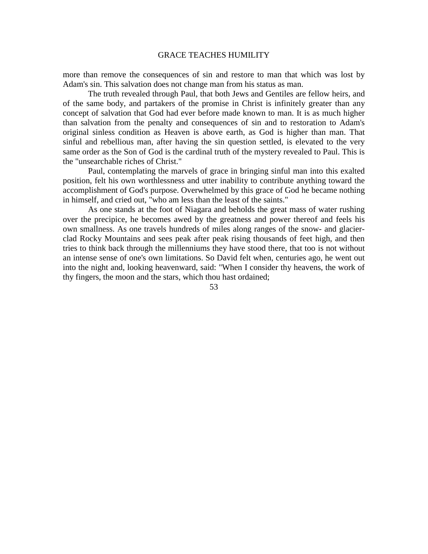## GRACE TEACHES HUMILITY

more than remove the consequences of sin and restore to man that which was lost by Adam's sin. This salvation does not change man from his status as man.

The truth revealed through Paul, that both Jews and Gentiles are fellow heirs, and of the same body, and partakers of the promise in Christ is infinitely greater than any concept of salvation that God had ever before made known to man. It is as much higher than salvation from the penalty and consequences of sin and to restoration to Adam's original sinless condition as Heaven is above earth, as God is higher than man. That sinful and rebellious man, after having the sin question settled, is elevated to the very same order as the Son of God is the cardinal truth of the mystery revealed to Paul. This is the "unsearchable riches of Christ."

Paul, contemplating the marvels of grace in bringing sinful man into this exalted position, felt his own worthlessness and utter inability to contribute anything toward the accomplishment of God's purpose. Overwhelmed by this grace of God he became nothing in himself, and cried out, "who am less than the least of the saints."

As one stands at the foot of Niagara and beholds the great mass of water rushing over the precipice, he becomes awed by the greatness and power thereof and feels his own smallness. As one travels hundreds of miles along ranges of the snow- and glacierclad Rocky Mountains and sees peak after peak rising thousands of feet high, and then tries to think back through the millenniums they have stood there, that too is not without an intense sense of one's own limitations. So David felt when, centuries ago, he went out into the night and, looking heavenward, said: "When I consider thy heavens, the work of thy fingers, the moon and the stars, which thou hast ordained;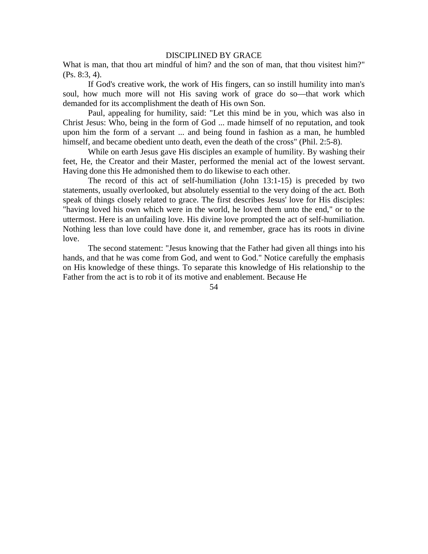What is man, that thou art mindful of him? and the son of man, that thou visitest him?" (Ps. 8:3, 4).

If God's creative work, the work of His fingers, can so instill humility into man's soul, how much more will not His saving work of grace do so—that work which demanded for its accomplishment the death of His own Son.

Paul, appealing for humility, said: "Let this mind be in you, which was also in Christ Jesus: Who, being in the form of God ... made himself of no reputation, and took upon him the form of a servant ... and being found in fashion as a man, he humbled himself, and became obedient unto death, even the death of the cross" (Phil. 2:5-8).

While on earth Jesus gave His disciples an example of humility. By washing their feet, He, the Creator and their Master, performed the menial act of the lowest servant. Having done this He admonished them to do likewise to each other.

The record of this act of self-humiliation (John 13:1-15) is preceded by two statements, usually overlooked, but absolutely essential to the very doing of the act. Both speak of things closely related to grace. The first describes Jesus' love for His disciples: "having loved his own which were in the world, he loved them unto the end," or to the uttermost. Here is an unfailing love. His divine love prompted the act of self-humiliation. Nothing less than love could have done it, and remember, grace has its roots in divine love.

The second statement: "Jesus knowing that the Father had given all things into his hands, and that he was come from God, and went to God." Notice carefully the emphasis on His knowledge of these things. To separate this knowledge of His relationship to the Father from the act is to rob it of its motive and enablement. Because He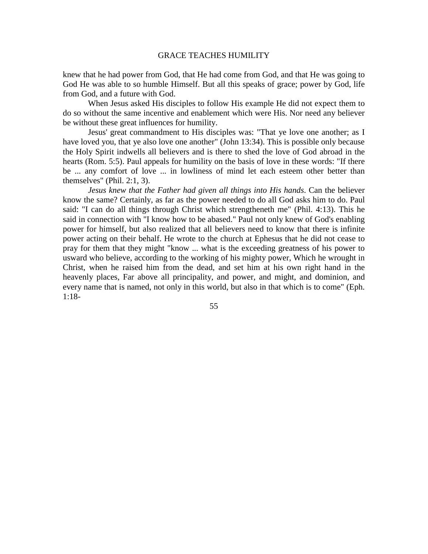#### GRACE TEACHES HUMILITY

knew that he had power from God, that He had come from God, and that He was going to God He was able to so humble Himself. But all this speaks of grace; power by God, life from God, and a future with God.

When Jesus asked His disciples to follow His example He did not expect them to do so without the same incentive and enablement which were His. Nor need any believer be without these great influences for humility.

Jesus' great commandment to His disciples was: "That ye love one another; as I have loved you, that ye also love one another" (John 13:34). This is possible only because the Holy Spirit indwells all believers and is there to shed the love of God abroad in the hearts (Rom. 5:5). Paul appeals for humility on the basis of love in these words: "If there be ... any comfort of love ... in lowliness of mind let each esteem other better than themselves" (Phil. 2:1, 3).

*Jesus knew that the Father had given all things into His hands*. Can the believer know the same? Certainly, as far as the power needed to do all God asks him to do. Paul said: "I can do all things through Christ which strengtheneth me" (Phil. 4:13). This he said in connection with "I know how to be abased." Paul not only knew of God's enabling power for himself, but also realized that all believers need to know that there is infinite power acting on their behalf. He wrote to the church at Ephesus that he did not cease to pray for them that they might "know ... what is the exceeding greatness of his power to usward who believe, according to the working of his mighty power, Which he wrought in Christ, when he raised him from the dead, and set him at his own right hand in the heavenly places, Far above all principality, and power, and might, and dominion, and every name that is named, not only in this world, but also in that which is to come" (Eph. 1:18-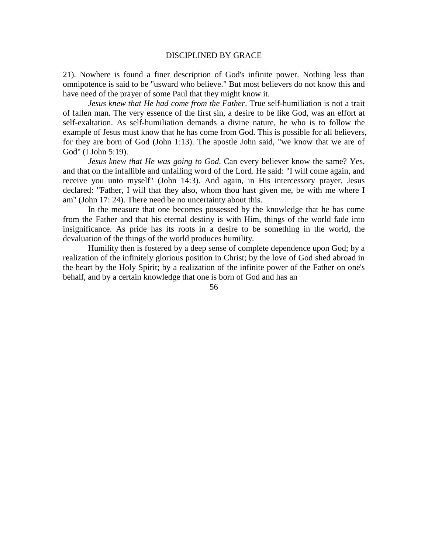21). Nowhere is found a finer description of God's infinite power. Nothing less than omnipotence is said to be "usward who believe." But most believers do not know this and have need of the prayer of some Paul that they might know it.

*Jesus knew that He had come from the Father*. True self-humiliation is not a trait of fallen man. The very essence of the first sin, a desire to be like God, was an effort at self-exaltation. As self-humiliation demands a divine nature, he who is to follow the example of Jesus must know that he has come from God. This is possible for all believers, for they are born of God (John 1:13). The apostle John said, "we know that we are of God" (I John 5:19).

*Jesus knew that He was going to God*. Can every believer know the same? Yes, and that on the infallible and unfailing word of the Lord. He said: "I will come again, and receive you unto myself" (John 14:3). And again, in His intercessory prayer, Jesus declared: "Father, I will that they also, whom thou hast given me, be with me where I am" (John 17: 24). There need be no uncertainty about this.

In the measure that one becomes possessed by the knowledge that he has come from the Father and that his eternal destiny is with Him, things of the world fade into insignificance. As pride has its roots in a desire to be something in the world, the devaluation of the things of the world produces humility.

Humility then is fostered by a deep sense of complete dependence upon God; by a realization of the infinitely glorious position in Christ; by the love of God shed abroad in the heart by the Holy Spirit; by a realization of the infinite power of the Father on one's behalf, and by a certain knowledge that one is born of God and has an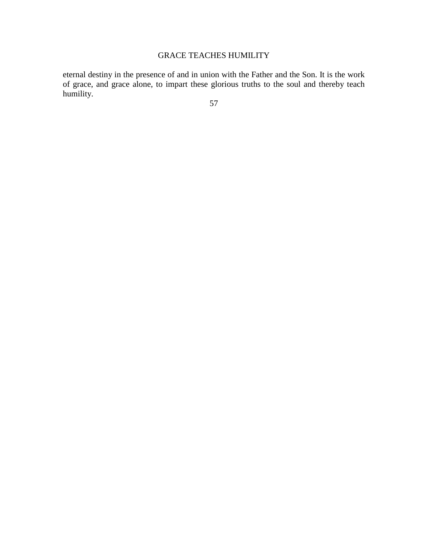## GRACE TEACHES HUMILITY

eternal destiny in the presence of and in union with the Father and the Son. It is the work of grace, and grace alone, to impart these glorious truths to the soul and thereby teach humility.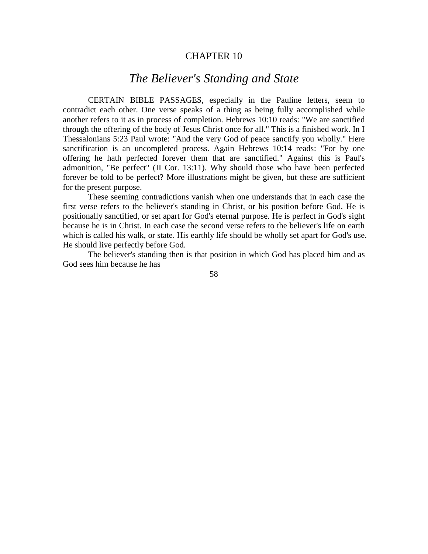## CHAPTER 10

## *The Believer's Standing and State*

CERTAIN BIBLE PASSAGES, especially in the Pauline letters, seem to contradict each other. One verse speaks of a thing as being fully accomplished while another refers to it as in process of completion. Hebrews 10:10 reads: "We are sanctified through the offering of the body of Jesus Christ once for all." This is a finished work. In I Thessalonians 5:23 Paul wrote: "And the very God of peace sanctify you wholly." Here sanctification is an uncompleted process. Again Hebrews 10:14 reads: "For by one offering he hath perfected forever them that are sanctified." Against this is Paul's admonition, "Be perfect" (II Cor. 13:11). Why should those who have been perfected forever be told to be perfect? More illustrations might be given, but these are sufficient for the present purpose.

These seeming contradictions vanish when one understands that in each case the first verse refers to the believer's standing in Christ, or his position before God. He is positionally sanctified, or set apart for God's eternal purpose. He is perfect in God's sight because he is in Christ. In each case the second verse refers to the believer's life on earth which is called his walk, or state. His earthly life should be wholly set apart for God's use. He should live perfectly before God.

The believer's standing then is that position in which God has placed him and as God sees him because he has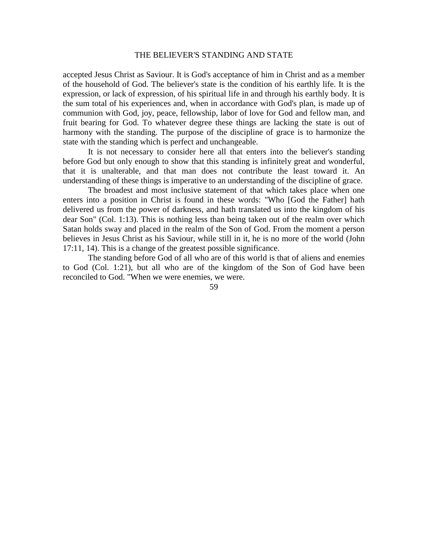## THE BELIEVER'S STANDING AND STATE

accepted Jesus Christ as Saviour. It is God's acceptance of him in Christ and as a member of the household of God. The believer's state is the condition of his earthly life. It is the expression, or lack of expression, of his spiritual life in and through his earthly body. It is the sum total of his experiences and, when in accordance with God's plan, is made up of communion with God, joy, peace, fellowship, labor of love for God and fellow man, and fruit bearing for God. To whatever degree these things are lacking the state is out of harmony with the standing. The purpose of the discipline of grace is to harmonize the state with the standing which is perfect and unchangeable.

It is not necessary to consider here all that enters into the believer's standing before God but only enough to show that this standing is infinitely great and wonderful, that it is unalterable, and that man does not contribute the least toward it. An understanding of these things is imperative to an understanding of the discipline of grace.

The broadest and most inclusive statement of that which takes place when one enters into a position in Christ is found in these words: "Who [God the Father] hath delivered us from the power of darkness, and hath translated us into the kingdom of his dear Son" (Col. 1:13). This is nothing less than being taken out of the realm over which Satan holds sway and placed in the realm of the Son of God. From the moment a person believes in Jesus Christ as his Saviour, while still in it, he is no more of the world (John 17:11, 14). This is a change of the greatest possible significance.

The standing before God of all who are of this world is that of aliens and enemies to God (Col. 1:21), but all who are of the kingdom of the Son of God have been reconciled to God. "When we were enemies, we were.

<sup>59</sup>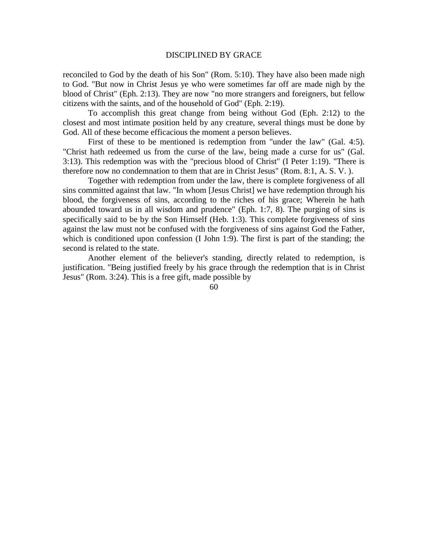reconciled to God by the death of his Son" (Rom. 5:10). They have also been made nigh to God. "But now in Christ Jesus ye who were sometimes far off are made nigh by the blood of Christ" (Eph. 2:13). They are now "no more strangers and foreigners, but fellow citizens with the saints, and of the household of God" (Eph. 2:19).

To accomplish this great change from being without God (Eph. 2:12) to the closest and most intimate position held by any creature, several things must be done by God. All of these become efficacious the moment a person believes.

First of these to be mentioned is redemption from "under the law" (Gal. 4:5). "Christ hath redeemed us from the curse of the law, being made a curse for us" (Gal. 3:13). This redemption was with the "precious blood of Christ" (I Peter 1:19). "There is therefore now no condemnation to them that are in Christ Jesus" (Rom. 8:1, A. S. V. ).

Together with redemption from under the law, there is complete forgiveness of all sins committed against that law. "In whom [Jesus Christ] we have redemption through his blood, the forgiveness of sins, according to the riches of his grace; Wherein he hath abounded toward us in all wisdom and prudence" (Eph. 1:7, 8). The purging of sins is specifically said to be by the Son Himself (Heb. 1:3). This complete forgiveness of sins against the law must not be confused with the forgiveness of sins against God the Father, which is conditioned upon confession (I John 1:9). The first is part of the standing; the second is related to the state.

Another element of the believer's standing, directly related to redemption, is justification. "Being justified freely by his grace through the redemption that is in Christ Jesus" (Rom. 3:24). This is a free gift, made possible by

<sup>60</sup>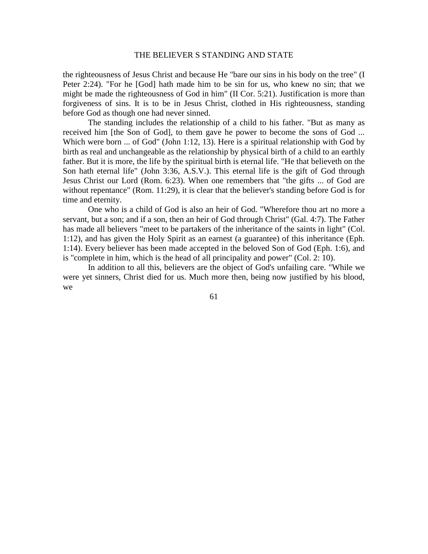## THE BELIEVER S STANDING AND STATE

the righteousness of Jesus Christ and because He "bare our sins in his body on the tree" (I Peter 2:24). "For he [God] hath made him to be sin for us, who knew no sin; that we might be made the righteousness of God in him" (II Cor. 5:21). Justification is more than forgiveness of sins. It is to be in Jesus Christ, clothed in His righteousness, standing before God as though one had never sinned.

The standing includes the relationship of a child to his father. "But as many as received him [the Son of God], to them gave he power to become the sons of God ... Which were born ... of God" (John 1:12, 13). Here is a spiritual relationship with God by birth as real and unchangeable as the relationship by physical birth of a child to an earthly father. But it is more, the life by the spiritual birth is eternal life. "He that believeth on the Son hath eternal life" (John 3:36, A.S.V.). This eternal life is the gift of God through Jesus Christ our Lord (Rom. 6:23). When one remembers that "the gifts ... of God are without repentance" (Rom. 11:29), it is clear that the believer's standing before God is for time and eternity.

One who is a child of God is also an heir of God. "Wherefore thou art no more a servant, but a son; and if a son, then an heir of God through Christ" (Gal. 4:7). The Father has made all believers "meet to be partakers of the inheritance of the saints in light" (Col. 1:12), and has given the Holy Spirit as an earnest (a guarantee) of this inheritance (Eph. 1:14). Every believer has been made accepted in the beloved Son of God (Eph. 1:6), and is "complete in him, which is the head of all principality and power" (Col. 2: 10).

In addition to all this, believers are the object of God's unfailing care. "While we were yet sinners, Christ died for us. Much more then, being now justified by his blood, we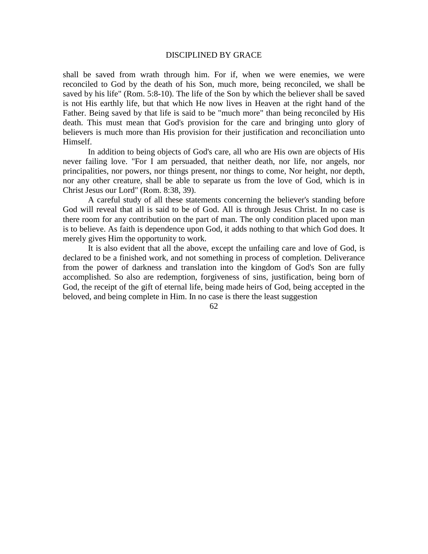shall be saved from wrath through him. For if, when we were enemies, we were reconciled to God by the death of his Son, much more, being reconciled, we shall be saved by his life" (Rom. 5:8-10). The life of the Son by which the believer shall be saved is not His earthly life, but that which He now lives in Heaven at the right hand of the Father. Being saved by that life is said to be "much more" than being reconciled by His death. This must mean that God's provision for the care and bringing unto glory of believers is much more than His provision for their justification and reconciliation unto Himself.

In addition to being objects of God's care, all who are His own are objects of His never failing love. "For I am persuaded, that neither death, nor life, nor angels, nor principalities, nor powers, nor things present, nor things to come, Nor height, nor depth, nor any other creature, shall be able to separate us from the love of God, which is in Christ Jesus our Lord" (Rom. 8:38, 39).

A careful study of all these statements concerning the believer's standing before God will reveal that all is said to be of God. All is through Jesus Christ. In no case is there room for any contribution on the part of man. The only condition placed upon man is to believe. As faith is dependence upon God, it adds nothing to that which God does. It merely gives Him the opportunity to work.

It is also evident that all the above, except the unfailing care and love of God, is declared to be a finished work, and not something in process of completion. Deliverance from the power of darkness and translation into the kingdom of God's Son are fully accomplished. So also are redemption, forgiveness of sins, justification, being born of God, the receipt of the gift of eternal life, being made heirs of God, being accepted in the beloved, and being complete in Him. In no case is there the least suggestion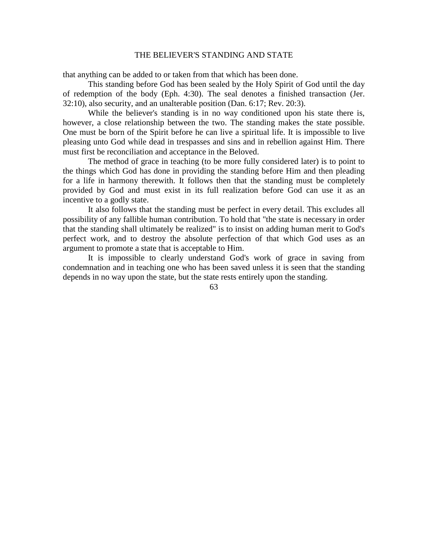## THE BELIEVER'S STANDING AND STATE

that anything can be added to or taken from that which has been done.

This standing before God has been sealed by the Holy Spirit of God until the day of redemption of the body (Eph. 4:30). The seal denotes a finished transaction (Jer. 32:10), also security, and an unalterable position (Dan. 6:17; Rev. 20:3).

While the believer's standing is in no way conditioned upon his state there is, however, a close relationship between the two. The standing makes the state possible. One must be born of the Spirit before he can live a spiritual life. It is impossible to live pleasing unto God while dead in trespasses and sins and in rebellion against Him. There must first be reconciliation and acceptance in the Beloved.

The method of grace in teaching (to be more fully considered later) is to point to the things which God has done in providing the standing before Him and then pleading for a life in harmony therewith. It follows then that the standing must be completely provided by God and must exist in its full realization before God can use it as an incentive to a godly state.

It also follows that the standing must be perfect in every detail. This excludes all possibility of any fallible human contribution. To hold that "the state is necessary in order that the standing shall ultimately be realized" is to insist on adding human merit to God's perfect work, and to destroy the absolute perfection of that which God uses as an argument to promote a state that is acceptable to Him.

It is impossible to clearly understand God's work of grace in saving from condemnation and in teaching one who has been saved unless it is seen that the standing depends in no way upon the state, but the state rests entirely upon the standing.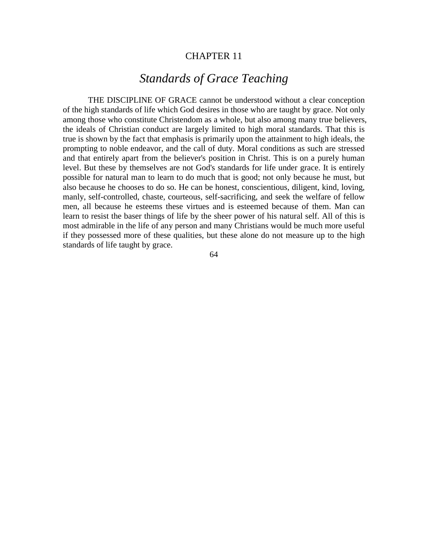## CHAPTER 11

# *Standards of Grace Teaching*

THE DISCIPLINE OF GRACE cannot be understood without a clear conception of the high standards of life which God desires in those who are taught by grace. Not only among those who constitute Christendom as a whole, but also among many true believers, the ideals of Christian conduct are largely limited to high moral standards. That this is true is shown by the fact that emphasis is primarily upon the attainment to high ideals, the prompting to noble endeavor, and the call of duty. Moral conditions as such are stressed and that entirely apart from the believer's position in Christ. This is on a purely human level. But these by themselves are not God's standards for life under grace. It is entirely possible for natural man to learn to do much that is good; not only because he must, but also because he chooses to do so. He can be honest, conscientious, diligent, kind, loving, manly, self-controlled, chaste, courteous, self-sacrificing, and seek the welfare of fellow men, all because he esteems these virtues and is esteemed because of them. Man can learn to resist the baser things of life by the sheer power of his natural self. All of this is most admirable in the life of any person and many Christians would be much more useful if they possessed more of these qualities, but these alone do not measure up to the high standards of life taught by grace.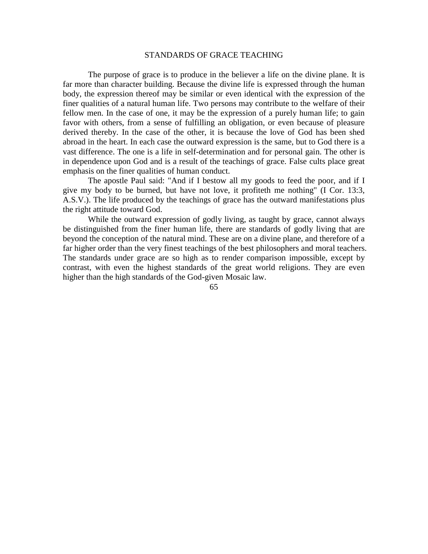## STANDARDS OF GRACE TEACHING

The purpose of grace is to produce in the believer a life on the divine plane. It is far more than character building. Because the divine life is expressed through the human body, the expression thereof may be similar or even identical with the expression of the finer qualities of a natural human life. Two persons may contribute to the welfare of their fellow men. In the case of one, it may be the expression of a purely human life; to gain favor with others, from a sense of fulfilling an obligation, or even because of pleasure derived thereby. In the case of the other, it is because the love of God has been shed abroad in the heart. In each case the outward expression is the same, but to God there is a vast difference. The one is a life in self-determination and for personal gain. The other is in dependence upon God and is a result of the teachings of grace. False cults place great emphasis on the finer qualities of human conduct.

The apostle Paul said: "And if I bestow all my goods to feed the poor, and if I give my body to be burned, but have not love, it profiteth me nothing" (I Cor. 13:3, A.S.V.). The life produced by the teachings of grace has the outward manifestations plus the right attitude toward God.

While the outward expression of godly living, as taught by grace, cannot always be distinguished from the finer human life, there are standards of godly living that are beyond the conception of the natural mind. These are on a divine plane, and therefore of a far higher order than the very finest teachings of the best philosophers and moral teachers. The standards under grace are so high as to render comparison impossible, except by contrast, with even the highest standards of the great world religions. They are even higher than the high standards of the God-given Mosaic law.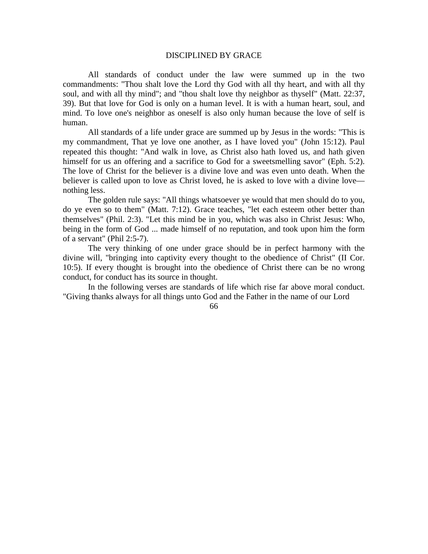All standards of conduct under the law were summed up in the two commandments: "Thou shalt love the Lord thy God with all thy heart, and with all thy soul, and with all thy mind"; and "thou shalt love thy neighbor as thyself" (Matt. 22:37, 39). But that love for God is only on a human level. It is with a human heart, soul, and mind. To love one's neighbor as oneself is also only human because the love of self is human.

All standards of a life under grace are summed up by Jesus in the words: "This is my commandment, That ye love one another, as I have loved you" (John 15:12). Paul repeated this thought: "And walk in love, as Christ also hath loved us, and hath given himself for us an offering and a sacrifice to God for a sweetsmelling savor" (Eph. 5:2). The love of Christ for the believer is a divine love and was even unto death. When the believer is called upon to love as Christ loved, he is asked to love with a divine love nothing less.

The golden rule says: "All things whatsoever ye would that men should do to you, do ye even so to them" (Matt. 7:12). Grace teaches, "let each esteem other better than themselves" (Phil. 2:3). "Let this mind be in you, which was also in Christ Jesus: Who, being in the form of God ... made himself of no reputation, and took upon him the form of a servant" (Phil 2:5-7).

The very thinking of one under grace should be in perfect harmony with the divine will, "bringing into captivity every thought to the obedience of Christ" (II Cor. 10:5). If every thought is brought into the obedience of Christ there can be no wrong conduct, for conduct has its source in thought.

In the following verses are standards of life which rise far above moral conduct. "Giving thanks always for all things unto God and the Father in the name of our Lord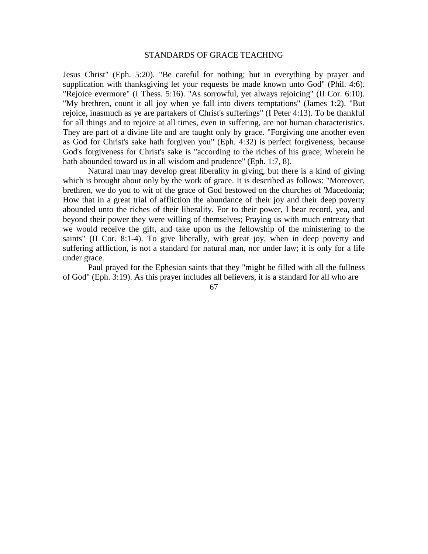## STANDARDS OF GRACE TEACHING

Jesus Christ" (Eph. 5:20). "Be careful for nothing; but in everything by prayer and supplication with thanksgiving let your requests be made known unto God" (Phil. 4:6). "Rejoice evermore" (I Thess. 5:16). "As sorrowful, yet always rejoicing" (II Cor. 6:10). "My brethren, count it all joy when ye fall into divers temptations" (James 1:2). "But rejoice, inasmuch as ye are partakers of Christ's sufferings" (I Peter 4:13). To be thankful for all things and to rejoice at all times, even in suffering, are not human characteristics. They are part of a divine life and are taught only by grace. "Forgiving one another even as God for Christ's sake hath forgiven you" (Eph. 4:32) is perfect forgiveness, because God's forgiveness for Christ's sake is "according to the riches of his grace; Wherein he hath abounded toward us in all wisdom and prudence" (Eph. 1:7, 8).

Natural man may develop great liberality in giving, but there is a kind of giving which is brought about only by the work of grace. It is described as follows: "Moreover, brethren, we do you to wit of the grace of God bestowed on the churches of 'Macedonia; How that in a great trial of affliction the abundance of their joy and their deep poverty abounded unto the riches of their liberality. For to their power, I bear record, yea, and beyond their power they were willing of themselves; Praying us with much entreaty that we would receive the gift, and take upon us the fellowship of the ministering to the saints" (II Cor. 8:1-4). To give liberally, with great joy, when in deep poverty and suffering affliction, is not a standard for natural man, nor under law; it is only for a life under grace.

Paul prayed for the Ephesian saints that they "might be filled with all the fullness of God" (Eph. 3:19). As this prayer includes all believers, it is a standard for all who are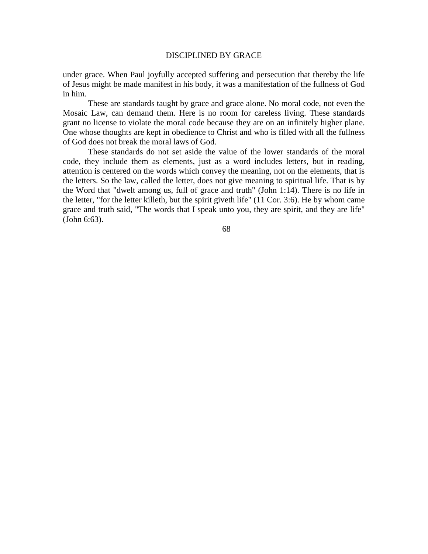under grace. When Paul joyfully accepted suffering and persecution that thereby the life of Jesus might be made manifest in his body, it was a manifestation of the fullness of God in him.

These are standards taught by grace and grace alone. No moral code, not even the Mosaic Law, can demand them. Here is no room for careless living. These standards grant no license to violate the moral code because they are on an infinitely higher plane. One whose thoughts are kept in obedience to Christ and who is filled with all the fullness of God does not break the moral laws of God.

These standards do not set aside the value of the lower standards of the moral code, they include them as elements, just as a word includes letters, but in reading, attention is centered on the words which convey the meaning, not on the elements, that is the letters. So the law, called the letter, does not give meaning to spiritual life. That is by the Word that "dwelt among us, full of grace and truth" (John 1:14). There is no life in the letter, "for the letter killeth, but the spirit giveth life" (11 Cor. 3:6). He by whom came grace and truth said, "The words that I speak unto you, they are spirit, and they are life" (John 6:63).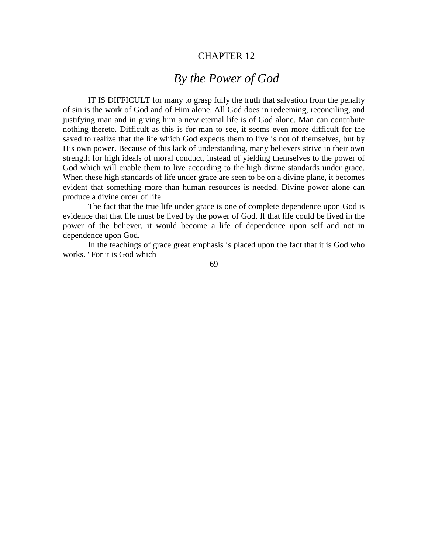## CHAPTER 12

# *By the Power of God*

IT IS DIFFICULT for many to grasp fully the truth that salvation from the penalty of sin is the work of God and of Him alone. All God does in redeeming, reconciling, and justifying man and in giving him a new eternal life is of God alone. Man can contribute nothing thereto. Difficult as this is for man to see, it seems even more difficult for the saved to realize that the life which God expects them to live is not of themselves, but by His own power. Because of this lack of understanding, many believers strive in their own strength for high ideals of moral conduct, instead of yielding themselves to the power of God which will enable them to live according to the high divine standards under grace. When these high standards of life under grace are seen to be on a divine plane, it becomes evident that something more than human resources is needed. Divine power alone can produce a divine order of life.

The fact that the true life under grace is one of complete dependence upon God is evidence that that life must be lived by the power of God. If that life could be lived in the power of the believer, it would become a life of dependence upon self and not in dependence upon God.

In the teachings of grace great emphasis is placed upon the fact that it is God who works. "For it is God which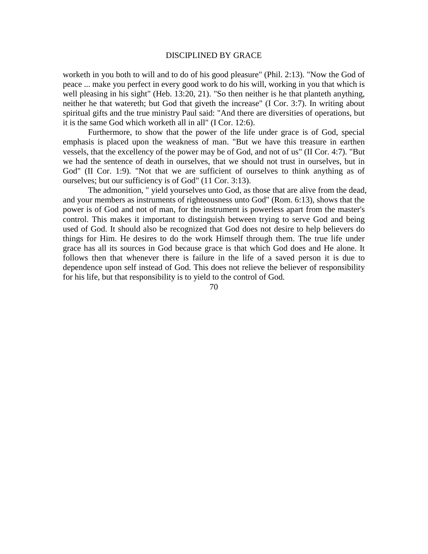worketh in you both to will and to do of his good pleasure" (Phil. 2:13). "Now the God of peace ... make you perfect in every good work to do his will, working in you that which is well pleasing in his sight" (Heb. 13:20, 21). "So then neither is he that planteth anything, neither he that watereth; but God that giveth the increase" (I Cor. 3:7). In writing about spiritual gifts and the true ministry Paul said: "And there are diversities of operations, but it is the same God which worketh all in all" (I Cor. 12:6).

Furthermore, to show that the power of the life under grace is of God, special emphasis is placed upon the weakness of man. "But we have this treasure in earthen vessels, that the excellency of the power may be of God, and not of us" (II Cor. 4:7). "But we had the sentence of death in ourselves, that we should not trust in ourselves, but in God" (II Cor. 1:9). "Not that we are sufficient of ourselves to think anything as of ourselves; but our sufficiency is of God" (11 Cor. 3:13).

The admonition, " yield yourselves unto God, as those that are alive from the dead, and your members as instruments of righteousness unto God" (Rom. 6:13), shows that the power is of God and not of man, for the instrument is powerless apart from the master's control. This makes it important to distinguish between trying to serve God and being used of God. It should also be recognized that God does not desire to help believers do things for Him. He desires to do the work Himself through them. The true life under grace has all its sources in God because grace is that which God does and He alone. It follows then that whenever there is failure in the life of a saved person it is due to dependence upon self instead of God. This does not relieve the believer of responsibility for his life, but that responsibility is to yield to the control of God.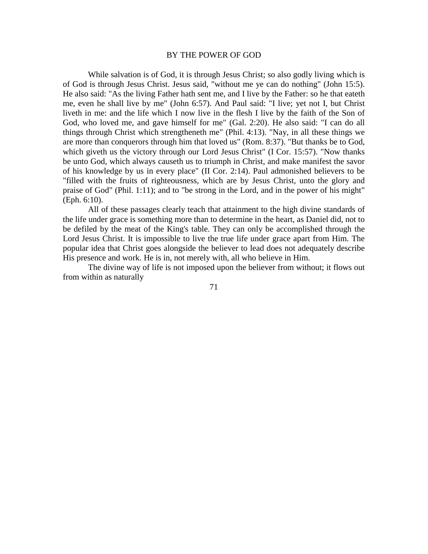## BY THE POWER OF GOD

While salvation is of God, it is through Jesus Christ; so also godly living which is of God is through Jesus Christ. Jesus said, "without me ye can do nothing" (John 15:5). He also said: "As the living Father hath sent me, and I live by the Father: so he that eateth me, even he shall live by me" (John 6:57). And Paul said: "I live; yet not I, but Christ liveth in me: and the life which I now live in the flesh I live by the faith of the Son of God, who loved me, and gave himself for me" (Gal. 2:20). He also said: "I can do all things through Christ which strengtheneth me" (Phil. 4:13). "Nay, in all these things we are more than conquerors through him that loved us" (Rom. 8:37). "But thanks be to God, which giveth us the victory through our Lord Jesus Christ" (I Cor. 15:57). "Now thanks be unto God, which always causeth us to triumph in Christ, and make manifest the savor of his knowledge by us in every place" (II Cor. 2:14). Paul admonished believers to be "filled with the fruits of righteousness, which are by Jesus Christ, unto the glory and praise of God" (Phil. 1:11); and to "be strong in the Lord, and in the power of his might" (Eph. 6:10).

All of these passages clearly teach that attainment to the high divine standards of the life under grace is something more than to determine in the heart, as Daniel did, not to be defiled by the meat of the King's table. They can only be accomplished through the Lord Jesus Christ. It is impossible to live the true life under grace apart from Him. The popular idea that Christ goes alongside the believer to lead does not adequately describe His presence and work. He is in, not merely with, all who believe in Him.

The divine way of life is not imposed upon the believer from without; it flows out from within as naturally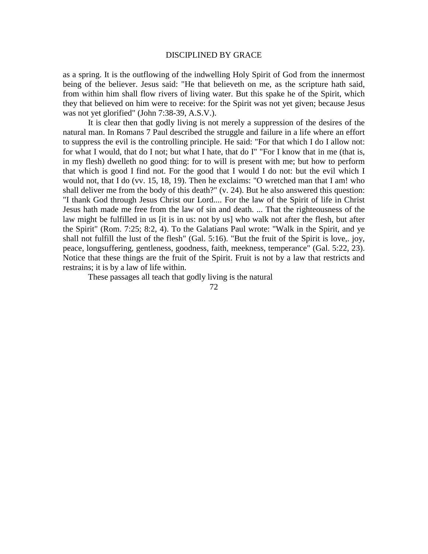as a spring. It is the outflowing of the indwelling Holy Spirit of God from the innermost being of the believer. Jesus said: "He that believeth on me, as the scripture hath said, from within him shall flow rivers of living water. But this spake he of the Spirit, which they that believed on him were to receive: for the Spirit was not yet given; because Jesus was not yet glorified" (John 7:38-39, A.S.V.).

It is clear then that godly living is not merely a suppression of the desires of the natural man. In Romans 7 Paul described the struggle and failure in a life where an effort to suppress the evil is the controlling principle. He said: "For that which I do I allow not: for what I would, that do I not; but what I hate, that do I" "For I know that in me (that is, in my flesh) dwelleth no good thing: for to will is present with me; but how to perform that which is good I find not. For the good that I would I do not: but the evil which I would not, that I do (vv. 15, 18, 19). Then he exclaims: "O wretched man that I am! who shall deliver me from the body of this death?" (v. 24). But he also answered this question: "I thank God through Jesus Christ our Lord.... For the law of the Spirit of life in Christ Jesus hath made me free from the law of sin and death. ... That the righteousness of the law might be fulfilled in us [it is in us: not by us] who walk not after the flesh, but after the Spirit" (Rom. 7:25; 8:2, 4). To the Galatians Paul wrote: "Walk in the Spirit, and ye shall not fulfill the lust of the flesh" (Gal. 5:16). "But the fruit of the Spirit is love,. joy, peace, longsuffering, gentleness, goodness, faith, meekness, temperance" (Gal. 5:22, 23). Notice that these things are the fruit of the Spirit. Fruit is not by a law that restricts and restrains; it is by a law of life within.

These passages all teach that godly living is the natural

<sup>72</sup>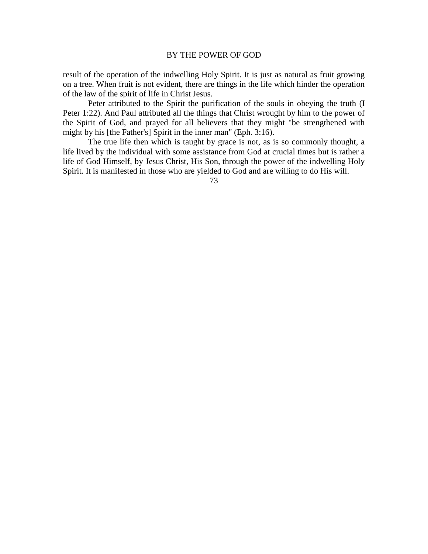## BY THE POWER OF GOD

result of the operation of the indwelling Holy Spirit. It is just as natural as fruit growing on a tree. When fruit is not evident, there are things in the life which hinder the operation of the law of the spirit of life in Christ Jesus.

Peter attributed to the Spirit the purification of the souls in obeying the truth (I Peter 1:22). And Paul attributed all the things that Christ wrought by him to the power of the Spirit of God, and prayed for all believers that they might "be strengthened with might by his [the Father's] Spirit in the inner man" (Eph. 3:16).

The true life then which is taught by grace is not, as is so commonly thought, a life lived by the individual with some assistance from God at crucial times but is rather a life of God Himself, by Jesus Christ, His Son, through the power of the indwelling Holy Spirit. It is manifested in those who are yielded to God and are willing to do His will.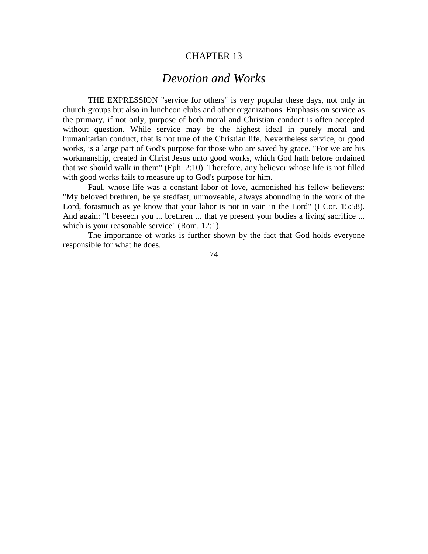## CHAPTER 13

## *Devotion and Works*

THE EXPRESSION "service for others" is very popular these days, not only in church groups but also in luncheon clubs and other organizations. Emphasis on service as the primary, if not only, purpose of both moral and Christian conduct is often accepted without question. While service may be the highest ideal in purely moral and humanitarian conduct, that is not true of the Christian life. Nevertheless service, or good works, is a large part of God's purpose for those who are saved by grace. "For we are his workmanship, created in Christ Jesus unto good works, which God hath before ordained that we should walk in them" (Eph. 2:10). Therefore, any believer whose life is not filled with good works fails to measure up to God's purpose for him.

Paul, whose life was a constant labor of love, admonished his fellow believers: "My beloved brethren, be ye stedfast, unmoveable, always abounding in the work of the Lord, forasmuch as ye know that your labor is not in vain in the Lord" (I Cor. 15:58). And again: "I beseech you ... brethren ... that ye present your bodies a living sacrifice ... which is your reasonable service" (Rom. 12:1).

The importance of works is further shown by the fact that God holds everyone responsible for what he does.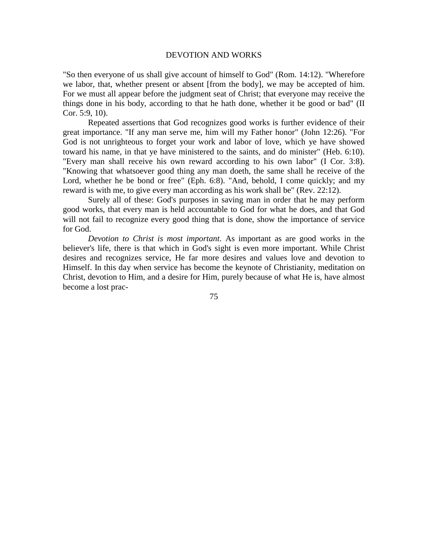#### DEVOTION AND WORKS

"So then everyone of us shall give account of himself to God" (Rom. 14:12). "Wherefore we labor, that, whether present or absent [from the body], we may be accepted of him. For we must all appear before the judgment seat of Christ; that everyone may receive the things done in his body, according to that he hath done, whether it be good or bad" (II Cor. 5:9, 10).

Repeated assertions that God recognizes good works is further evidence of their great importance. "If any man serve me, him will my Father honor" (John 12:26). "For God is not unrighteous to forget your work and labor of love, which ye have showed toward his name, in that ye have ministered to the saints, and do minister" (Heb. 6:10). "Every man shall receive his own reward according to his own labor" (I Cor. 3:8). "Knowing that whatsoever good thing any man doeth, the same shall he receive of the Lord, whether he be bond or free" (Eph. 6:8). "And, behold, I come quickly; and my reward is with me, to give every man according as his work shall be" (Rev. 22:12).

Surely all of these: God's purposes in saving man in order that he may perform good works, that every man is held accountable to God for what he does, and that God will not fail to recognize every good thing that is done, show the importance of service for God.

*Devotion to Christ is most important*. As important as are good works in the believer's life, there is that which in God's sight is even more important. While Christ desires and recognizes service, He far more desires and values love and devotion to Himself. In this day when service has become the keynote of Christianity, meditation on Christ, devotion to Him, and a desire for Him, purely because of what He is, have almost become a lost prac-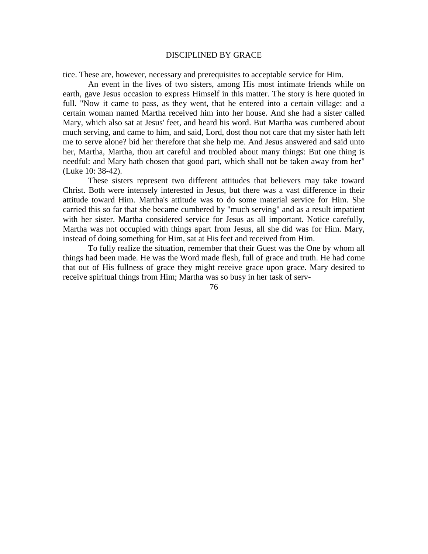tice. These are, however, necessary and prerequisites to acceptable service for Him.

An event in the lives of two sisters, among His most intimate friends while on earth, gave Jesus occasion to express Himself in this matter. The story is here quoted in full. "Now it came to pass, as they went, that he entered into a certain village: and a certain woman named Martha received him into her house. And she had a sister called Mary, which also sat at Jesus' feet, and heard his word. But Martha was cumbered about much serving, and came to him, and said, Lord, dost thou not care that my sister hath left me to serve alone? bid her therefore that she help me. And Jesus answered and said unto her, Martha, Martha, thou art careful and troubled about many things: But one thing is needful: and Mary hath chosen that good part, which shall not be taken away from her" (Luke 10: 38-42).

These sisters represent two different attitudes that believers may take toward Christ. Both were intensely interested in Jesus, but there was a vast difference in their attitude toward Him. Martha's attitude was to do some material service for Him. She carried this so far that she became cumbered by "much serving" and as a result impatient with her sister. Martha considered service for Jesus as all important. Notice carefully, Martha was not occupied with things apart from Jesus, all she did was for Him. Mary, instead of doing something for Him, sat at His feet and received from Him.

To fully realize the situation, remember that their Guest was the One by whom all things had been made. He was the Word made flesh, full of grace and truth. He had come that out of His fullness of grace they might receive grace upon grace. Mary desired to receive spiritual things from Him; Martha was so busy in her task of serv-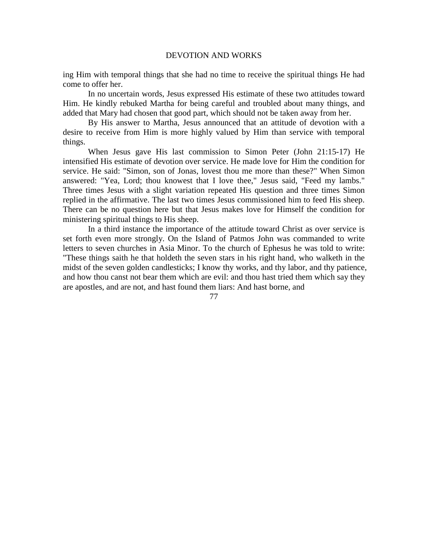#### DEVOTION AND WORKS

ing Him with temporal things that she had no time to receive the spiritual things He had come to offer her.

In no uncertain words, Jesus expressed His estimate of these two attitudes toward Him. He kindly rebuked Martha for being careful and troubled about many things, and added that Mary had chosen that good part, which should not be taken away from her.

By His answer to Martha, Jesus announced that an attitude of devotion with a desire to receive from Him is more highly valued by Him than service with temporal things.

When Jesus gave His last commission to Simon Peter (John 21:15-17) He intensified His estimate of devotion over service. He made love for Him the condition for service. He said: "Simon, son of Jonas, lovest thou me more than these?" When Simon answered: "Yea, Lord; thou knowest that I love thee," Jesus said, "Feed my lambs." Three times Jesus with a slight variation repeated His question and three times Simon replied in the affirmative. The last two times Jesus commissioned him to feed His sheep. There can be no question here but that Jesus makes love for Himself the condition for ministering spiritual things to His sheep.

In a third instance the importance of the attitude toward Christ as over service is set forth even more strongly. On the Island of Patmos John was commanded to write letters to seven churches in Asia Minor. To the church of Ephesus he was told to write: "These things saith he that holdeth the seven stars in his right hand, who walketh in the midst of the seven golden candlesticks; I know thy works, and thy labor, and thy patience, and how thou canst not bear them which are evil: and thou hast tried them which say they are apostles, and are not, and hast found them liars: And hast borne, and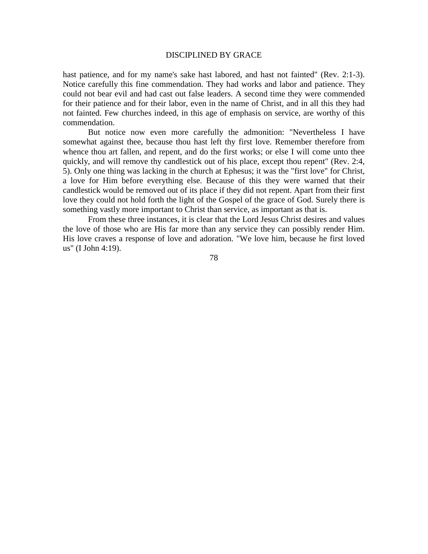hast patience, and for my name's sake hast labored, and hast not fainted" (Rev. 2:1-3). Notice carefully this fine commendation. They had works and labor and patience. They could not bear evil and had cast out false leaders. A second time they were commended for their patience and for their labor, even in the name of Christ, and in all this they had not fainted. Few churches indeed, in this age of emphasis on service, are worthy of this commendation.

But notice now even more carefully the admonition: "Nevertheless I have somewhat against thee, because thou hast left thy first love. Remember therefore from whence thou art fallen, and repent, and do the first works; or else I will come unto thee quickly, and will remove thy candlestick out of his place, except thou repent" (Rev. 2:4, 5). Only one thing was lacking in the church at Ephesus; it was the "first love" for Christ, a love for Him before everything else. Because of this they were warned that their candlestick would be removed out of its place if they did not repent. Apart from their first love they could not hold forth the light of the Gospel of the grace of God. Surely there is something vastly more important to Christ than service, as important as that is.

From these three instances, it is clear that the Lord Jesus Christ desires and values the love of those who are His far more than any service they can possibly render Him. His love craves a response of love and adoration. "We love him, because he first loved us" (I John 4:19).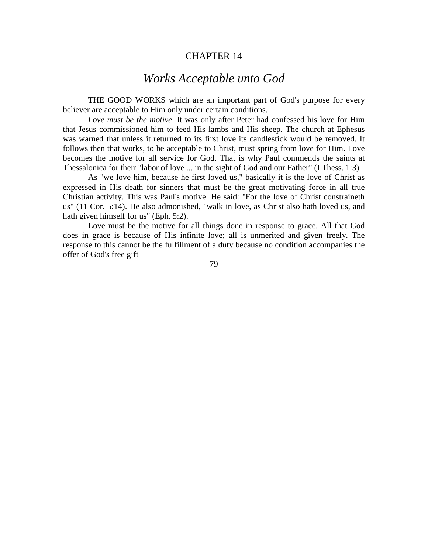## CHAPTER 14

## *Works Acceptable unto God*

THE GOOD WORKS which are an important part of God's purpose for every believer are acceptable to Him only under certain conditions.

*Love must be the motive*. It was only after Peter had confessed his love for Him that Jesus commissioned him to feed His lambs and His sheep. The church at Ephesus was warned that unless it returned to its first love its candlestick would be removed. It follows then that works, to be acceptable to Christ, must spring from love for Him. Love becomes the motive for all service for God. That is why Paul commends the saints at Thessalonica for their "labor of love ... in the sight of God and our Father" (I Thess. 1:3).

As "we love him, because he first loved us," basically it is the love of Christ as expressed in His death for sinners that must be the great motivating force in all true Christian activity. This was Paul's motive. He said: "For the love of Christ constraineth us" (11 Cor. 5:14). He also admonished, "walk in love, as Christ also hath loved us, and hath given himself for us" (Eph. 5:2).

Love must be the motive for all things done in response to grace. All that God does in grace is because of His infinite love; all is unmerited and given freely. The response to this cannot be the fulfillment of a duty because no condition accompanies the offer of God's free gift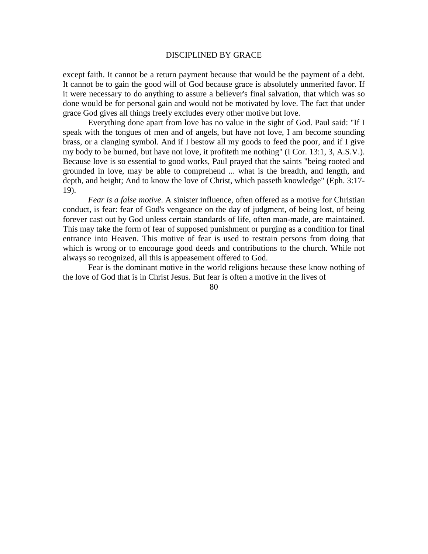except faith. It cannot be a return payment because that would be the payment of a debt. It cannot be to gain the good will of God because grace is absolutely unmerited favor. If it were necessary to do anything to assure a believer's final salvation, that which was so done would be for personal gain and would not be motivated by love. The fact that under grace God gives all things freely excludes every other motive but love.

Everything done apart from love has no value in the sight of God. Paul said: "If I speak with the tongues of men and of angels, but have not love, I am become sounding brass, or a clanging symbol. And if I bestow all my goods to feed the poor, and if I give my body to be burned, but have not love, it profiteth me nothing" (I Cor. 13:1, 3, A.S.V.). Because love is so essential to good works, Paul prayed that the saints "being rooted and grounded in love, may be able to comprehend ... what is the breadth, and length, and depth, and height; And to know the love of Christ, which passeth knowledge" (Eph. 3:17- 19).

*Fear is a false motive*. A sinister influence, often offered as a motive for Christian conduct, is fear: fear of God's vengeance on the day of judgment, of being lost, of being forever cast out by God unless certain standards of life, often man-made, are maintained. This may take the form of fear of supposed punishment or purging as a condition for final entrance into Heaven. This motive of fear is used to restrain persons from doing that which is wrong or to encourage good deeds and contributions to the church. While not always so recognized, all this is appeasement offered to God.

Fear is the dominant motive in the world religions because these know nothing of the love of God that is in Christ Jesus. But fear is often a motive in the lives of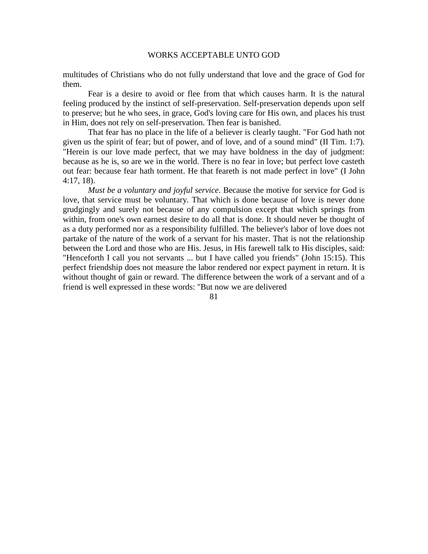#### WORKS ACCEPTABLE UNTO GOD

multitudes of Christians who do not fully understand that love and the grace of God for them.

Fear is a desire to avoid or flee from that which causes harm. It is the natural feeling produced by the instinct of self-preservation. Self-preservation depends upon self to preserve; but he who sees, in grace, God's loving care for His own, and places his trust in Him, does not rely on self-preservation. Then fear is banished.

That fear has no place in the life of a believer is clearly taught. "For God hath not given us the spirit of fear; but of power, and of love, and of a sound mind" (II Tim. 1:7). "Herein is our love made perfect, that we may have boldness in the day of judgment: because as he is, so are we in the world. There is no fear in love; but perfect love casteth out fear: because fear hath torment. He that feareth is not made perfect in love" (I John 4:17, 18).

*Must be a voluntary and joyful service*. Because the motive for service for God is love, that service must be voluntary. That which is done because of love is never done grudgingly and surely not because of any compulsion except that which springs from within, from one's own earnest desire to do all that is done. It should never be thought of as a duty performed nor as a responsibility fulfilled. The believer's labor of love does not partake of the nature of the work of a servant for his master. That is not the relationship between the Lord and those who are His. Jesus, in His farewell talk to His disciples, said: "Henceforth I call you not servants ... but I have called you friends" (John 15:15). This perfect friendship does not measure the labor rendered nor expect payment in return. It is without thought of gain or reward. The difference between the work of a servant and of a friend is well expressed in these words: "But now we are delivered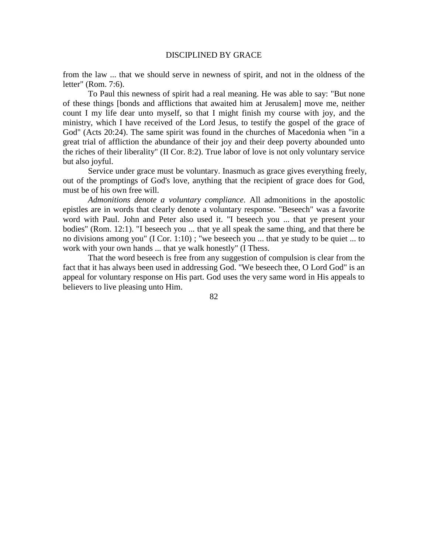from the law ... that we should serve in newness of spirit, and not in the oldness of the letter" (Rom. 7:6).

To Paul this newness of spirit had a real meaning. He was able to say: "But none of these things [bonds and afflictions that awaited him at Jerusalem] move me, neither count I my life dear unto myself, so that I might finish my course with joy, and the ministry, which I have received of the Lord Jesus, to testify the gospel of the grace of God" (Acts 20:24). The same spirit was found in the churches of Macedonia when "in a great trial of affliction the abundance of their joy and their deep poverty abounded unto the riches of their liberality" (II Cor. 8:2). True labor of love is not only voluntary service but also joyful.

Service under grace must be voluntary. Inasmuch as grace gives everything freely, out of the promptings of God's love, anything that the recipient of grace does for God, must be of his own free will.

*Admonitions denote a voluntary compliance*. All admonitions in the apostolic epistles are in words that clearly denote a voluntary response. "Beseech" was a favorite word with Paul. John and Peter also used it. "I beseech you ... that ye present your bodies" (Rom. 12:1). "I beseech you ... that ye all speak the same thing, and that there be no divisions among you" (I Cor. 1:10) ; "we beseech you ... that ye study to be quiet ... to work with your own hands ... that ye walk honestly" (I Thess.

That the word beseech is free from any suggestion of compulsion is clear from the fact that it has always been used in addressing God. "We beseech thee, O Lord God" is an appeal for voluntary response on His part. God uses the very same word in His appeals to believers to live pleasing unto Him.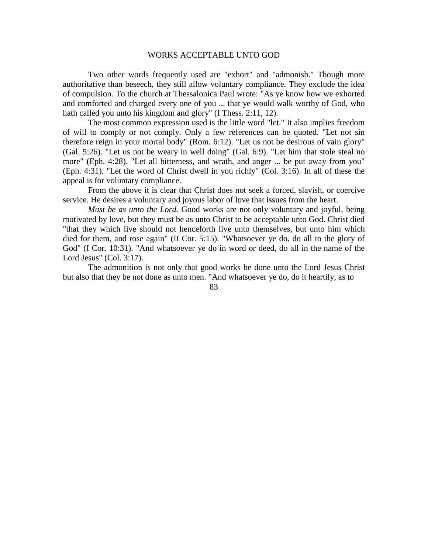#### WORKS ACCEPTABLE UNTO GOD

Two other words frequently used are "exhort" and "admonish." Though more authoritative than beseech, they still allow voluntary compliance. They exclude the idea of compulsion. To the church at Thessalonica Paul wrote: "As ye know how we exhorted and comforted and charged every one of you ... that ye would walk worthy of God, who hath called you unto his kingdom and glory" (I Thess. 2:11, 12).

The most common expression used is the little word "let." It also implies freedom of will to comply or not comply. Only a few references can be quoted. "Let not sin therefore reign in your mortal body" (Rom. 6:12). "Let us not be desirous of vain glory" (Gal. 5:26). "Let us not be weary in well doing" (Gal. 6:9). "Let him that stole steal no more" (Eph. 4:28). "Let all bitterness, and wrath, and anger ... be put away from you" (Eph. 4:31). "Let the word of Christ dwell in you richly" (Col. 3:16). In all of these the appeal is for voluntary compliance.

From the above it is clear that Christ does not seek a forced, slavish, or coercive service. He desires a voluntary and joyous labor of love that issues from the heart.

*Must be as unto the Lord.* Good works are not only voluntary and joyful, being motivated by love, but they must be as unto Christ to be acceptable unto God. Christ died "that they which live should not henceforth live unto themselves, but unto him which died for them, and rose again" (II Cor. 5:15). "Whatsoever ye do, do all to the glory of God" (I Cor. 10:31). "And whatsoever ye do in word or deed, do all in the name of the Lord Jesus" (Col. 3:17).

The admonition is not only that good works be done unto the Lord Jesus Christ but also that they be not done as unto men. "And whatsoever ye do, do it heartily, as to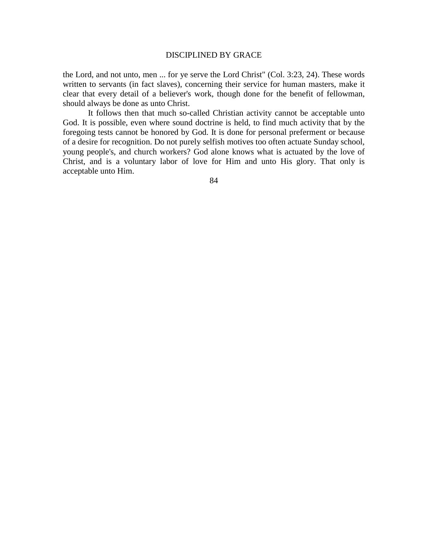the Lord, and not unto, men ... for ye serve the Lord Christ" (Col. 3:23, 24). These words written to servants (in fact slaves), concerning their service for human masters, make it clear that every detail of a believer's work, though done for the benefit of fellowman, should always be done as unto Christ.

It follows then that much so-called Christian activity cannot be acceptable unto God. It is possible, even where sound doctrine is held, to find much activity that by the foregoing tests cannot be honored by God. It is done for personal preferment or because of a desire for recognition. Do not purely selfish motives too often actuate Sunday school, young people's, and church workers? God alone knows what is actuated by the love of Christ, and is a voluntary labor of love for Him and unto His glory. That only is acceptable unto Him.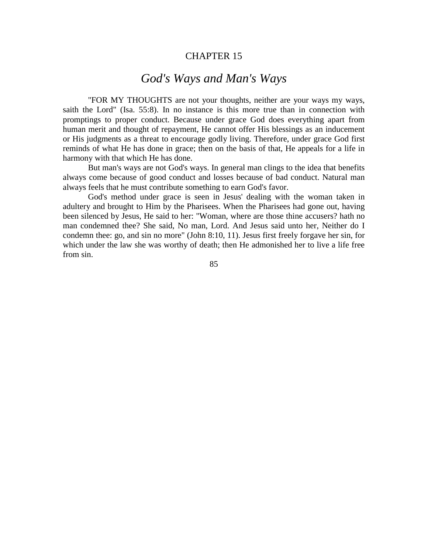## CHAPTER 15

## *God's Ways and Man's Ways*

"FOR MY THOUGHTS are not your thoughts, neither are your ways my ways, saith the Lord" (Isa. 55:8). In no instance is this more true than in connection with promptings to proper conduct. Because under grace God does everything apart from human merit and thought of repayment, He cannot offer His blessings as an inducement or His judgments as a threat to encourage godly living. Therefore, under grace God first reminds of what He has done in grace; then on the basis of that, He appeals for a life in harmony with that which He has done.

But man's ways are not God's ways. In general man clings to the idea that benefits always come because of good conduct and losses because of bad conduct. Natural man always feels that he must contribute something to earn God's favor.

God's method under grace is seen in Jesus' dealing with the woman taken in adultery and brought to Him by the Pharisees. When the Pharisees had gone out, having been silenced by Jesus, He said to her: "Woman, where are those thine accusers? hath no man condemned thee? She said, No man, Lord. And Jesus said unto her, Neither do I condemn thee: go, and sin no more" (John 8:10, 11). Jesus first freely forgave her sin, for which under the law she was worthy of death; then He admonished her to live a life free from sin.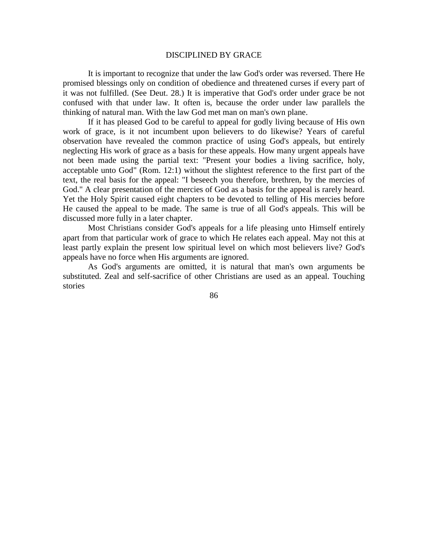It is important to recognize that under the law God's order was reversed. There He promised blessings only on condition of obedience and threatened curses if every part of it was not fulfilled. (See Deut. 28.) It is imperative that God's order under grace be not confused with that under law. It often is, because the order under law parallels the thinking of natural man. With the law God met man on man's own plane.

If it has pleased God to be careful to appeal for godly living because of His own work of grace, is it not incumbent upon believers to do likewise? Years of careful observation have revealed the common practice of using God's appeals, but entirely neglecting His work of grace as a basis for these appeals. How many urgent appeals have not been made using the partial text: "Present your bodies a living sacrifice, holy, acceptable unto God" (Rom. 12:1) without the slightest reference to the first part of the text, the real basis for the appeal: "I beseech you therefore, brethren, by the mercies of God." A clear presentation of the mercies of God as a basis for the appeal is rarely heard. Yet the Holy Spirit caused eight chapters to be devoted to telling of His mercies before He caused the appeal to be made. The same is true of all God's appeals. This will be discussed more fully in a later chapter.

Most Christians consider God's appeals for a life pleasing unto Himself entirely apart from that particular work of grace to which He relates each appeal. May not this at least partly explain the present low spiritual level on which most believers live? God's appeals have no force when His arguments are ignored.

As God's arguments are omitted, it is natural that man's own arguments be substituted. Zeal and self-sacrifice of other Christians are used as an appeal. Touching stories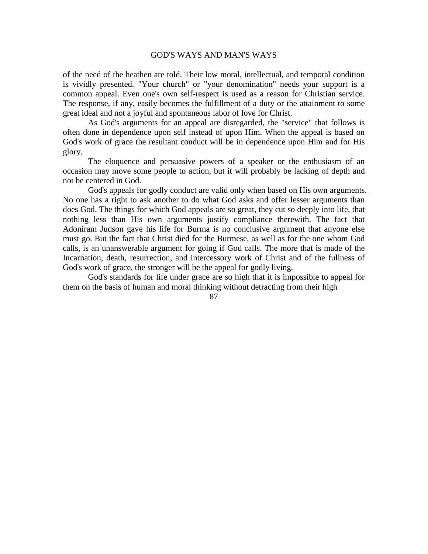### GOD'S WAYS AND MAN'S WAYS

of the need of the heathen are told. Their low moral, intellectual, and temporal condition is vividly presented. "Your church" or "your denomination" needs your support is a common appeal. Even one's own self-respect is used as a reason for Christian service. The response, if any, easily becomes the fulfillment of a duty or the attainment to some great ideal and not a joyful and spontaneous labor of love for Christ.

As God's arguments for an appeal are disregarded, the "service" that follows is often done in dependence upon self instead of upon Him. When the appeal is based on God's work of grace the resultant conduct will be in dependence upon Him and for His glory.

The eloquence and persuasive powers of a speaker or the enthusiasm of an occasion may move some people to action, but it will probably be lacking of depth and not be centered in God.

God's appeals for godly conduct are valid only when based on His own arguments. No one has a right to ask another to do what God asks and offer lesser arguments than does God. The things for which God appeals are so great, they cut so deeply into life, that nothing less than His own arguments justify compliance therewith. The fact that Adoniram Judson gave his life for Burma is no conclusive argument that anyone else must go. But the fact that Christ died for the Burmese, as well as for the one whom God calls, is an unanswerable argument for going if God calls. The more that is made of the Incarnation, death, resurrection, and intercessory work of Christ and of the fullness of God's work of grace, the stronger will be the appeal for godly living.

God's standards for life under grace are so high that it is impossible to appeal for them on the basis of human and moral thinking without detracting from their high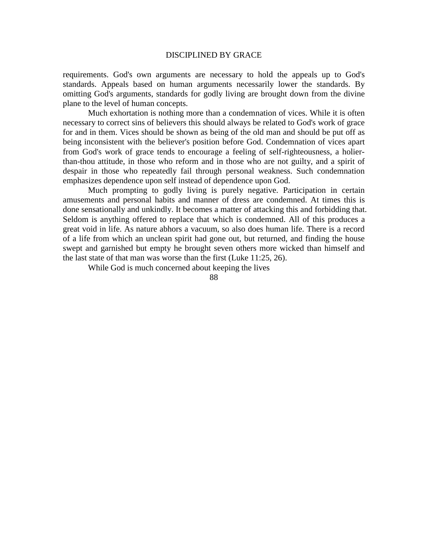requirements. God's own arguments are necessary to hold the appeals up to God's standards. Appeals based on human arguments necessarily lower the standards. By omitting God's arguments, standards for godly living are brought down from the divine plane to the level of human concepts.

Much exhortation is nothing more than a condemnation of vices. While it is often necessary to correct sins of believers this should always be related to God's work of grace for and in them. Vices should be shown as being of the old man and should be put off as being inconsistent with the believer's position before God. Condemnation of vices apart from God's work of grace tends to encourage a feeling of self-righteousness, a holierthan-thou attitude, in those who reform and in those who are not guilty, and a spirit of despair in those who repeatedly fail through personal weakness. Such condemnation emphasizes dependence upon self instead of dependence upon God.

Much prompting to godly living is purely negative. Participation in certain amusements and personal habits and manner of dress are condemned. At times this is done sensationally and unkindly. It becomes a matter of attacking this and forbidding that. Seldom is anything offered to replace that which is condemned. All of this produces a great void in life. As nature abhors a vacuum, so also does human life. There is a record of a life from which an unclean spirit had gone out, but returned, and finding the house swept and garnished but empty he brought seven others more wicked than himself and the last state of that man was worse than the first (Luke 11:25, 26).

While God is much concerned about keeping the lives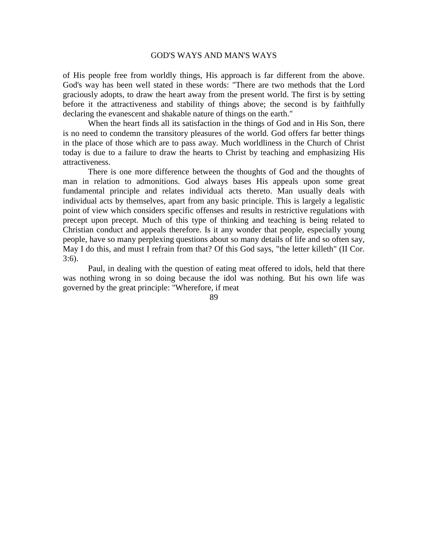#### GOD'S WAYS AND MAN'S WAYS

of His people free from worldly things, His approach is far different from the above. God's way has been well stated in these words: "There are two methods that the Lord graciously adopts, to draw the heart away from the present world. The first is by setting before it the attractiveness and stability of things above; the second is by faithfully declaring the evanescent and shakable nature of things on the earth."

When the heart finds all its satisfaction in the things of God and in His Son, there is no need to condemn the transitory pleasures of the world. God offers far better things in the place of those which are to pass away. Much worldliness in the Church of Christ today is due to a failure to draw the hearts to Christ by teaching and emphasizing His attractiveness.

There is one more difference between the thoughts of God and the thoughts of man in relation to admonitions. God always bases His appeals upon some great fundamental principle and relates individual acts thereto. Man usually deals with individual acts by themselves, apart from any basic principle. This is largely a legalistic point of view which considers specific offenses and results in restrictive regulations with precept upon precept. Much of this type of thinking and teaching is being related to Christian conduct and appeals therefore. Is it any wonder that people, especially young people, have so many perplexing questions about so many details of life and so often say, May I do this, and must I refrain from that? Of this God says, "the letter killeth" (II Cor. 3:6).

Paul, in dealing with the question of eating meat offered to idols, held that there was nothing wrong in so doing because the idol was nothing. But his own life was governed by the great principle: "Wherefore, if meat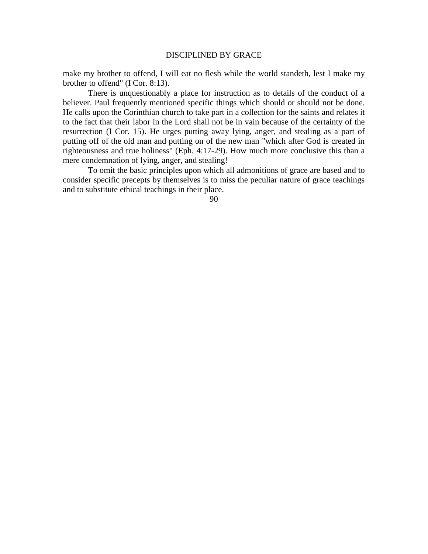make my brother to offend, I will eat no flesh while the world standeth, lest I make my brother to offend" (I Cor. 8:13).

There is unquestionably a place for instruction as to details of the conduct of a believer. Paul frequently mentioned specific things which should or should not be done. He calls upon the Corinthian church to take part in a collection for the saints and relates it to the fact that their labor in the Lord shall not be in vain because of the certainty of the resurrection (I Cor. 15). He urges putting away lying, anger, and stealing as a part of putting off of the old man and putting on of the new man "which after God is created in righteousness and true holiness" (Eph. 4:17-29). How much more conclusive this than a mere condemnation of lying, anger, and stealing!

To omit the basic principles upon which all admonitions of grace are based and to consider specific precepts by themselves is to miss the peculiar nature of grace teachings and to substitute ethical teachings in their place.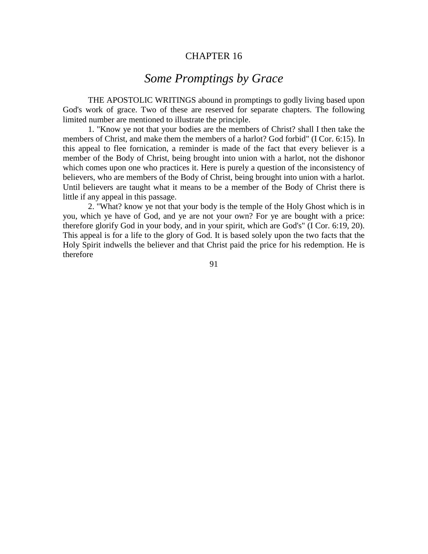## CHAPTER 16

## *Some Promptings by Grace*

THE APOSTOLIC WRITINGS abound in promptings to godly living based upon God's work of grace. Two of these are reserved for separate chapters. The following limited number are mentioned to illustrate the principle.

1. "Know ye not that your bodies are the members of Christ? shall I then take the members of Christ, and make them the members of a harlot? God forbid" (I Cor. 6:15). In this appeal to flee fornication, a reminder is made of the fact that every believer is a member of the Body of Christ, being brought into union with a harlot, not the dishonor which comes upon one who practices it. Here is purely a question of the inconsistency of believers, who are members of the Body of Christ, being brought into union with a harlot. Until believers are taught what it means to be a member of the Body of Christ there is little if any appeal in this passage.

2. "What? know ye not that your body is the temple of the Holy Ghost which is in you, which ye have of God, and ye are not your own? For ye are bought with a price: therefore glorify God in your body, and in your spirit, which are God's" (I Cor. 6:19, 20). This appeal is for a life to the glory of God. It is based solely upon the two facts that the Holy Spirit indwells the believer and that Christ paid the price for his redemption. He is therefore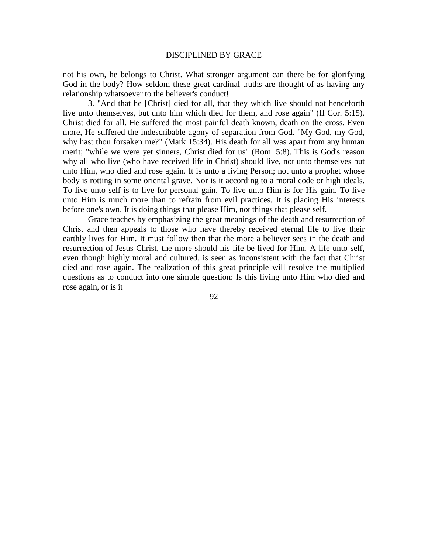not his own, he belongs to Christ. What stronger argument can there be for glorifying God in the body? How seldom these great cardinal truths are thought of as having any relationship whatsoever to the believer's conduct!

3. "And that he [Christ] died for all, that they which live should not henceforth live unto themselves, but unto him which died for them, and rose again" (II Cor. 5:15). Christ died for all. He suffered the most painful death known, death on the cross. Even more, He suffered the indescribable agony of separation from God. "My God, my God, why hast thou forsaken me?" (Mark 15:34). His death for all was apart from any human merit; "while we were yet sinners, Christ died for us" (Rom. 5:8). This is God's reason why all who live (who have received life in Christ) should live, not unto themselves but unto Him, who died and rose again. It is unto a living Person; not unto a prophet whose body is rotting in some oriental grave. Nor is it according to a moral code or high ideals. To live unto self is to live for personal gain. To live unto Him is for His gain. To live unto Him is much more than to refrain from evil practices. It is placing His interests before one's own. It is doing things that please Him, not things that please self.

Grace teaches by emphasizing the great meanings of the death and resurrection of Christ and then appeals to those who have thereby received eternal life to live their earthly lives for Him. It must follow then that the more a believer sees in the death and resurrection of Jesus Christ, the more should his life be lived for Him. A life unto self, even though highly moral and cultured, is seen as inconsistent with the fact that Christ died and rose again. The realization of this great principle will resolve the multiplied questions as to conduct into one simple question: Is this living unto Him who died and rose again, or is it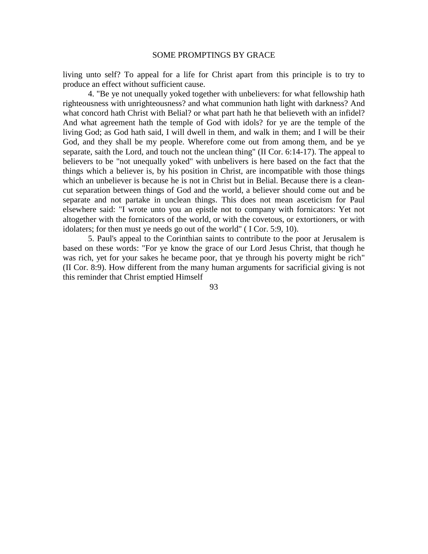#### SOME PROMPTINGS BY GRACE

living unto self? To appeal for a life for Christ apart from this principle is to try to produce an effect without sufficient cause.

4. "Be ye not unequally yoked together with unbelievers: for what fellowship hath righteousness with unrighteousness? and what communion hath light with darkness? And what concord hath Christ with Belial? or what part hath he that believeth with an infidel? And what agreement hath the temple of God with idols? for ye are the temple of the living God; as God hath said, I will dwell in them, and walk in them; and I will be their God, and they shall be my people. Wherefore come out from among them, and be ye separate, saith the Lord, and touch not the unclean thing" (II Cor. 6:14-17). The appeal to believers to be "not unequally yoked" with unbelivers is here based on the fact that the things which a believer is, by his position in Christ, are incompatible with those things which an unbeliever is because he is not in Christ but in Belial. Because there is a cleancut separation between things of God and the world, a believer should come out and be separate and not partake in unclean things. This does not mean asceticism for Paul elsewhere said: "I wrote unto you an epistle not to company with fornicators: Yet not altogether with the fornicators of the world, or with the covetous, or extortioners, or with idolaters; for then must ye needs go out of the world" ( I Cor. 5:9, 10).

5. Paul's appeal to the Corinthian saints to contribute to the poor at Jerusalem is based on these words: "For ye know the grace of our Lord Jesus Christ, that though he was rich, yet for your sakes he became poor, that ye through his poverty might be rich" (II Cor. 8:9). How different from the many human arguments for sacrificial giving is not this reminder that Christ emptied Himself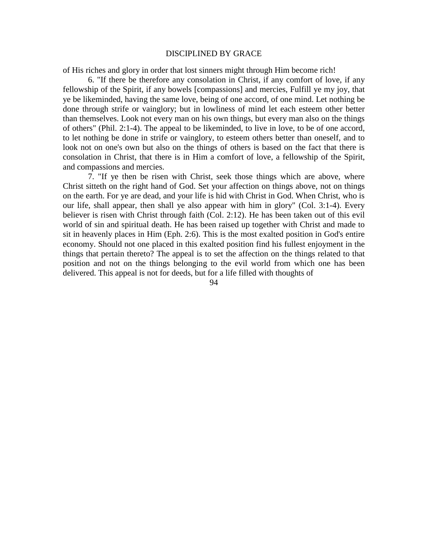of His riches and glory in order that lost sinners might through Him become rich!

6. "If there be therefore any consolation in Christ, if any comfort of love, if any fellowship of the Spirit, if any bowels [compassions] and mercies, Fulfill ye my joy, that ye be likeminded, having the same love, being of one accord, of one mind. Let nothing be done through strife or vainglory; but in lowliness of mind let each esteem other better than themselves. Look not every man on his own things, but every man also on the things of others" (Phil. 2:1-4). The appeal to be likeminded, to live in love, to be of one accord, to let nothing be done in strife or vainglory, to esteem others better than oneself, and to look not on one's own but also on the things of others is based on the fact that there is consolation in Christ, that there is in Him a comfort of love, a fellowship of the Spirit, and compassions and mercies.

7. "If ye then be risen with Christ, seek those things which are above, where Christ sitteth on the right hand of God. Set your affection on things above, not on things on the earth. For ye are dead, and your life is hid with Christ in God. When Christ, who is our life, shall appear, then shall ye also appear with him in glory" (Col. 3:1-4). Every believer is risen with Christ through faith (Col. 2:12). He has been taken out of this evil world of sin and spiritual death. He has been raised up together with Christ and made to sit in heavenly places in Him (Eph. 2:6). This is the most exalted position in God's entire economy. Should not one placed in this exalted position find his fullest enjoyment in the things that pertain thereto? The appeal is to set the affection on the things related to that position and not on the things belonging to the evil world from which one has been delivered. This appeal is not for deeds, but for a life filled with thoughts of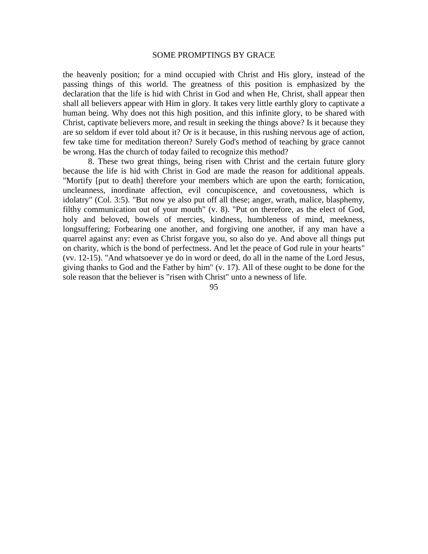#### SOME PROMPTINGS BY GRACE

the heavenly position; for a mind occupied with Christ and His glory, instead of the passing things of this world. The greatness of this position is emphasized by the declaration that the life is hid with Christ in God and when He, Christ, shall appear then shall all believers appear with Him in glory. It takes very little earthly glory to captivate a human being. Why does not this high position, and this infinite glory, to be shared with Christ, captivate believers more, and result in seeking the things above? Is it because they are so seldom if ever told about it? Or is it because, in this rushing nervous age of action, few take time for meditation thereon? Surely God's method of teaching by grace cannot be wrong. Has the church of today failed to recognize this method?

8. These two great things, being risen with Christ and the certain future glory because the life is hid with Christ in God are made the reason for additional appeals. "Mortify [put to death] therefore your members which are upon the earth; fornication, uncleanness, inordinate affection, evil concupiscence, and covetousness, which is idolatry" (Col. 3:5). "But now ye also put off all these; anger, wrath, malice, blasphemy, filthy communication out of your mouth" (v. 8). "Put on therefore, as the elect of God, holy and beloved, bowels of mercies, kindness, humbleness of mind, meekness, longsuffering; Forbearing one another, and forgiving one another, if any man have a quarrel against any: even as Christ forgave you, so also do ye. And above all things put on charity, which is the bond of perfectness. And let the peace of God rule in your hearts" (vv. 12-15). "And whatsoever ye do in word or deed, do all in the name of the Lord Jesus, giving thanks to God and the Father by him" (v. 17). All of these ought to be done for the sole reason that the believer is "risen with Christ" unto a newness of life.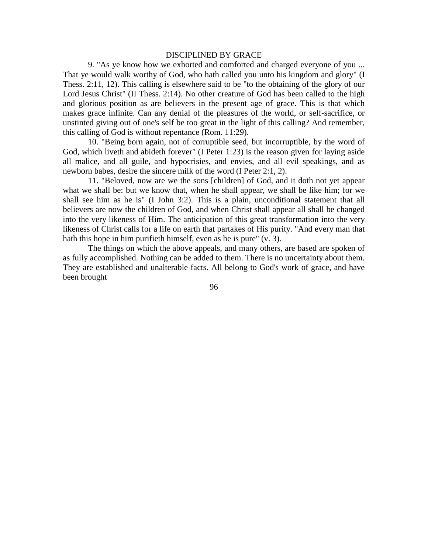9. "As ye know how we exhorted and comforted and charged everyone of you ... That ye would walk worthy of God, who hath called you unto his kingdom and glory" (I Thess. 2:11, 12). This calling is elsewhere said to be "to the obtaining of the glory of our Lord Jesus Christ" (II Thess. 2:14). No other creature of God has been called to the high and glorious position as are believers in the present age of grace. This is that which makes grace infinite. Can any denial of the pleasures of the world, or self-sacrifice, or unstinted giving out of one's self be too great in the light of this calling? And remember, this calling of God is without repentance (Rom. 11:29).

10. "Being born again, not of corruptible seed, but incorruptible, by the word of God, which liveth and abideth forever" (I Peter 1:23) is the reason given for laying aside all malice, and all guile, and hypocrisies, and envies, and all evil speakings, and as newborn babes, desire the sincere milk of the word (I Peter 2:1, 2).

11. "Beloved, now are we the sons [children] of God, and it doth not yet appear what we shall be: but we know that, when he shall appear, we shall be like him; for we shall see him as he is" (I John 3:2). This is a plain, unconditional statement that all believers are now the children of God, and when Christ shall appear all shall be changed into the very likeness of Him. The anticipation of this great transformation into the very likeness of Christ calls for a life on earth that partakes of His purity. "And every man that hath this hope in him purifieth himself, even as he is pure" (v. 3).

The things on which the above appeals, and many others, are based are spoken of as fully accomplished. Nothing can be added to them. There is no uncertainty about them. They are established and unalterable facts. All belong to God's work of grace, and have been brought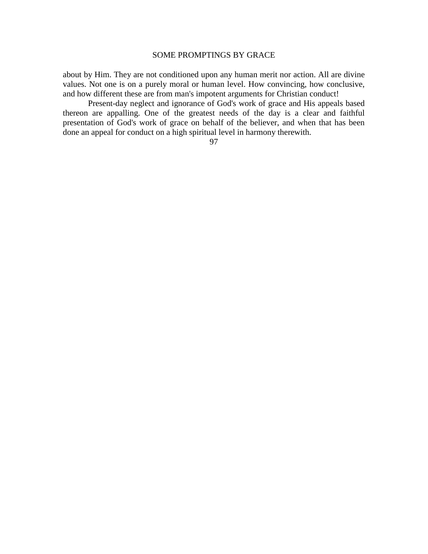### SOME PROMPTINGS BY GRACE

about by Him. They are not conditioned upon any human merit nor action. All are divine values. Not one is on a purely moral or human level. How convincing, how conclusive, and how different these are from man's impotent arguments for Christian conduct!

Present-day neglect and ignorance of God's work of grace and His appeals based thereon are appalling. One of the greatest needs of the day is a clear and faithful presentation of God's work of grace on behalf of the believer, and when that has been done an appeal for conduct on a high spiritual level in harmony therewith.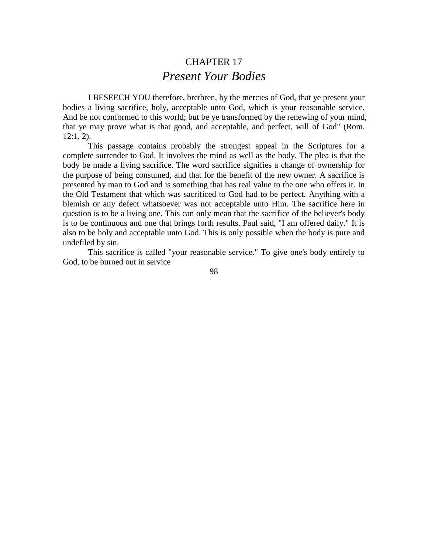# CHAPTER 17 *Present Your Bodies*

I BESEECH YOU therefore, brethren, by the mercies of God, that ye present your bodies a living sacrifice, holy, acceptable unto God, which is your reasonable service. And be not conformed to this world; but be ye transformed by the renewing of your mind, that ye may prove what is that good, and acceptable, and perfect, will of God" (Rom. 12:1, 2).

This passage contains probably the strongest appeal in the Scriptures for a complete surrender to God. It involves the mind as well as the body. The plea is that the body be made a living sacrifice. The word sacrifice signifies a change of ownership for the purpose of being consumed, and that for the benefit of the new owner. A sacrifice is presented by man to God and is something that has real value to the one who offers it. In the Old Testament that which was sacrificed to God had to be perfect. Anything with a blemish or any defect whatsoever was not acceptable unto Him. The sacrifice here in question is to be a living one. This can only mean that the sacrifice of the believer's body is to be continuous and one that brings forth results. Paul said, "I am offered daily." It is also to be holy and acceptable unto God. This is only possible when the body is pure and undefiled by sin.

This sacrifice is called "your reasonable service." To give one's body entirely to God, to be burned out in service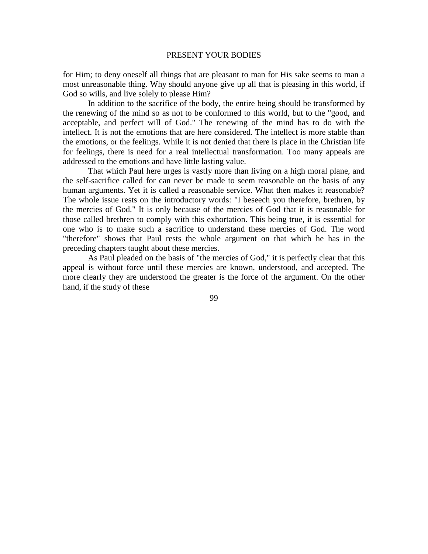#### PRESENT YOUR BODIES

for Him; to deny oneself all things that are pleasant to man for His sake seems to man a most unreasonable thing. Why should anyone give up all that is pleasing in this world, if God so wills, and live solely to please Him?

In addition to the sacrifice of the body, the entire being should be transformed by the renewing of the mind so as not to be conformed to this world, but to the "good, and acceptable, and perfect will of God." The renewing of the mind has to do with the intellect. It is not the emotions that are here considered. The intellect is more stable than the emotions, or the feelings. While it is not denied that there is place in the Christian life for feelings, there is need for a real intellectual transformation. Too many appeals are addressed to the emotions and have little lasting value.

That which Paul here urges is vastly more than living on a high moral plane, and the self-sacrifice called for can never be made to seem reasonable on the basis of any human arguments. Yet it is called a reasonable service. What then makes it reasonable? The whole issue rests on the introductory words: "I beseech you therefore, brethren, by the mercies of God." It is only because of the mercies of God that it is reasonable for those called brethren to comply with this exhortation. This being true, it is essential for one who is to make such a sacrifice to understand these mercies of God. The word "therefore" shows that Paul rests the whole argument on that which he has in the preceding chapters taught about these mercies.

As Paul pleaded on the basis of "the mercies of God," it is perfectly clear that this appeal is without force until these mercies are known, understood, and accepted. The more clearly they are understood the greater is the force of the argument. On the other hand, if the study of these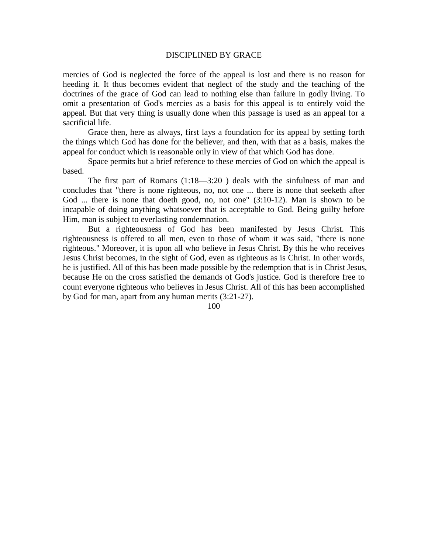mercies of God is neglected the force of the appeal is lost and there is no reason for heeding it. It thus becomes evident that neglect of the study and the teaching of the doctrines of the grace of God can lead to nothing else than failure in godly living. To omit a presentation of God's mercies as a basis for this appeal is to entirely void the appeal. But that very thing is usually done when this passage is used as an appeal for a sacrificial life.

Grace then, here as always, first lays a foundation for its appeal by setting forth the things which God has done for the believer, and then, with that as a basis, makes the appeal for conduct which is reasonable only in view of that which God has done.

Space permits but a brief reference to these mercies of God on which the appeal is based.

The first part of Romans (1:18—3:20 ) deals with the sinfulness of man and concludes that "there is none righteous, no, not one ... there is none that seeketh after God ... there is none that doeth good, no, not one" (3:10-12). Man is shown to be incapable of doing anything whatsoever that is acceptable to God. Being guilty before Him, man is subject to everlasting condemnation.

But a righteousness of God has been manifested by Jesus Christ. This righteousness is offered to all men, even to those of whom it was said, "there is none righteous." Moreover, it is upon all who believe in Jesus Christ. By this he who receives Jesus Christ becomes, in the sight of God, even as righteous as is Christ. In other words, he is justified. All of this has been made possible by the redemption that is in Christ Jesus, because He on the cross satisfied the demands of God's justice. God is therefore free to count everyone righteous who believes in Jesus Christ. All of this has been accomplished by God for man, apart from any human merits (3:21-27).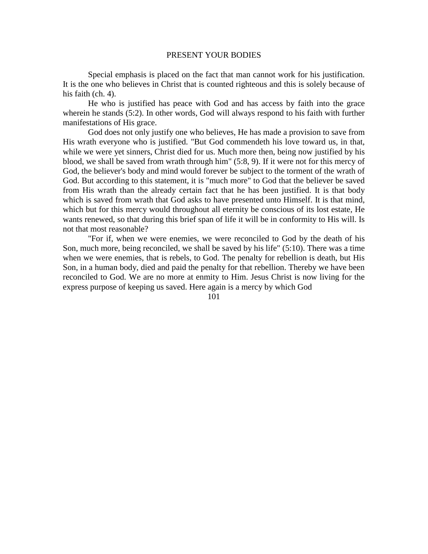#### PRESENT YOUR BODIES

Special emphasis is placed on the fact that man cannot work for his justification. It is the one who believes in Christ that is counted righteous and this is solely because of his faith (ch. 4).

He who is justified has peace with God and has access by faith into the grace wherein he stands (5:2). In other words, God will always respond to his faith with further manifestations of His grace.

God does not only justify one who believes, He has made a provision to save from His wrath everyone who is justified. "But God commendeth his love toward us, in that, while we were yet sinners, Christ died for us. Much more then, being now justified by his blood, we shall be saved from wrath through him" (5:8, 9). If it were not for this mercy of God, the believer's body and mind would forever be subject to the torment of the wrath of God. But according to this statement, it is "much more" to God that the believer be saved from His wrath than the already certain fact that he has been justified. It is that body which is saved from wrath that God asks to have presented unto Himself. It is that mind, which but for this mercy would throughout all eternity be conscious of its lost estate, He wants renewed, so that during this brief span of life it will be in conformity to His will. Is not that most reasonable?

"For if, when we were enemies, we were reconciled to God by the death of his Son, much more, being reconciled, we shall be saved by his life" (5:10). There was a time when we were enemies, that is rebels, to God. The penalty for rebellion is death, but His Son, in a human body, died and paid the penalty for that rebellion. Thereby we have been reconciled to God. We are no more at enmity to Him. Jesus Christ is now living for the express purpose of keeping us saved. Here again is a mercy by which God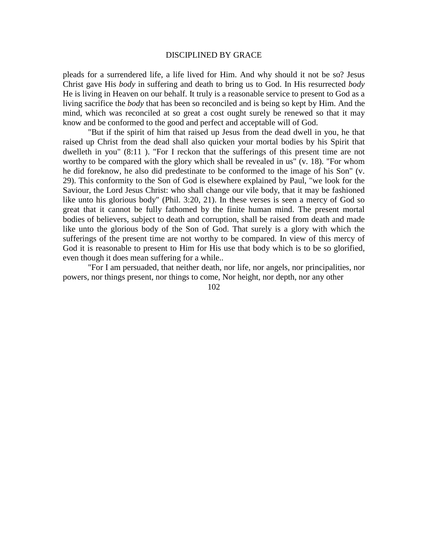pleads for a surrendered life, a life lived for Him. And why should it not be so? Jesus Christ gave His *body* in suffering and death to bring us to God. In His resurrected *body*  He is living in Heaven on our behalf. It truly is a reasonable service to present to God as a living sacrifice the *body* that has been so reconciled and is being so kept by Him. And the mind, which was reconciled at so great a cost ought surely be renewed so that it may know and be conformed to the good and perfect and acceptable will of God.

"But if the spirit of him that raised up Jesus from the dead dwell in you, he that raised up Christ from the dead shall also quicken your mortal bodies by his Spirit that dwelleth in you" (8:11 ). "For I reckon that the sufferings of this present time are not worthy to be compared with the glory which shall be revealed in us" (v. 18). "For whom he did foreknow, he also did predestinate to be conformed to the image of his Son" (v. 29). This conformity to the Son of God is elsewhere explained by Paul, "we look for the Saviour, the Lord Jesus Christ: who shall change our vile body, that it may be fashioned like unto his glorious body" (Phil. 3:20, 21). In these verses is seen a mercy of God so great that it cannot be fully fathomed by the finite human mind. The present mortal bodies of believers, subject to death and corruption, shall be raised from death and made like unto the glorious body of the Son of God. That surely is a glory with which the sufferings of the present time are not worthy to be compared. In view of this mercy of God it is reasonable to present to Him for His use that body which is to be so glorified, even though it does mean suffering for a while..

"For I am persuaded, that neither death, nor life, nor angels, nor principalities, nor powers, nor things present, nor things to come, Nor height, nor depth, nor any other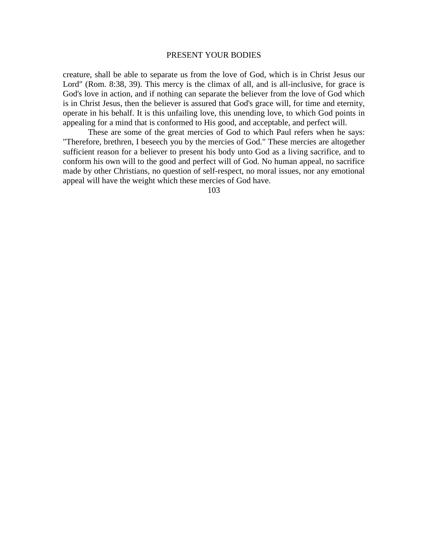#### PRESENT YOUR BODIES

creature, shall be able to separate us from the love of God, which is in Christ Jesus our Lord" (Rom. 8:38, 39). This mercy is the climax of all, and is all-inclusive, for grace is God's love in action, and if nothing can separate the believer from the love of God which is in Christ Jesus, then the believer is assured that God's grace will, for time and eternity, operate in his behalf. It is this unfailing love, this unending love, to which God points in appealing for a mind that is conformed to His good, and acceptable, and perfect will.

These are some of the great mercies of God to which Paul refers when he says: "Therefore, brethren, I beseech you by the mercies of God." These mercies are altogether sufficient reason for a believer to present his body unto God as a living sacrifice, and to conform his own will to the good and perfect will of God. No human appeal, no sacrifice made by other Christians, no question of self-respect, no moral issues, nor any emotional appeal will have the weight which these mercies of God have.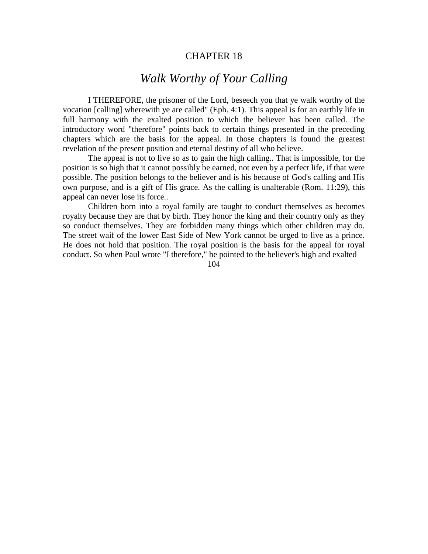## CHAPTER 18

## *Walk Worthy of Your Calling*

I THEREFORE, the prisoner of the Lord, beseech you that ye walk worthy of the vocation [calling] wherewith ye are called" (Eph. 4:1). This appeal is for an earthly life in full harmony with the exalted position to which the believer has been called. The introductory word "therefore" points back to certain things presented in the preceding chapters which are the basis for the appeal. In those chapters is found the greatest revelation of the present position and eternal destiny of all who believe.

The appeal is not to live so as to gain the high calling.. That is impossible, for the position is so high that it cannot possibly be earned, not even by a perfect life, if that were possible. The position belongs to the believer and is his because of God's calling and His own purpose, and is a gift of His grace. As the calling is unalterable (Rom. 11:29), this appeal can never lose its force..

Children born into a royal family are taught to conduct themselves as becomes royalty because they are that by birth. They honor the king and their country only as they so conduct themselves. They are forbidden many things which other children may do. The street waif of the lower East Side of New York cannot be urged to live as a prince. He does not hold that position. The royal position is the basis for the appeal for royal conduct. So when Paul wrote "I therefore," he pointed to the believer's high and exalted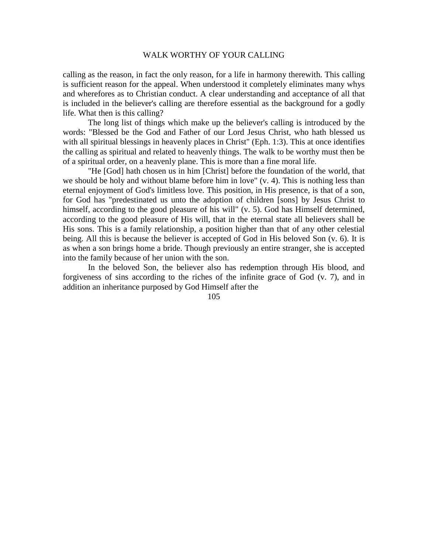#### WALK WORTHY OF YOUR CALLING

calling as the reason, in fact the only reason, for a life in harmony therewith. This calling is sufficient reason for the appeal. When understood it completely eliminates many whys and wherefores as to Christian conduct. A clear understanding and acceptance of all that is included in the believer's calling are therefore essential as the background for a godly life. What then is this calling?

The long list of things which make up the believer's calling is introduced by the words: "Blessed be the God and Father of our Lord Jesus Christ, who hath blessed us with all spiritual blessings in heavenly places in Christ" (Eph. 1:3). This at once identifies the calling as spiritual and related to heavenly things. The walk to be worthy must then be of a spiritual order, on a heavenly plane. This is more than a fine moral life.

"He [God] hath chosen us in him [Christ] before the foundation of the world, that we should be holy and without blame before him in love" (v. 4). This is nothing less than eternal enjoyment of God's limitless love. This position, in His presence, is that of a son, for God has "predestinated us unto the adoption of children [sons] by Jesus Christ to himself, according to the good pleasure of his will" (v. 5). God has Himself determined, according to the good pleasure of His will, that in the eternal state all believers shall be His sons. This is a family relationship, a position higher than that of any other celestial being. All this is because the believer is accepted of God in His beloved Son (v. 6). It is as when a son brings home a bride. Though previously an entire stranger, she is accepted into the family because of her union with the son.

In the beloved Son, the believer also has redemption through His blood, and forgiveness of sins according to the riches of the infinite grace of God (v. 7), and in addition an inheritance purposed by God Himself after the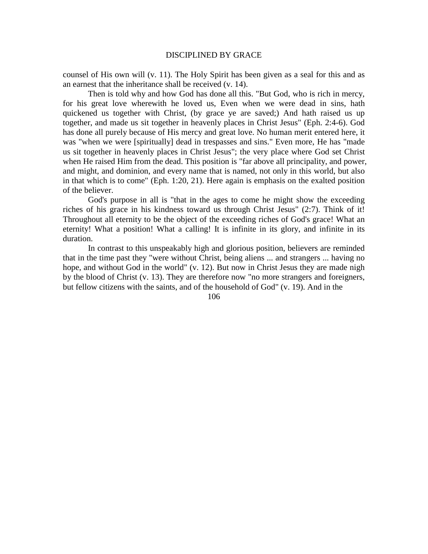counsel of His own will (v. 11). The Holy Spirit has been given as a seal for this and as an earnest that the inheritance shall be received (v. 14).

Then is told why and how God has done all this. "But God, who is rich in mercy, for his great love wherewith he loved us, Even when we were dead in sins, hath quickened us together with Christ, (by grace ye are saved;) And hath raised us up together, and made us sit together in heavenly places in Christ Jesus" (Eph. 2:4-6). God has done all purely because of His mercy and great love. No human merit entered here, it was "when we were [spiritually] dead in trespasses and sins." Even more, He has "made us sit together in heavenly places in Christ Jesus"; the very place where God set Christ when He raised Him from the dead. This position is "far above all principality, and power, and might, and dominion, and every name that is named, not only in this world, but also in that which is to come" (Eph. 1:20, 21). Here again is emphasis on the exalted position of the believer.

God's purpose in all is "that in the ages to come he might show the exceeding riches of his grace in his kindness toward us through Christ Jesus" (2:7). Think of it! Throughout all eternity to be the object of the exceeding riches of God's grace! What an eternity! What a position! What a calling! It is infinite in its glory, and infinite in its duration.

In contrast to this unspeakably high and glorious position, believers are reminded that in the time past they "were without Christ, being aliens ... and strangers ... having no hope, and without God in the world" (v. 12). But now in Christ Jesus they are made nigh by the blood of Christ (v. 13). They are therefore now "no more strangers and foreigners, but fellow citizens with the saints, and of the household of God" (v. 19). And in the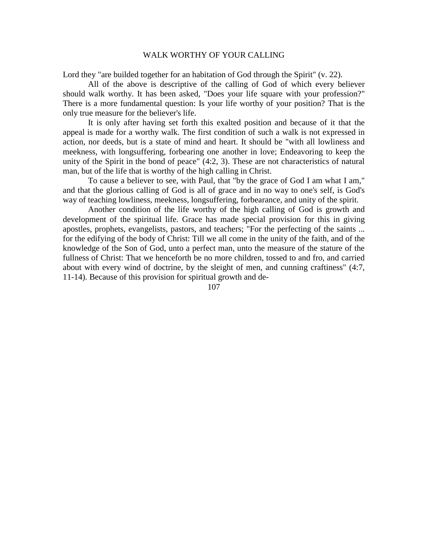#### WALK WORTHY OF YOUR CALLING

Lord they "are builded together for an habitation of God through the Spirit" (v. 22).

All of the above is descriptive of the calling of God of which every believer should walk worthy. It has been asked, "Does your life square with your profession?" There is a more fundamental question: Is your life worthy of your position? That is the only true measure for the believer's life.

It is only after having set forth this exalted position and because of it that the appeal is made for a worthy walk. The first condition of such a walk is not expressed in action, nor deeds, but is a state of mind and heart. It should be "with all lowliness and meekness, with longsuffering, forbearing one another in love; Endeavoring to keep the unity of the Spirit in the bond of peace" (4:2, 3). These are not characteristics of natural man, but of the life that is worthy of the high calling in Christ.

To cause a believer to see, with Paul, that "by the grace of God I am what I am," and that the glorious calling of God is all of grace and in no way to one's self, is God's way of teaching lowliness, meekness, longsuffering, forbearance, and unity of the spirit.

Another condition of the life worthy of the high calling of God is growth and development of the spiritual life. Grace has made special provision for this in giving apostles, prophets, evangelists, pastors, and teachers; "For the perfecting of the saints ... for the edifying of the body of Christ: Till we all come in the unity of the faith, and of the knowledge of the Son of God, unto a perfect man, unto the measure of the stature of the fullness of Christ: That we henceforth be no more children, tossed to and fro, and carried about with every wind of doctrine, by the sleight of men, and cunning craftiness" (4:7, 11-14). Because of this provision for spiritual growth and de-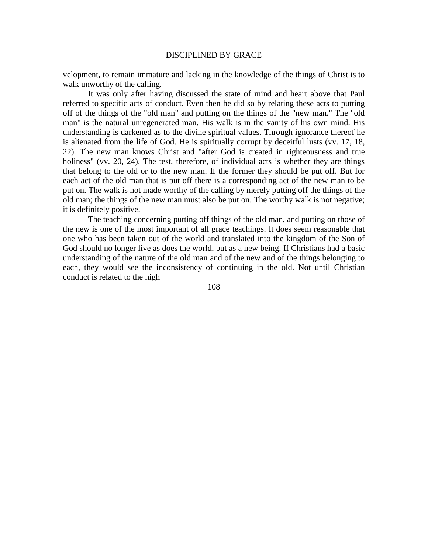velopment, to remain immature and lacking in the knowledge of the things of Christ is to walk unworthy of the calling.

It was only after having discussed the state of mind and heart above that Paul referred to specific acts of conduct. Even then he did so by relating these acts to putting off of the things of the "old man" and putting on the things of the "new man." The "old man" is the natural unregenerated man. His walk is in the vanity of his own mind. His understanding is darkened as to the divine spiritual values. Through ignorance thereof he is alienated from the life of God. He is spiritually corrupt by deceitful lusts (vv. 17, 18, 22). The new man knows Christ and "after God is created in righteousness and true holiness" (vv. 20, 24). The test, therefore, of individual acts is whether they are things that belong to the old or to the new man. If the former they should be put off. But for each act of the old man that is put off there is a corresponding act of the new man to be put on. The walk is not made worthy of the calling by merely putting off the things of the old man; the things of the new man must also be put on. The worthy walk is not negative; it is definitely positive.

The teaching concerning putting off things of the old man, and putting on those of the new is one of the most important of all grace teachings. It does seem reasonable that one who has been taken out of the world and translated into the kingdom of the Son of God should no longer live as does the world, but as a new being. If Christians had a basic understanding of the nature of the old man and of the new and of the things belonging to each, they would see the inconsistency of continuing in the old. Not until Christian conduct is related to the high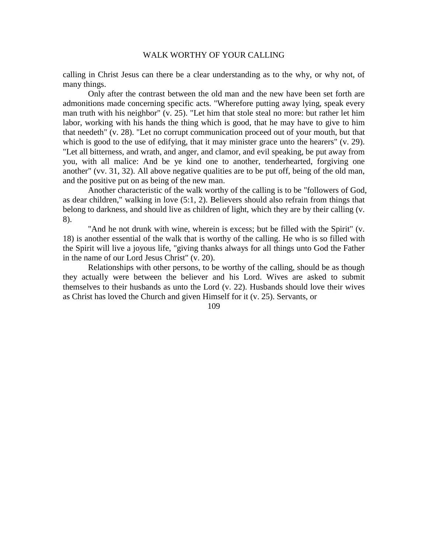### WALK WORTHY OF YOUR CALLING

calling in Christ Jesus can there be a clear understanding as to the why, or why not, of many things.

Only after the contrast between the old man and the new have been set forth are admonitions made concerning specific acts. "Wherefore putting away lying, speak every man truth with his neighbor" (v. 25). "Let him that stole steal no more: but rather let him labor, working with his hands the thing which is good, that he may have to give to him that needeth" (v. 28). "Let no corrupt communication proceed out of your mouth, but that which is good to the use of edifying, that it may minister grace unto the hearers" (v. 29). "Let all bitterness, and wrath, and anger, and clamor, and evil speaking, be put away from you, with all malice: And be ye kind one to another, tenderhearted, forgiving one another" (vv. 31, 32). All above negative qualities are to be put off, being of the old man, and the positive put on as being of the new man.

Another characteristic of the walk worthy of the calling is to be "followers of God, as dear children," walking in love (5:1, 2). Believers should also refrain from things that belong to darkness, and should live as children of light, which they are by their calling (v. 8).

"And he not drunk with wine, wherein is excess; but be filled with the Spirit" (v. 18) is another essential of the walk that is worthy of the calling. He who is so filled with the Spirit will live a joyous life, "giving thanks always for all things unto God the Father in the name of our Lord Jesus Christ" (v. 20).

Relationships with other persons, to be worthy of the calling, should be as though they actually were between the believer and his Lord. Wives are asked to submit themselves to their husbands as unto the Lord (v. 22). Husbands should love their wives as Christ has loved the Church and given Himself for it (v. 25). Servants, or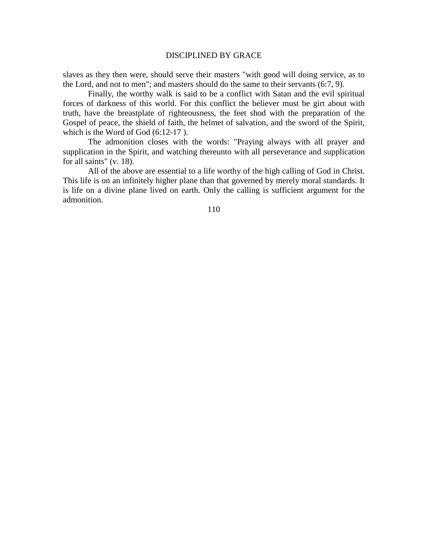slaves as they then were, should serve their masters "with good will doing service, as to the Lord, and not to men"; and masters should do the same to their servants (6:7, 9).

Finally, the worthy walk is said to be a conflict with Satan and the evil spiritual forces of darkness of this world. For this conflict the believer must be girt about with truth, have the breastplate of righteousness, the feet shod with the preparation of the Gospel of peace, the shield of faith, the helmet of salvation, and the sword of the Spirit, which is the Word of God  $(6:12-17)$ .

The admonition closes with the words: "Praying always with all prayer and supplication in the Spirit, and watching thereunto with all perseverance and supplication for all saints" (v. 18).

All of the above are essential to a life worthy of the high calling of God in Christ. This life is on an infinitely higher plane than that governed by merely moral standards. It is life on a divine plane lived on earth. Only the calling is sufficient argument for the admonition.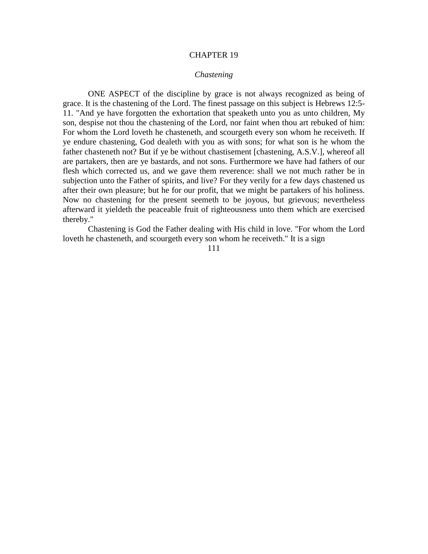#### CHAPTER 19

#### *Chastening*

ONE ASPECT of the discipline by grace is not always recognized as being of grace. It is the chastening of the Lord. The finest passage on this subject is Hebrews 12:5- 11. "And ye have forgotten the exhortation that speaketh unto you as unto children, My son, despise not thou the chastening of the Lord, nor faint when thou art rebuked of him: For whom the Lord loveth he chasteneth, and scourgeth every son whom he receiveth. If ye endure chastening, God dealeth with you as with sons; for what son is he whom the father chasteneth not? But if ye be without chastisement [chastening, A.S.V.], whereof all are partakers, then are ye bastards, and not sons. Furthermore we have had fathers of our flesh which corrected us, and we gave them reverence: shall we not much rather be in subjection unto the Father of spirits, and live? For they verily for a few days chastened us after their own pleasure; but he for our profit, that we might be partakers of his holiness. Now no chastening for the present seemeth to be joyous, but grievous; nevertheless afterward it yieldeth the peaceable fruit of righteousness unto them which are exercised thereby."

Chastening is God the Father dealing with His child in love. "For whom the Lord loveth he chasteneth, and scourgeth every son whom he receiveth." It is a sign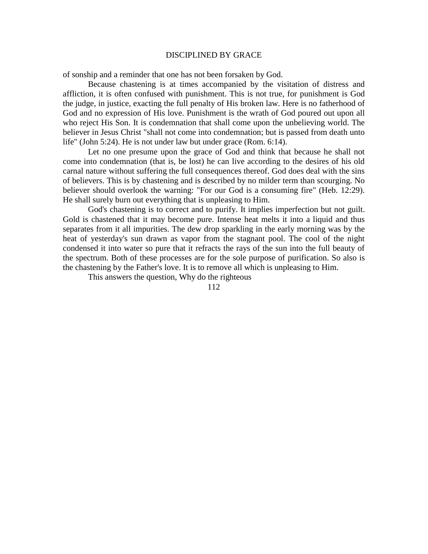of sonship and a reminder that one has not been forsaken by God.

Because chastening is at times accompanied by the visitation of distress and affliction, it is often confused with punishment. This is not true, for punishment is God the judge, in justice, exacting the full penalty of His broken law. Here is no fatherhood of God and no expression of His love. Punishment is the wrath of God poured out upon all who reject His Son. It is condemnation that shall come upon the unbelieving world. The believer in Jesus Christ "shall not come into condemnation; but is passed from death unto life" (John 5:24). He is not under law but under grace (Rom. 6:14).

Let no one presume upon the grace of God and think that because he shall not come into condemnation (that is, be lost) he can live according to the desires of his old carnal nature without suffering the full consequences thereof. God does deal with the sins of believers. This is by chastening and is described by no milder term than scourging. No believer should overlook the warning: "For our God is a consuming fire" (Heb. 12:29). He shall surely burn out everything that is unpleasing to Him.

God's chastening is to correct and to purify. It implies imperfection but not guilt. Gold is chastened that it may become pure. Intense heat melts it into a liquid and thus separates from it all impurities. The dew drop sparkling in the early morning was by the heat of yesterday's sun drawn as vapor from the stagnant pool. The cool of the night condensed it into water so pure that it refracts the rays of the sun into the full beauty of the spectrum. Both of these processes are for the sole purpose of purification. So also is the chastening by the Father's love. It is to remove all which is unpleasing to Him.

This answers the question, Why do the righteous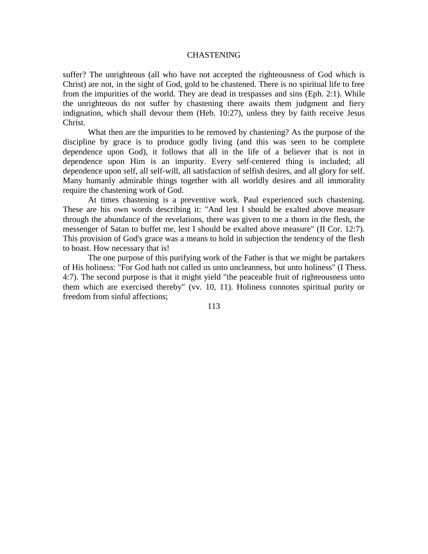#### CHASTENING

suffer? The unrighteous (all who have not accepted the righteousness of God which is Christ) are not, in the sight of God, gold to be chastened. There is no spiritual life to free from the impurities of the world. They are dead in trespasses and sins (Eph. 2:1). While the unrighteous do not suffer by chastening there awaits them judgment and fiery indignation, which shall devour them (Heb. 10:27), unless they by faith receive Jesus Christ.

What then are the impurities to be removed by chastening? As the purpose of the discipline by grace is to produce godly living (and this was seen to be complete dependence upon God), it follows that all in the life of a believer that is not in dependence upon Him is an impurity. Every self-centered thing is included; all dependence upon self, all self-will, all satisfaction of selfish desires, and all glory for self. Many humanly admirable things together with all worldly desires and all immorality require the chastening work of God.

At times chastening is a preventive work. Paul experienced such chastening. These are his own words describing it: "And lest I should be exalted above measure through the abundance of the revelations, there was given to me a thorn in the flesh, the messenger of Satan to buffet me, lest I should be exalted above measure" (II Cor. 12:7). This provision of God's grace was a means to hold in subjection the tendency of the flesh to boast. How necessary that is!

The one purpose of this purifying work of the Father is that we might be partakers of His holiness: "For God hath not called us unto uncleanness, but unto holiness" (I Thess. 4:7). The second purpose is that it might yield "the peaceable fruit of righteousness unto them which are exercised thereby" (vv. 10, 11). Holiness connotes spiritual purity or freedom from sinful affections;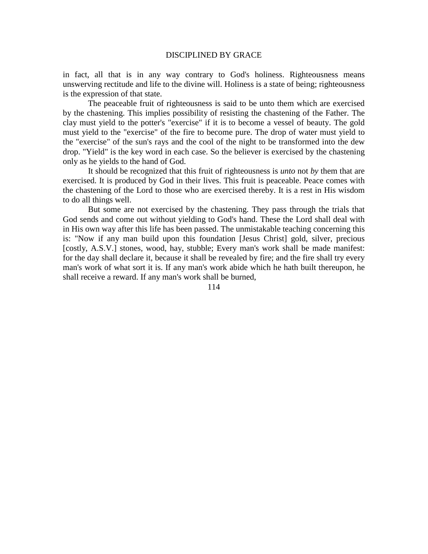in fact, all that is in any way contrary to God's holiness. Righteousness means unswerving rectitude and life to the divine will. Holiness is a state of being; righteousness is the expression of that state.

The peaceable fruit of righteousness is said to be unto them which are exercised by the chastening. This implies possibility of resisting the chastening of the Father. The clay must yield to the potter's "exercise" if it is to become a vessel of beauty. The gold must yield to the "exercise" of the fire to become pure. The drop of water must yield to the "exercise" of the sun's rays and the cool of the night to be transformed into the dew drop. "Yield" is the key word in each case. So the believer is exercised by the chastening only as he yields to the hand of God.

It should be recognized that this fruit of righteousness is *unto* not *by* them that are exercised. It is produced by God in their lives. This fruit is peaceable. Peace comes with the chastening of the Lord to those who are exercised thereby. It is a rest in His wisdom to do all things well.

But some are not exercised by the chastening. They pass through the trials that God sends and come out without yielding to God's hand. These the Lord shall deal with in His own way after this life has been passed. The unmistakable teaching concerning this is: "Now if any man build upon this foundation [Jesus Christ] gold, silver, precious [costly, A.S.V.] stones, wood, hay, stubble; Every man's work shall be made manifest: for the day shall declare it, because it shall be revealed by fire; and the fire shall try every man's work of what sort it is. If any man's work abide which he hath built thereupon, he shall receive a reward. If any man's work shall be burned,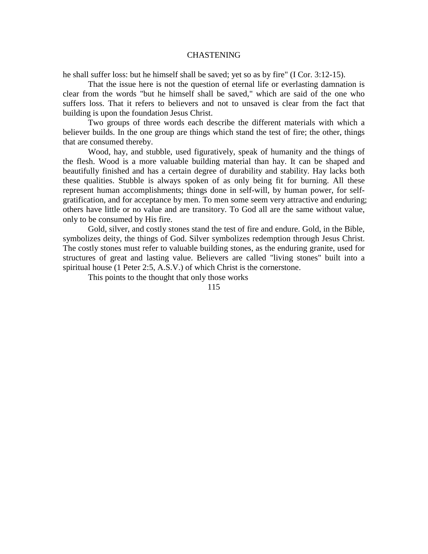#### CHASTENING

he shall suffer loss: but he himself shall be saved; yet so as by fire" (I Cor. 3:12-15).

That the issue here is not the question of eternal life or everlasting damnation is clear from the words "but he himself shall be saved," which are said of the one who suffers loss. That it refers to believers and not to unsaved is clear from the fact that building is upon the foundation Jesus Christ.

Two groups of three words each describe the different materials with which a believer builds. In the one group are things which stand the test of fire; the other, things that are consumed thereby.

Wood, hay, and stubble, used figuratively, speak of humanity and the things of the flesh. Wood is a more valuable building material than hay. It can be shaped and beautifully finished and has a certain degree of durability and stability. Hay lacks both these qualities. Stubble is always spoken of as only being fit for burning. All these represent human accomplishments; things done in self-will, by human power, for selfgratification, and for acceptance by men. To men some seem very attractive and enduring; others have little or no value and are transitory. To God all are the same without value, only to be consumed by His fire.

Gold, silver, and costly stones stand the test of fire and endure. Gold, in the Bible, symbolizes deity, the things of God. Silver symbolizes redemption through Jesus Christ. The costly stones must refer to valuable building stones, as the enduring granite, used for structures of great and lasting value. Believers are called "living stones" built into a spiritual house (1 Peter 2:5, A.S.V.) of which Christ is the cornerstone.

This points to the thought that only those works

<sup>115</sup>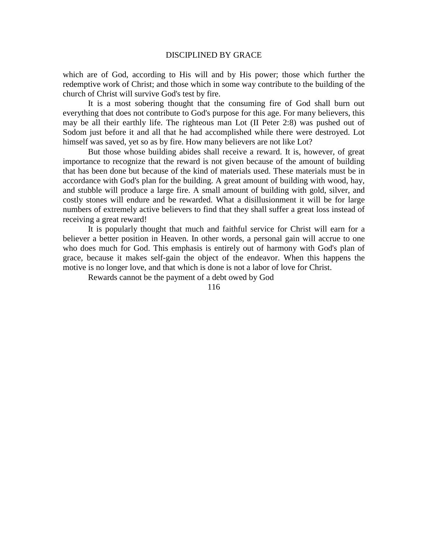which are of God, according to His will and by His power; those which further the redemptive work of Christ; and those which in some way contribute to the building of the church of Christ will survive God's test by fire.

It is a most sobering thought that the consuming fire of God shall burn out everything that does not contribute to God's purpose for this age. For many believers, this may be all their earthly life. The righteous man Lot (II Peter 2:8) was pushed out of Sodom just before it and all that he had accomplished while there were destroyed. Lot himself was saved, yet so as by fire. How many believers are not like Lot?

But those whose building abides shall receive a reward. It is, however, of great importance to recognize that the reward is not given because of the amount of building that has been done but because of the kind of materials used. These materials must be in accordance with God's plan for the building. A great amount of building with wood, hay, and stubble will produce a large fire. A small amount of building with gold, silver, and costly stones will endure and be rewarded. What a disillusionment it will be for large numbers of extremely active believers to find that they shall suffer a great loss instead of receiving a great reward!

It is popularly thought that much and faithful service for Christ will earn for a believer a better position in Heaven. In other words, a personal gain will accrue to one who does much for God. This emphasis is entirely out of harmony with God's plan of grace, because it makes self-gain the object of the endeavor. When this happens the motive is no longer love, and that which is done is not a labor of love for Christ.

Rewards cannot be the payment of a debt owed by God

<sup>116</sup>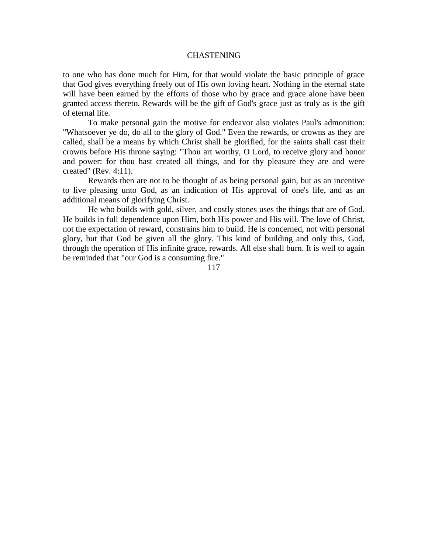#### CHASTENING

to one who has done much for Him, for that would violate the basic principle of grace that God gives everything freely out of His own loving heart. Nothing in the eternal state will have been earned by the efforts of those who by grace and grace alone have been granted access thereto. Rewards will be the gift of God's grace just as truly as is the gift of eternal life.

To make personal gain the motive for endeavor also violates Paul's admonition: "Whatsoever ye do, do all to the glory of God." Even the rewards, or crowns as they are called, shall be a means by which Christ shall be glorified, for the saints shall cast their crowns before His throne saying: "Thou art worthy, O Lord, to receive glory and honor and power: for thou hast created all things, and for thy pleasure they are and were created" (Rev. 4:11).

Rewards then are not to be thought of as being personal gain, but as an incentive to live pleasing unto God, as an indication of His approval of one's life, and as an additional means of glorifying Christ.

He who builds with gold, silver, and costly stones uses the things that are of God. He builds in full dependence upon Him, both His power and His will. The love of Christ, not the expectation of reward, constrains him to build. He is concerned, not with personal glory, but that God be given all the glory. This kind of building and only this, God, through the operation of His infinite grace, rewards. All else shall burn. It is well to again be reminded that "our God is a consuming fire."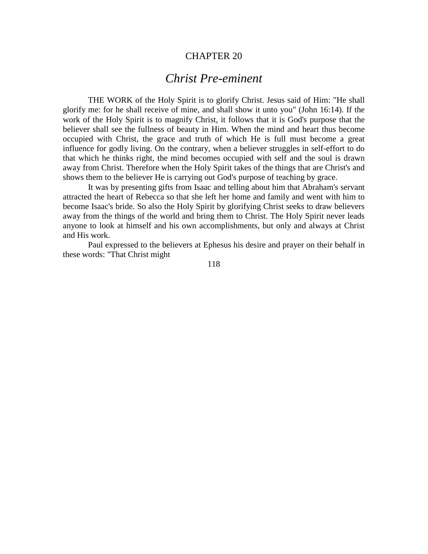# CHAPTER 20

# *Christ Pre-eminent*

THE WORK of the Holy Spirit is to glorify Christ. Jesus said of Him: "He shall glorify me: for he shall receive of mine, and shall show it unto you" (John 16:14). If the work of the Holy Spirit is to magnify Christ, it follows that it is God's purpose that the believer shall see the fullness of beauty in Him. When the mind and heart thus become occupied with Christ, the grace and truth of which He is full must become a great influence for godly living. On the contrary, when a believer struggles in self-effort to do that which he thinks right, the mind becomes occupied with self and the soul is drawn away from Christ. Therefore when the Holy Spirit takes of the things that are Christ's and shows them to the believer He is carrying out God's purpose of teaching by grace.

It was by presenting gifts from Isaac and telling about him that Abraham's servant attracted the heart of Rebecca so that she left her home and family and went with him to become Isaac's bride. So also the Holy Spirit by glorifying Christ seeks to draw believers away from the things of the world and bring them to Christ. The Holy Spirit never leads anyone to look at himself and his own accomplishments, but only and always at Christ and His work.

Paul expressed to the believers at Ephesus his desire and prayer on their behalf in these words: "That Christ might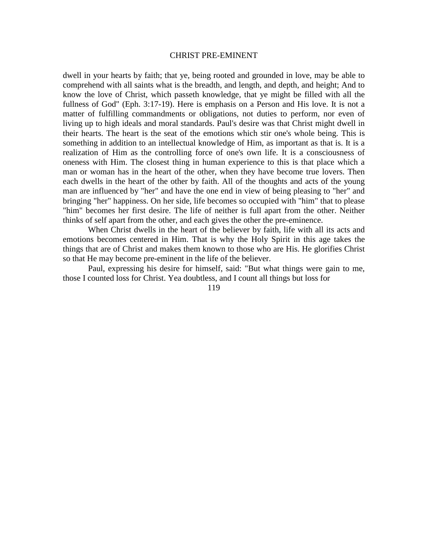#### CHRIST PRE-EMINENT

dwell in your hearts by faith; that ye, being rooted and grounded in love, may be able to comprehend with all saints what is the breadth, and length, and depth, and height; And to know the love of Christ, which passeth knowledge, that ye might be filled with all the fullness of God" (Eph. 3:17-19). Here is emphasis on a Person and His love. It is not a matter of fulfilling commandments or obligations, not duties to perform, nor even of living up to high ideals and moral standards. Paul's desire was that Christ might dwell in their hearts. The heart is the seat of the emotions which stir one's whole being. This is something in addition to an intellectual knowledge of Him, as important as that is. It is a realization of Him as the controlling force of one's own life. It is a consciousness of oneness with Him. The closest thing in human experience to this is that place which a man or woman has in the heart of the other, when they have become true lovers. Then each dwells in the heart of the other by faith. All of the thoughts and acts of the young man are influenced by "her" and have the one end in view of being pleasing to "her" and bringing "her" happiness. On her side, life becomes so occupied with "him" that to please "him" becomes her first desire. The life of neither is full apart from the other. Neither thinks of self apart from the other, and each gives the other the pre-eminence.

When Christ dwells in the heart of the believer by faith, life with all its acts and emotions becomes centered in Him. That is why the Holy Spirit in this age takes the things that are of Christ and makes them known to those who are His. He glorifies Christ so that He may become pre-eminent in the life of the believer.

Paul, expressing his desire for himself, said: "But what things were gain to me, those I counted loss for Christ. Yea doubtless, and I count all things but loss for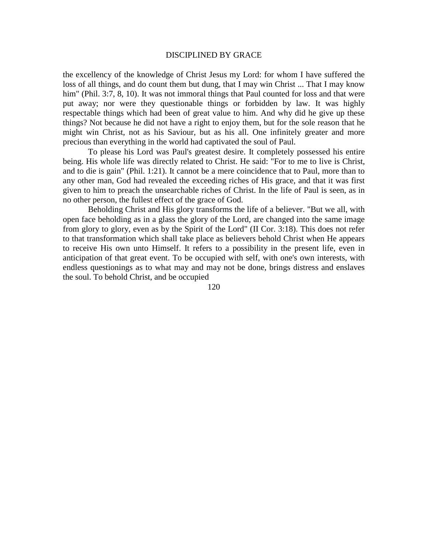the excellency of the knowledge of Christ Jesus my Lord: for whom I have suffered the loss of all things, and do count them but dung, that I may win Christ ... That I may know him" (Phil. 3:7, 8, 10). It was not immoral things that Paul counted for loss and that were put away; nor were they questionable things or forbidden by law. It was highly respectable things which had been of great value to him. And why did he give up these things? Not because he did not have a right to enjoy them, but for the sole reason that he might win Christ, not as his Saviour, but as his all. One infinitely greater and more precious than everything in the world had captivated the soul of Paul.

To please his Lord was Paul's greatest desire. It completely possessed his entire being. His whole life was directly related to Christ. He said: "For to me to live is Christ, and to die is gain" (Phil. 1:21). It cannot be a mere coincidence that to Paul, more than to any other man, God had revealed the exceeding riches of His grace, and that it was first given to him to preach the unsearchable riches of Christ. In the life of Paul is seen, as in no other person, the fullest effect of the grace of God.

Beholding Christ and His glory transforms the life of a believer. "But we all, with open face beholding as in a glass the glory of the Lord, are changed into the same image from glory to glory, even as by the Spirit of the Lord" (II Cor. 3:18). This does not refer to that transformation which shall take place as believers behold Christ when He appears to receive His own unto Himself. It refers to a possibility in the present life, even in anticipation of that great event. To be occupied with self, with one's own interests, with endless questionings as to what may and may not be done, brings distress and enslaves the soul. To behold Christ, and be occupied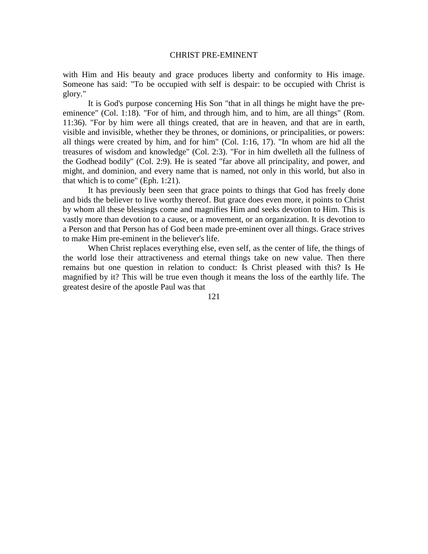#### CHRIST PRE-EMINENT

with Him and His beauty and grace produces liberty and conformity to His image. Someone has said: "To be occupied with self is despair: to be occupied with Christ is glory."

It is God's purpose concerning His Son "that in all things he might have the preeminence" (Col. 1:18). "For of him, and through him, and to him, are all things" (Rom. 11:36). "For by him were all things created, that are in heaven, and that are in earth, visible and invisible, whether they be thrones, or dominions, or principalities, or powers: all things were created by him, and for him" (Col. 1:16, 17). "In whom are hid all the treasures of wisdom and knowledge" (Col. 2:3). "For in him dwelleth all the fullness of the Godhead bodily" (Col. 2:9). He is seated "far above all principality, and power, and might, and dominion, and every name that is named, not only in this world, but also in that which is to come" (Eph. 1:21).

It has previously been seen that grace points to things that God has freely done and bids the believer to live worthy thereof. But grace does even more, it points to Christ by whom all these blessings come and magnifies Him and seeks devotion to Him. This is vastly more than devotion to a cause, or a movement, or an organization. It is devotion to a Person and that Person has of God been made pre-eminent over all things. Grace strives to make Him pre-eminent in the believer's life.

When Christ replaces everything else, even self, as the center of life, the things of the world lose their attractiveness and eternal things take on new value. Then there remains but one question in relation to conduct: Is Christ pleased with this? Is He magnified by it? This will be true even though it means the loss of the earthly life. The greatest desire of the apostle Paul was that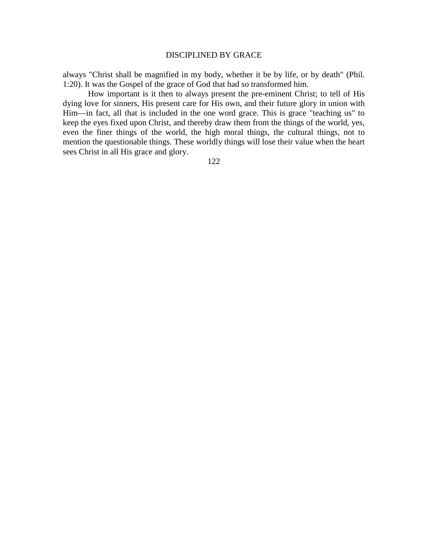always "Christ shall be magnified in my body, whether it be by life, or by death" (Phil. 1:20). It was the Gospel of the grace of God that had so transformed him.

How important is it then to always present the pre-eminent Christ; to tell of His dying love for sinners, His present care for His own, and their future glory in union with Him—in fact, all that is included in the one word grace. This is grace "teaching us" to keep the eyes fixed upon Christ, and thereby draw them from the things of the world, yes, even the finer things of the world, the high moral things, the cultural things, not to mention the questionable things. These worldly things will lose their value when the heart sees Christ in all His grace and glory.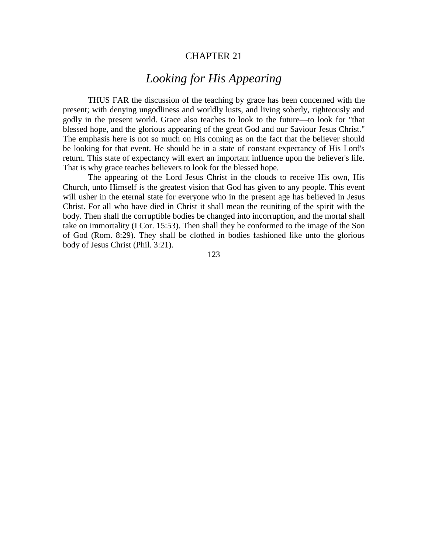# CHAPTER 21

# *Looking for His Appearing*

THUS FAR the discussion of the teaching by grace has been concerned with the present; with denying ungodliness and worldly lusts, and living soberly, righteously and godly in the present world. Grace also teaches to look to the future—to look for "that blessed hope, and the glorious appearing of the great God and our Saviour Jesus Christ." The emphasis here is not so much on His coming as on the fact that the believer should be looking for that event. He should be in a state of constant expectancy of His Lord's return. This state of expectancy will exert an important influence upon the believer's life. That is why grace teaches believers to look for the blessed hope.

The appearing of the Lord Jesus Christ in the clouds to receive His own, His Church, unto Himself is the greatest vision that God has given to any people. This event will usher in the eternal state for everyone who in the present age has believed in Jesus Christ. For all who have died in Christ it shall mean the reuniting of the spirit with the body. Then shall the corruptible bodies be changed into incorruption, and the mortal shall take on immortality (I Cor. 15:53). Then shall they be conformed to the image of the Son of God (Rom. 8:29). They shall be clothed in bodies fashioned like unto the glorious body of Jesus Christ (Phil. 3:21).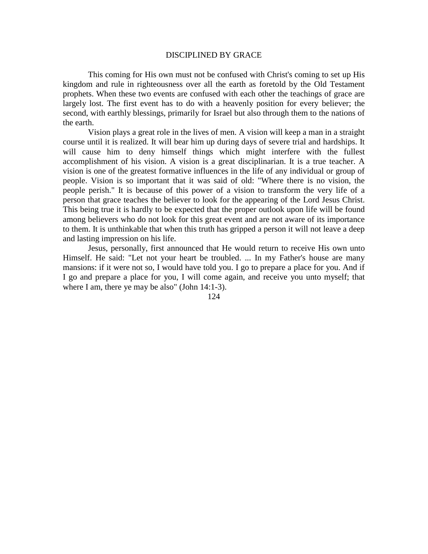This coming for His own must not be confused with Christ's coming to set up His kingdom and rule in righteousness over all the earth as foretold by the Old Testament prophets. When these two events are confused with each other the teachings of grace are largely lost. The first event has to do with a heavenly position for every believer; the second, with earthly blessings, primarily for Israel but also through them to the nations of the earth.

Vision plays a great role in the lives of men. A vision will keep a man in a straight course until it is realized. It will bear him up during days of severe trial and hardships. It will cause him to deny himself things which might interfere with the fullest accomplishment of his vision. A vision is a great disciplinarian. It is a true teacher. A vision is one of the greatest formative influences in the life of any individual or group of people. Vision is so important that it was said of old: "Where there is no vision, the people perish." It is because of this power of a vision to transform the very life of a person that grace teaches the believer to look for the appearing of the Lord Jesus Christ. This being true it is hardly to be expected that the proper outlook upon life will be found among believers who do not look for this great event and are not aware of its importance to them. It is unthinkable that when this truth has gripped a person it will not leave a deep and lasting impression on his life.

Jesus, personally, first announced that He would return to receive His own unto Himself. He said: "Let not your heart be troubled. ... In my Father's house are many mansions: if it were not so, I would have told you. I go to prepare a place for you. And if I go and prepare a place for you, I will come again, and receive you unto myself; that where I am, there ye may be also" (John 14:1-3).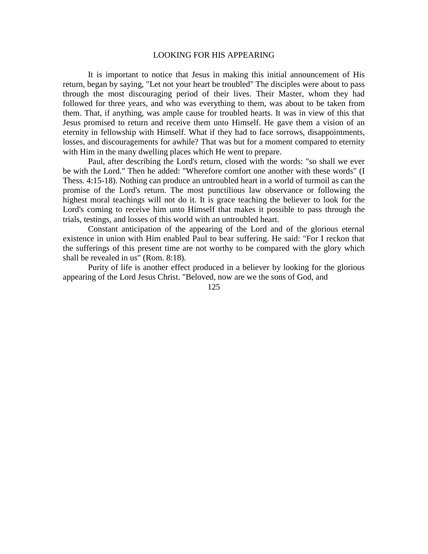#### LOOKING FOR HIS APPEARING

It is important to notice that Jesus in making this initial announcement of His return, began by saying, "Let not your heart be troubled" The disciples were about to pass through the most discouraging period of their lives. Their Master, whom they had followed for three years, and who was everything to them, was about to be taken from them. That, if anything, was ample cause for troubled hearts. It was in view of this that Jesus promised to return and receive them unto Himself. He gave them a vision of an eternity in fellowship with Himself. What if they had to face sorrows, disappointments, losses, and discouragements for awhile? That was but for a moment compared to eternity with Him in the many dwelling places which He went to prepare.

Paul, after describing the Lord's return, closed with the words: "so shall we ever be with the Lord." Then he added: "Wherefore comfort one another with these words" (I Thess. 4:15-18). Nothing can produce an untroubled heart in a world of turmoil as can the promise of the Lord's return. The most punctilious law observance or following the highest moral teachings will not do it. It is grace teaching the believer to look for the Lord's coming to receive him unto Himself that makes it possible to pass through the trials, testings, and losses of this world with an untroubled heart.

Constant anticipation of the appearing of the Lord and of the glorious eternal existence in union with Him enabled Paul to bear suffering. He said: "For I reckon that the sufferings of this present time are not worthy to be compared with the glory which shall be revealed in us" (Rom. 8:18).

Purity of life is another effect produced in a believer by looking for the glorious appearing of the Lord Jesus Christ. "Beloved, now are we the sons of God, and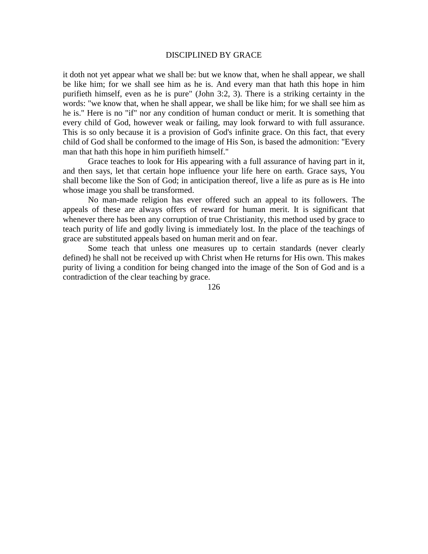it doth not yet appear what we shall be: but we know that, when he shall appear, we shall be like him; for we shall see him as he is. And every man that hath this hope in him purifieth himself, even as he is pure" (John 3:2, 3). There is a striking certainty in the words: "we know that, when he shall appear, we shall be like him; for we shall see him as he is." Here is no "if" nor any condition of human conduct or merit. It is something that every child of God, however weak or failing, may look forward to with full assurance. This is so only because it is a provision of God's infinite grace. On this fact, that every child of God shall be conformed to the image of His Son, is based the admonition: "Every man that hath this hope in him purifieth himself."

Grace teaches to look for His appearing with a full assurance of having part in it, and then says, let that certain hope influence your life here on earth. Grace says, You shall become like the Son of God; in anticipation thereof, live a life as pure as is He into whose image you shall be transformed.

No man-made religion has ever offered such an appeal to its followers. The appeals of these are always offers of reward for human merit. It is significant that whenever there has been any corruption of true Christianity, this method used by grace to teach purity of life and godly living is immediately lost. In the place of the teachings of grace are substituted appeals based on human merit and on fear.

Some teach that unless one measures up to certain standards (never clearly defined) he shall not be received up with Christ when He returns for His own. This makes purity of living a condition for being changed into the image of the Son of God and is a contradiction of the clear teaching by grace.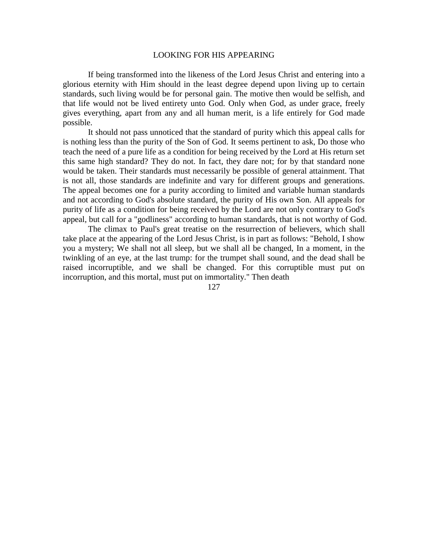#### LOOKING FOR HIS APPEARING

If being transformed into the likeness of the Lord Jesus Christ and entering into a glorious eternity with Him should in the least degree depend upon living up to certain standards, such living would be for personal gain. The motive then would be selfish, and that life would not be lived entirety unto God. Only when God, as under grace, freely gives everything, apart from any and all human merit, is a life entirely for God made possible.

It should not pass unnoticed that the standard of purity which this appeal calls for is nothing less than the purity of the Son of God. It seems pertinent to ask, Do those who teach the need of a pure life as a condition for being received by the Lord at His return set this same high standard? They do not. In fact, they dare not; for by that standard none would be taken. Their standards must necessarily be possible of general attainment. That is not all, those standards are indefinite and vary for different groups and generations. The appeal becomes one for a purity according to limited and variable human standards and not according to God's absolute standard, the purity of His own Son. All appeals for purity of life as a condition for being received by the Lord are not only contrary to God's appeal, but call for a "godliness" according to human standards, that is not worthy of God.

The climax to Paul's great treatise on the resurrection of believers, which shall take place at the appearing of the Lord Jesus Christ, is in part as follows: "Behold, I show you a mystery; We shall not all sleep, but we shall all be changed, In a moment, in the twinkling of an eye, at the last trump: for the trumpet shall sound, and the dead shall be raised incorruptible, and we shall be changed. For this corruptible must put on incorruption, and this mortal, must put on immortality." Then death